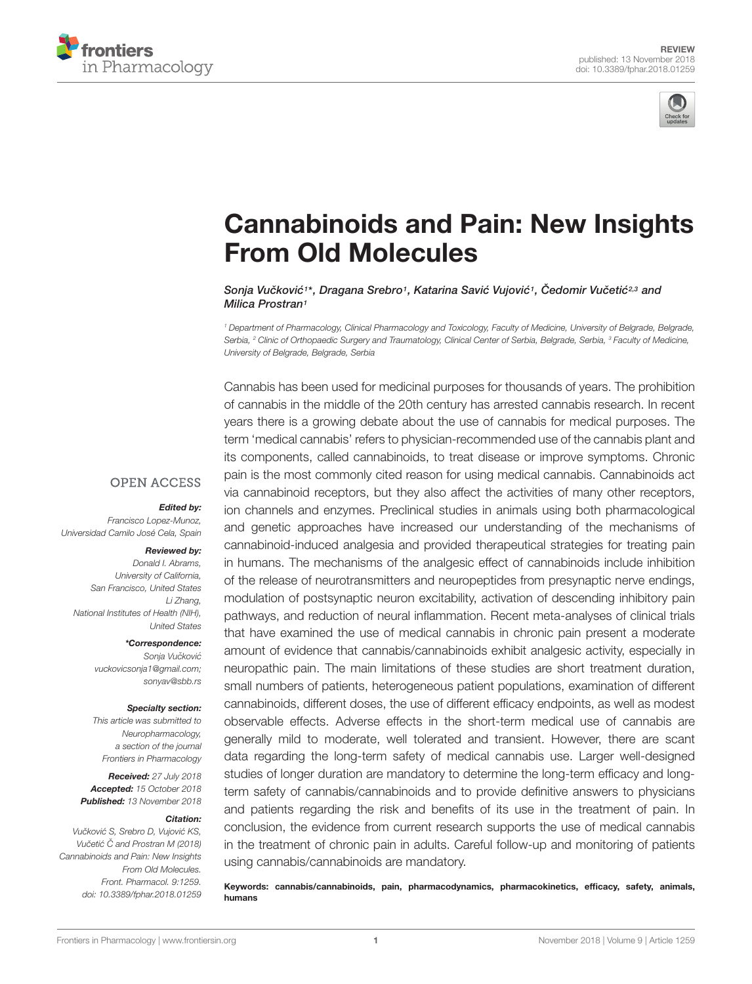



# [Cannabinoids and Pain: New Insights](https://www.frontiersin.org/articles/10.3389/fphar.2018.01259/full) From Old Molecules

Sonja Vučković<sup>1\*</sup>, [Dragana Srebro](http://loop.frontiersin.org/people/354268/overview)<sup>1</sup>, Katarina Savić Vujović<sup>1</sup>, Čedomir Vučetić<sup>2,3</sup> and [Milica Prostran](http://loop.frontiersin.org/people/272939/overview)<sup>1</sup>

<sup>1</sup> Department of Pharmacology, Clinical Pharmacology and Toxicology, Faculty of Medicine, University of Belgrade, Belgrade, Serbia, <sup>2</sup> Clinic of Orthopaedic Surgery and Traumatology, Clinical Center of Serbia, Belgrade, Serbia, <sup>3</sup> Faculty of Medicine, University of Belgrade, Belgrade, Serbia

Cannabis has been used for medicinal purposes for thousands of years. The prohibition of cannabis in the middle of the 20th century has arrested cannabis research. In recent years there is a growing debate about the use of cannabis for medical purposes. The term 'medical cannabis' refers to physician-recommended use of the cannabis plant and its components, called cannabinoids, to treat disease or improve symptoms. Chronic pain is the most commonly cited reason for using medical cannabis. Cannabinoids act via cannabinoid receptors, but they also affect the activities of many other receptors, ion channels and enzymes. Preclinical studies in animals using both pharmacological and genetic approaches have increased our understanding of the mechanisms of cannabinoid-induced analgesia and provided therapeutical strategies for treating pain in humans. The mechanisms of the analgesic effect of cannabinoids include inhibition of the release of neurotransmitters and neuropeptides from presynaptic nerve endings, modulation of postsynaptic neuron excitability, activation of descending inhibitory pain pathways, and reduction of neural inflammation. Recent meta-analyses of clinical trials that have examined the use of medical cannabis in chronic pain present a moderate amount of evidence that cannabis/cannabinoids exhibit analgesic activity, especially in neuropathic pain. The main limitations of these studies are short treatment duration, small numbers of patients, heterogeneous patient populations, examination of different cannabinoids, different doses, the use of different efficacy endpoints, as well as modest observable effects. Adverse effects in the short-term medical use of cannabis are generally mild to moderate, well tolerated and transient. However, there are scant data regarding the long-term safety of medical cannabis use. Larger well-designed studies of longer duration are mandatory to determine the long-term efficacy and longterm safety of cannabis/cannabinoids and to provide definitive answers to physicians and patients regarding the risk and benefits of its use in the treatment of pain. In conclusion, the evidence from current research supports the use of medical cannabis in the treatment of chronic pain in adults. Careful follow-up and monitoring of patients using cannabis/cannabinoids are mandatory.

Keywords: cannabis/cannabinoids, pain, pharmacodynamics, pharmacokinetics, efficacy, safety, animals, humans

#### **OPEN ACCESS**

#### Edited by:

Francisco Lopez-Munoz, Universidad Camilo José Cela, Spain

#### Reviewed by:

Donald I. Abrams, University of California, San Francisco, United States Li Zhang, National Institutes of Health (NIH), United States

\*Correspondence:

Sonja Vučković vuckovicsonja1@gmail.com; sonyav@sbb.rs

#### Specialty section:

This article was submitted to Neuropharmacology, a section of the journal Frontiers in Pharmacology

Received: 27 July 2018 Accepted: 15 October 2018 Published: 13 November 2018

#### Citation:

Vučković S, Srebro D, Vujović KS, Vučetić Č and Prostran M (2018) Cannabinoids and Pain: New Insights From Old Molecules. Front. Pharmacol. 9:1259. doi: [10.3389/fphar.2018.01259](https://doi.org/10.3389/fphar.2018.01259)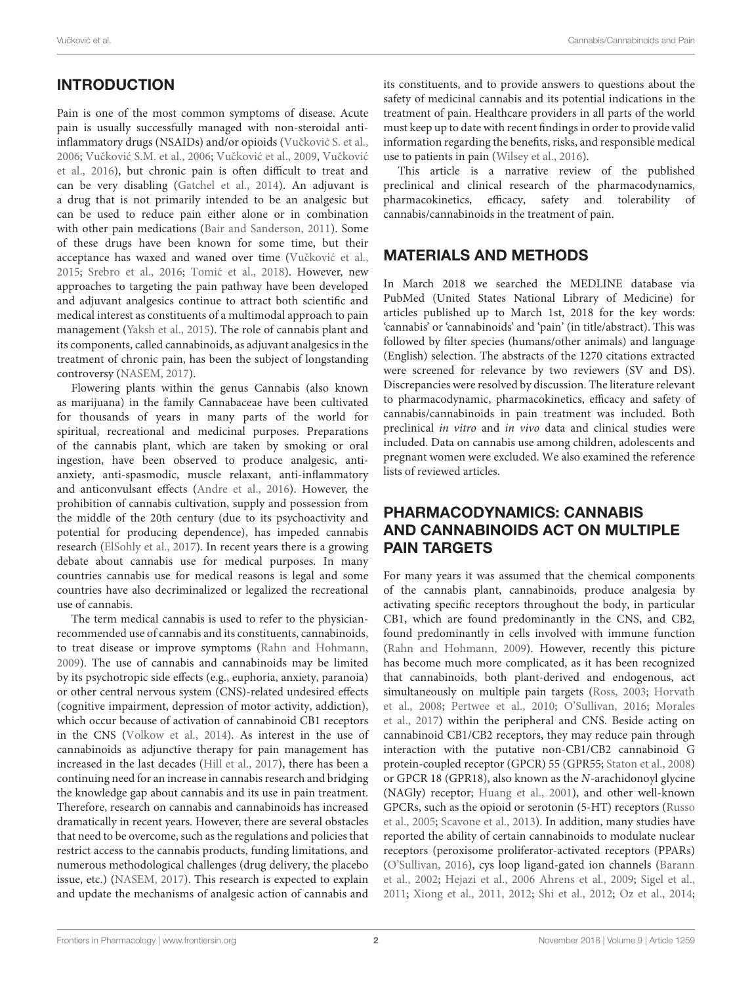# INTRODUCTION

Pain is one of the most common symptoms of disease. Acute pain is usually successfully managed with non-steroidal antiinflammatory drugs (NSAIDs) and/or opioids (Vučković S. et al., [2006;](#page-17-1) Vučković S.M. et al., 2006; Vučković et al., [2009,](#page-17-2) Vučković [et al.,](#page-17-3) [2016\)](#page-17-3), but chronic pain is often difficult to treat and can be very disabling [\(Gatchel et al.,](#page-13-0) [2014\)](#page-13-0). An adjuvant is a drug that is not primarily intended to be an analgesic but can be used to reduce pain either alone or in combination with other pain medications [\(Bair and Sanderson,](#page-12-0) [2011\)](#page-12-0). Some of these drugs have been known for some time, but their acceptance has waxed and waned over time (Vučković et al., [2015;](#page-17-4) [Srebro et al.,](#page-17-5) [2016;](#page-17-5) Tomić et al., [2018\)](#page-17-6). However, new approaches to targeting the pain pathway have been developed and adjuvant analgesics continue to attract both scientific and medical interest as constituents of a multimodal approach to pain management [\(Yaksh et al.,](#page-18-0) [2015\)](#page-18-0). The role of cannabis plant and its components, called cannabinoids, as adjuvant analgesics in the treatment of chronic pain, has been the subject of longstanding controversy [\(NASEM,](#page-15-0) [2017\)](#page-15-0).

Flowering plants within the genus Cannabis (also known as marijuana) in the family Cannabaceae have been cultivated for thousands of years in many parts of the world for spiritual, recreational and medicinal purposes. Preparations of the cannabis plant, which are taken by smoking or oral ingestion, have been observed to produce analgesic, antianxiety, anti-spasmodic, muscle relaxant, anti-inflammatory and anticonvulsant effects [\(Andre et al.,](#page-12-1) [2016\)](#page-12-1). However, the prohibition of cannabis cultivation, supply and possession from the middle of the 20th century (due to its psychoactivity and potential for producing dependence), has impeded cannabis research [\(ElSohly et al.,](#page-13-1) [2017\)](#page-13-1). In recent years there is a growing debate about cannabis use for medical purposes. In many countries cannabis use for medical reasons is legal and some countries have also decriminalized or legalized the recreational use of cannabis.

The term medical cannabis is used to refer to the physicianrecommended use of cannabis and its constituents, cannabinoids, to treat disease or improve symptoms [\(Rahn and Hohmann,](#page-16-0) [2009\)](#page-16-0). The use of cannabis and cannabinoids may be limited by its psychotropic side effects (e.g., euphoria, anxiety, paranoia) or other central nervous system (CNS)-related undesired effects (cognitive impairment, depression of motor activity, addiction), which occur because of activation of cannabinoid CB1 receptors in the CNS [\(Volkow et al.,](#page-17-7) [2014\)](#page-17-7). As interest in the use of cannabinoids as adjunctive therapy for pain management has increased in the last decades [\(Hill et al.,](#page-14-0) [2017\)](#page-14-0), there has been a continuing need for an increase in cannabis research and bridging the knowledge gap about cannabis and its use in pain treatment. Therefore, research on cannabis and cannabinoids has increased dramatically in recent years. However, there are several obstacles that need to be overcome, such as the regulations and policies that restrict access to the cannabis products, funding limitations, and numerous methodological challenges (drug delivery, the placebo issue, etc.) [\(NASEM,](#page-15-0) [2017\)](#page-15-0). This research is expected to explain and update the mechanisms of analgesic action of cannabis and

its constituents, and to provide answers to questions about the safety of medicinal cannabis and its potential indications in the treatment of pain. Healthcare providers in all parts of the world must keep up to date with recent findings in order to provide valid information regarding the benefits, risks, and responsible medical use to patients in pain [\(Wilsey et al.,](#page-18-1) [2016\)](#page-18-1).

This article is a narrative review of the published preclinical and clinical research of the pharmacodynamics, pharmacokinetics, efficacy, safety and tolerability of cannabis/cannabinoids in the treatment of pain.

# MATERIALS AND METHODS

In March 2018 we searched the MEDLINE database via PubMed (United States National Library of Medicine) for articles published up to March 1st, 2018 for the key words: 'cannabis' or 'cannabinoids' and 'pain' (in title/abstract). This was followed by filter species (humans/other animals) and language (English) selection. The abstracts of the 1270 citations extracted were screened for relevance by two reviewers (SV and DS). Discrepancies were resolved by discussion. The literature relevant to pharmacodynamic, pharmacokinetics, efficacy and safety of cannabis/cannabinoids in pain treatment was included. Both preclinical in vitro and in vivo data and clinical studies were included. Data on cannabis use among children, adolescents and pregnant women were excluded. We also examined the reference lists of reviewed articles.

# PHARMACODYNAMICS: CANNABIS AND CANNABINOIDS ACT ON MULTIPLE PAIN TARGETS

For many years it was assumed that the chemical components of the cannabis plant, cannabinoids, produce analgesia by activating specific receptors throughout the body, in particular CB1, which are found predominantly in the CNS, and CB2, found predominantly in cells involved with immune function [\(Rahn and Hohmann,](#page-16-0) [2009\)](#page-16-0). However, recently this picture has become much more complicated, as it has been recognized that cannabinoids, both plant-derived and endogenous, act simultaneously on multiple pain targets [\(Ross,](#page-16-1) [2003;](#page-16-1) [Horvath](#page-14-1) [et al.,](#page-14-1) [2008;](#page-14-1) [Pertwee et al.,](#page-16-2) [2010;](#page-16-2) [O'Sullivan,](#page-16-3) [2016;](#page-16-3) [Morales](#page-15-1) [et al.,](#page-15-1) [2017\)](#page-15-1) within the peripheral and CNS. Beside acting on cannabinoid CB1/CB2 receptors, they may reduce pain through interaction with the putative non-CB1/CB2 cannabinoid G protein-coupled receptor (GPCR) 55 (GPR55; [Staton et al.,](#page-17-8) [2008\)](#page-17-8) or GPCR 18 (GPR18), also known as the N-arachidonoyl glycine (NAGly) receptor; [Huang et al.,](#page-14-2) [2001\)](#page-14-2), and other well-known GPCRs, such as the opioid or serotonin (5-HT) receptors [\(Russo](#page-16-4) [et al.,](#page-16-4) [2005;](#page-16-4) [Scavone et al.,](#page-17-9) [2013\)](#page-17-9). In addition, many studies have reported the ability of certain cannabinoids to modulate nuclear receptors (peroxisome proliferator-activated receptors (PPARs) [\(O'Sullivan,](#page-16-3) [2016\)](#page-16-3), cys loop ligand-gated ion channels [\(Barann](#page-12-2) [et al.,](#page-12-2) [2002;](#page-12-2) [Hejazi et al.,](#page-14-3) [2006](#page-14-3) [Ahrens et al.,](#page-12-3) [2009;](#page-12-3) [Sigel et al.,](#page-17-10) [2011;](#page-17-10) [Xiong et al.,](#page-18-2) [2011,](#page-18-2) [2012;](#page-18-3) [Shi et al.,](#page-17-11) [2012;](#page-17-11) [Oz et al.,](#page-16-5) [2014;](#page-16-5)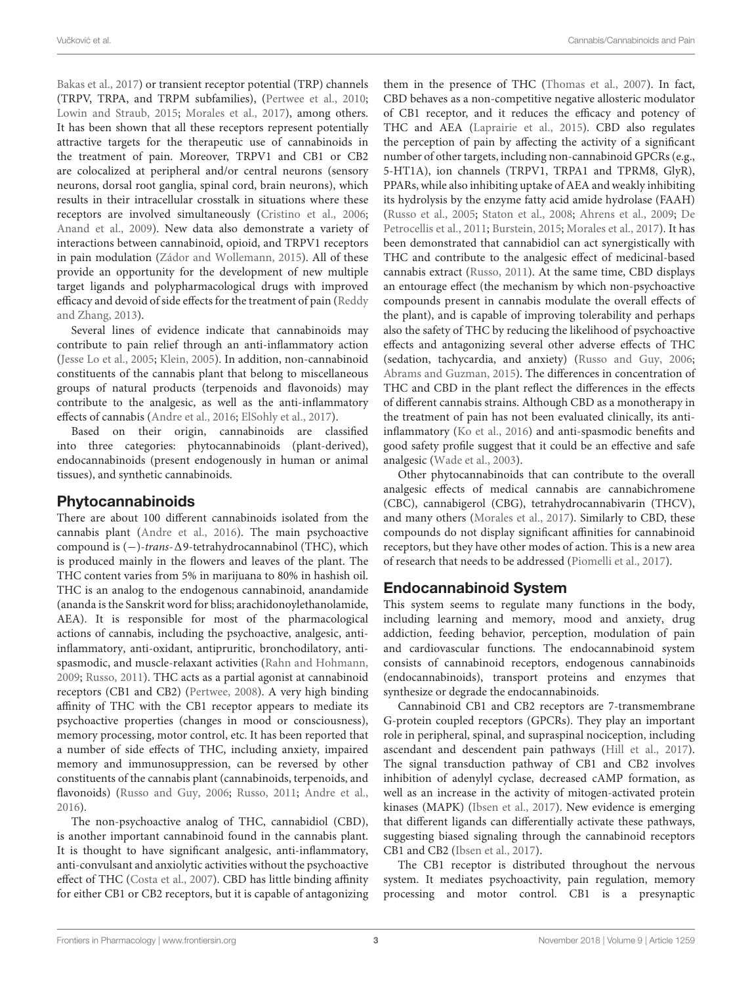[Bakas et al.,](#page-12-4) [2017\)](#page-12-4) or transient receptor potential (TRP) channels (TRPV, TRPA, and TRPM subfamilies), [\(Pertwee et al.,](#page-16-2) [2010;](#page-16-2) [Lowin and Straub,](#page-15-2) [2015;](#page-15-2) [Morales et al.,](#page-15-1) [2017\)](#page-15-1), among others. It has been shown that all these receptors represent potentially attractive targets for the therapeutic use of cannabinoids in the treatment of pain. Moreover, TRPV1 and CB1 or CB2 are colocalized at peripheral and/or central neurons (sensory neurons, dorsal root ganglia, spinal cord, brain neurons), which results in their intracellular crosstalk in situations where these receptors are involved simultaneously [\(Cristino et al.,](#page-13-2) [2006;](#page-13-2) [Anand et al.,](#page-12-5) [2009\)](#page-12-5). New data also demonstrate a variety of interactions between cannabinoid, opioid, and TRPV1 receptors in pain modulation [\(Zádor and Wollemann,](#page-18-4) [2015\)](#page-18-4). All of these provide an opportunity for the development of new multiple target ligands and polypharmacological drugs with improved efficacy and devoid of side effects for the treatment of pain [\(Reddy](#page-16-6) [and Zhang,](#page-16-6) [2013\)](#page-16-6).

Several lines of evidence indicate that cannabinoids may contribute to pain relief through an anti-inflammatory action [\(Jesse Lo et al.,](#page-14-4) [2005;](#page-14-4) [Klein,](#page-15-3) [2005\)](#page-15-3). In addition, non-cannabinoid constituents of the cannabis plant that belong to miscellaneous groups of natural products (terpenoids and flavonoids) may contribute to the analgesic, as well as the anti-inflammatory effects of cannabis [\(Andre et al.,](#page-12-1) [2016;](#page-12-1) [ElSohly et al.,](#page-13-1) [2017\)](#page-13-1).

Based on their origin, cannabinoids are classified into three categories: phytocannabinoids (plant-derived), endocannabinoids (present endogenously in human or animal tissues), and synthetic cannabinoids.

### Phytocannabinoids

There are about 100 different cannabinoids isolated from the cannabis plant [\(Andre et al.,](#page-12-1) [2016\)](#page-12-1). The main psychoactive compound is (−)-trans-19-tetrahydrocannabinol (THC), which is produced mainly in the flowers and leaves of the plant. The THC content varies from 5% in marijuana to 80% in hashish oil. THC is an analog to the endogenous cannabinoid, anandamide (ananda is the Sanskrit word for bliss; arachidonoylethanolamide, AEA). It is responsible for most of the pharmacological actions of cannabis, including the psychoactive, analgesic, antiinflammatory, anti-oxidant, antipruritic, bronchodilatory, antispasmodic, and muscle-relaxant activities [\(Rahn and Hohmann,](#page-16-0) [2009;](#page-16-0) [Russo,](#page-16-7) [2011\)](#page-16-7). THC acts as a partial agonist at cannabinoid receptors (CB1 and CB2) [\(Pertwee,](#page-16-8) [2008\)](#page-16-8). A very high binding affinity of THC with the CB1 receptor appears to mediate its psychoactive properties (changes in mood or consciousness), memory processing, motor control, etc. It has been reported that a number of side effects of THC, including anxiety, impaired memory and immunosuppression, can be reversed by other constituents of the cannabis plant (cannabinoids, terpenoids, and flavonoids) [\(Russo and Guy,](#page-16-9) [2006;](#page-16-9) [Russo,](#page-16-7) [2011;](#page-16-7) [Andre et al.,](#page-12-1) [2016\)](#page-12-1).

The non-psychoactive analog of THC, cannabidiol (CBD), is another important cannabinoid found in the cannabis plant. It is thought to have significant analgesic, anti-inflammatory, anti-convulsant and anxiolytic activities without the psychoactive effect of THC [\(Costa et al.,](#page-13-3) [2007\)](#page-13-3). CBD has little binding affinity for either CB1 or CB2 receptors, but it is capable of antagonizing them in the presence of THC [\(Thomas et al.,](#page-17-12) [2007\)](#page-17-12). In fact, CBD behaves as a non-competitive negative allosteric modulator of CB1 receptor, and it reduces the efficacy and potency of THC and AEA [\(Laprairie et al.,](#page-15-4) [2015\)](#page-15-4). CBD also regulates the perception of pain by affecting the activity of a significant number of other targets, including non-cannabinoid GPCRs (e.g., 5-HT1A), ion channels (TRPV1, TRPA1 and TPRM8, GlyR), PPARs, while also inhibiting uptake of AEA and weakly inhibiting its hydrolysis by the enzyme fatty acid amide hydrolase (FAAH) [\(Russo et al.,](#page-16-4) [2005;](#page-16-4) [Staton et al.,](#page-17-8) [2008;](#page-17-8) [Ahrens et al.,](#page-12-3) [2009;](#page-12-3) [De](#page-13-4) [Petrocellis et al.,](#page-13-4) [2011;](#page-13-4) [Burstein,](#page-13-5) [2015;](#page-13-5) [Morales et al.,](#page-15-1) [2017\)](#page-15-1). It has been demonstrated that cannabidiol can act synergistically with THC and contribute to the analgesic effect of medicinal-based cannabis extract [\(Russo,](#page-16-7) [2011\)](#page-16-7). At the same time, CBD displays an entourage effect (the mechanism by which non-psychoactive compounds present in cannabis modulate the overall effects of the plant), and is capable of improving tolerability and perhaps also the safety of THC by reducing the likelihood of psychoactive effects and antagonizing several other adverse effects of THC (sedation, tachycardia, and anxiety) [\(Russo and Guy,](#page-16-9) [2006;](#page-16-9) [Abrams and Guzman,](#page-12-6) [2015\)](#page-12-6). The differences in concentration of THC and CBD in the plant reflect the differences in the effects of different cannabis strains. Although CBD as a monotherapy in the treatment of pain has not been evaluated clinically, its antiinflammatory [\(Ko et al.,](#page-15-5) [2016\)](#page-15-5) and anti-spasmodic benefits and good safety profile suggest that it could be an effective and safe analgesic [\(Wade et al.,](#page-17-13) [2003\)](#page-17-13).

Other phytocannabinoids that can contribute to the overall analgesic effects of medical cannabis are cannabichromene (CBC), cannabigerol (CBG), tetrahydrocannabivarin (THCV), and many others [\(Morales et al.,](#page-15-1) [2017\)](#page-15-1). Similarly to CBD, these compounds do not display significant affinities for cannabinoid receptors, but they have other modes of action. This is a new area of research that needs to be addressed [\(Piomelli et al.,](#page-16-10) [2017\)](#page-16-10).

# Endocannabinoid System

This system seems to regulate many functions in the body, including learning and memory, mood and anxiety, drug addiction, feeding behavior, perception, modulation of pain and cardiovascular functions. The endocannabinoid system consists of cannabinoid receptors, endogenous cannabinoids (endocannabinoids), transport proteins and enzymes that synthesize or degrade the endocannabinoids.

Cannabinoid CB1 and CB2 receptors are 7-transmembrane G-protein coupled receptors (GPCRs). They play an important role in peripheral, spinal, and supraspinal nociception, including ascendant and descendent pain pathways [\(Hill et al.,](#page-14-0) [2017\)](#page-14-0). The signal transduction pathway of CB1 and CB2 involves inhibition of adenylyl cyclase, decreased cAMP formation, as well as an increase in the activity of mitogen-activated protein kinases (MAPK) [\(Ibsen et al.,](#page-14-5) [2017\)](#page-14-5). New evidence is emerging that different ligands can differentially activate these pathways, suggesting biased signaling through the cannabinoid receptors CB1 and CB2 [\(Ibsen et al.,](#page-14-5) [2017\)](#page-14-5).

The CB1 receptor is distributed throughout the nervous system. It mediates psychoactivity, pain regulation, memory processing and motor control. CB1 is a presynaptic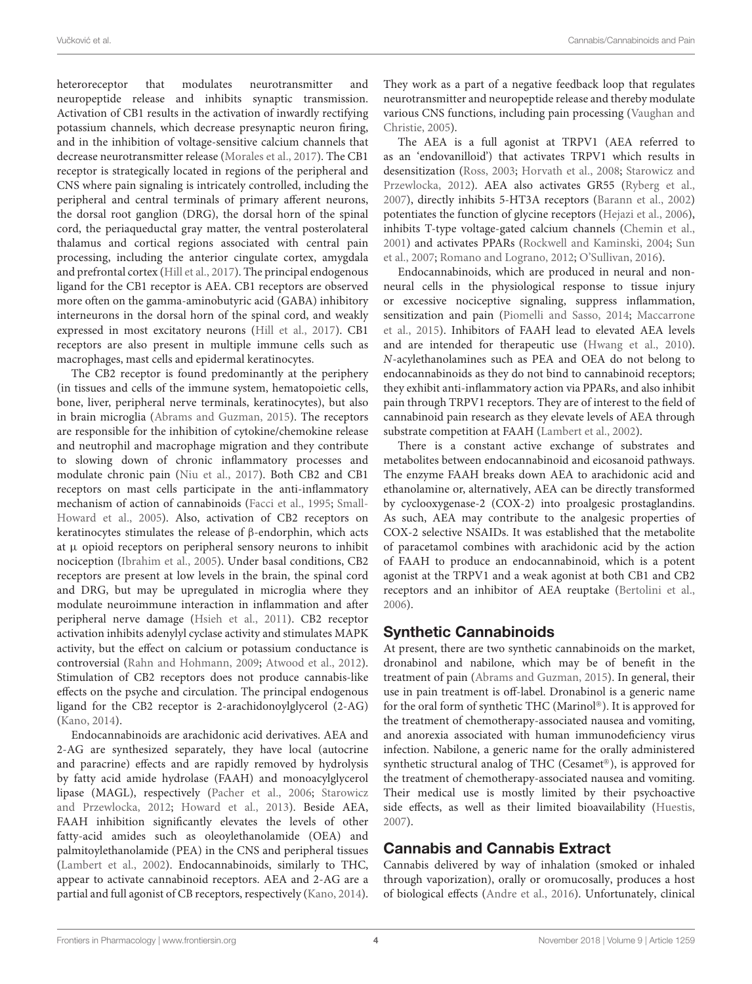heteroreceptor that modulates neurotransmitter and neuropeptide release and inhibits synaptic transmission. Activation of CB1 results in the activation of inwardly rectifying potassium channels, which decrease presynaptic neuron firing, and in the inhibition of voltage-sensitive calcium channels that decrease neurotransmitter release [\(Morales et al.,](#page-15-1) [2017\)](#page-15-1). The CB1 receptor is strategically located in regions of the peripheral and CNS where pain signaling is intricately controlled, including the peripheral and central terminals of primary afferent neurons, the dorsal root ganglion (DRG), the dorsal horn of the spinal cord, the periaqueductal gray matter, the ventral posterolateral thalamus and cortical regions associated with central pain processing, including the anterior cingulate cortex, amygdala and prefrontal cortex [\(Hill et al.,](#page-14-0) [2017\)](#page-14-0). The principal endogenous ligand for the CB1 receptor is AEA. CB1 receptors are observed more often on the gamma-aminobutyric acid (GABA) inhibitory interneurons in the dorsal horn of the spinal cord, and weakly expressed in most excitatory neurons [\(Hill et al.,](#page-14-0) [2017\)](#page-14-0). CB1 receptors are also present in multiple immune cells such as macrophages, mast cells and epidermal keratinocytes.

The CB2 receptor is found predominantly at the periphery (in tissues and cells of the immune system, hematopoietic cells, bone, liver, peripheral nerve terminals, keratinocytes), but also in brain microglia [\(Abrams and Guzman,](#page-12-6) [2015\)](#page-12-6). The receptors are responsible for the inhibition of cytokine/chemokine release and neutrophil and macrophage migration and they contribute to slowing down of chronic inflammatory processes and modulate chronic pain [\(Niu et al.,](#page-15-6) [2017\)](#page-15-6). Both CB2 and CB1 receptors on mast cells participate in the anti-inflammatory mechanism of action of cannabinoids [\(Facci et al.,](#page-13-6) [1995;](#page-13-6) [Small-](#page-17-14)[Howard et al.,](#page-17-14) [2005\)](#page-17-14). Also, activation of CB2 receptors on keratinocytes stimulates the release of β-endorphin, which acts at  $\mu$  opioid receptors on peripheral sensory neurons to inhibit nociception [\(Ibrahim et al.,](#page-14-6) [2005\)](#page-14-6). Under basal conditions, CB2 receptors are present at low levels in the brain, the spinal cord and DRG, but may be upregulated in microglia where they modulate neuroimmune interaction in inflammation and after peripheral nerve damage [\(Hsieh et al.,](#page-14-7) [2011\)](#page-14-7). CB2 receptor activation inhibits adenylyl cyclase activity and stimulates MAPK activity, but the effect on calcium or potassium conductance is controversial [\(Rahn and Hohmann,](#page-16-0) [2009;](#page-16-0) [Atwood et al.,](#page-12-7) [2012\)](#page-12-7). Stimulation of CB2 receptors does not produce cannabis-like effects on the psyche and circulation. The principal endogenous ligand for the CB2 receptor is 2-arachidonoylglycerol (2-AG) [\(Kano,](#page-14-8) [2014\)](#page-14-8).

Endocannabinoids are arachidonic acid derivatives. AEA and 2-AG are synthesized separately, they have local (autocrine and paracrine) effects and are rapidly removed by hydrolysis by fatty acid amide hydrolase (FAAH) and monoacylglycerol lipase (MAGL), respectively [\(Pacher et al.,](#page-16-11) [2006;](#page-16-11) [Starowicz](#page-17-15) [and Przewlocka,](#page-17-15) [2012;](#page-17-15) [Howard et al.,](#page-14-9) [2013\)](#page-14-9). Beside AEA, FAAH inhibition significantly elevates the levels of other fatty-acid amides such as oleoylethanolamide (OEA) and palmitoylethanolamide (PEA) in the CNS and peripheral tissues [\(Lambert et al.,](#page-15-7) [2002\)](#page-15-7). Endocannabinoids, similarly to THC, appear to activate cannabinoid receptors. AEA and 2-AG are a partial and full agonist of CB receptors, respectively [\(Kano,](#page-14-8) [2014\)](#page-14-8).

They work as a part of a negative feedback loop that regulates neurotransmitter and neuropeptide release and thereby modulate various CNS functions, including pain processing [\(Vaughan and](#page-17-16) [Christie,](#page-17-16) [2005\)](#page-17-16).

The AEA is a full agonist at TRPV1 (AEA referred to as an 'endovanilloid') that activates TRPV1 which results in desensitization [\(Ross,](#page-16-1) [2003;](#page-16-1) [Horvath et al.,](#page-14-1) [2008;](#page-14-1) [Starowicz and](#page-17-15) [Przewlocka,](#page-17-15) [2012\)](#page-17-15). AEA also activates GR55 [\(Ryberg et al.,](#page-16-12) [2007\)](#page-16-12), directly inhibits 5-HT3A receptors [\(Barann et al.,](#page-12-2) [2002\)](#page-12-2) potentiates the function of glycine receptors [\(Hejazi et al.,](#page-14-3) [2006\)](#page-14-3), inhibits T-type voltage-gated calcium channels [\(Chemin et al.,](#page-13-7) [2001\)](#page-13-7) and activates PPARs [\(Rockwell and Kaminski,](#page-16-13) [2004;](#page-16-13) [Sun](#page-17-17) [et al.,](#page-17-17) [2007;](#page-17-17) [Romano and Lograno,](#page-16-14) [2012;](#page-16-14) [O'Sullivan,](#page-16-3) [2016\)](#page-16-3).

Endocannabinoids, which are produced in neural and nonneural cells in the physiological response to tissue injury or excessive nociceptive signaling, suppress inflammation, sensitization and pain [\(Piomelli and Sasso,](#page-16-15) [2014;](#page-16-15) [Maccarrone](#page-15-8) [et al.,](#page-15-8) [2015\)](#page-15-8). Inhibitors of FAAH lead to elevated AEA levels and are intended for therapeutic use [\(Hwang et al.,](#page-14-10) [2010\)](#page-14-10). N-acylethanolamines such as PEA and OEA do not belong to endocannabinoids as they do not bind to cannabinoid receptors; they exhibit anti-inflammatory action via PPARs, and also inhibit pain through TRPV1 receptors. They are of interest to the field of cannabinoid pain research as they elevate levels of AEA through substrate competition at FAAH [\(Lambert et al.,](#page-15-7) [2002\)](#page-15-7).

There is a constant active exchange of substrates and metabolites between endocannabinoid and eicosanoid pathways. The enzyme FAAH breaks down AEA to arachidonic acid and ethanolamine or, alternatively, AEA can be directly transformed by cyclooxygenase-2 (COX-2) into proalgesic prostaglandins. As such, AEA may contribute to the analgesic properties of COX-2 selective NSAIDs. It was established that the metabolite of paracetamol combines with arachidonic acid by the action of FAAH to produce an endocannabinoid, which is a potent agonist at the TRPV1 and a weak agonist at both CB1 and CB2 receptors and an inhibitor of AEA reuptake [\(Bertolini et al.,](#page-12-8) [2006\)](#page-12-8).

### Synthetic Cannabinoids

At present, there are two synthetic cannabinoids on the market, dronabinol and nabilone, which may be of benefit in the treatment of pain [\(Abrams and Guzman,](#page-12-6) [2015\)](#page-12-6). In general, their use in pain treatment is off-label. Dronabinol is a generic name for the oral form of synthetic THC (Marinol®). It is approved for the treatment of chemotherapy-associated nausea and vomiting, and anorexia associated with human immunodeficiency virus infection. Nabilone, a generic name for the orally administered synthetic structural analog of THC (Cesamet®), is approved for the treatment of chemotherapy-associated nausea and vomiting. Their medical use is mostly limited by their psychoactive side effects, as well as their limited bioavailability [\(Huestis,](#page-14-11) [2007\)](#page-14-11).

### Cannabis and Cannabis Extract

Cannabis delivered by way of inhalation (smoked or inhaled through vaporization), orally or oromucosally, produces a host of biological effects [\(Andre et al.,](#page-12-1) [2016\)](#page-12-1). Unfortunately, clinical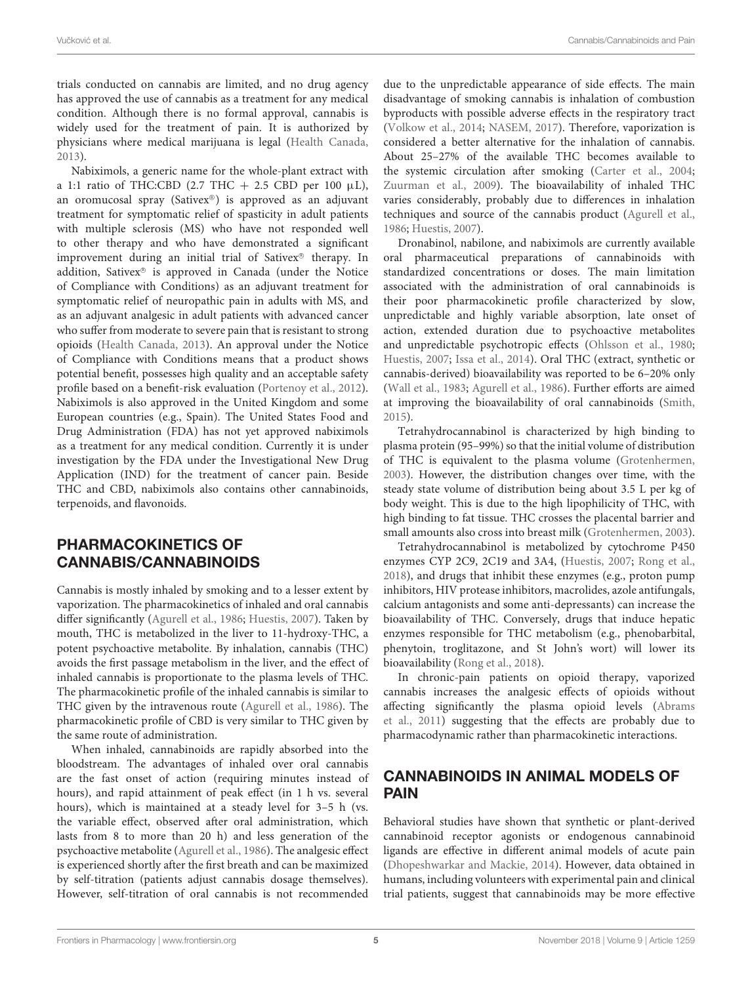trials conducted on cannabis are limited, and no drug agency has approved the use of cannabis as a treatment for any medical condition. Although there is no formal approval, cannabis is widely used for the treatment of pain. It is authorized by physicians where medical marijuana is legal [\(Health Canada,](#page-14-12) [2013\)](#page-14-12).

Nabiximols, a generic name for the whole-plant extract with a 1:1 ratio of THC:CBD (2.7 THC + 2.5 CBD per 100  $\mu$ L), an oromucosal spray (Sativex®) is approved as an adjuvant treatment for symptomatic relief of spasticity in adult patients with multiple sclerosis (MS) who have not responded well to other therapy and who have demonstrated a significant improvement during an initial trial of Sativex® therapy. In addition, Sativex® is approved in Canada (under the Notice of Compliance with Conditions) as an adjuvant treatment for symptomatic relief of neuropathic pain in adults with MS, and as an adjuvant analgesic in adult patients with advanced cancer who suffer from moderate to severe pain that is resistant to strong opioids [\(Health Canada,](#page-14-12) [2013\)](#page-14-12). An approval under the Notice of Compliance with Conditions means that a product shows potential benefit, possesses high quality and an acceptable safety profile based on a benefit-risk evaluation [\(Portenoy et al.,](#page-16-16) [2012\)](#page-16-16). Nabiximols is also approved in the United Kingdom and some European countries (e.g., Spain). The United States Food and Drug Administration (FDA) has not yet approved nabiximols as a treatment for any medical condition. Currently it is under investigation by the FDA under the Investigational New Drug Application (IND) for the treatment of cancer pain. Beside THC and CBD, nabiximols also contains other cannabinoids, terpenoids, and flavonoids.

### PHARMACOKINETICS OF CANNABIS/CANNABINOIDS

Cannabis is mostly inhaled by smoking and to a lesser extent by vaporization. The pharmacokinetics of inhaled and oral cannabis differ significantly [\(Agurell et al.,](#page-12-9) [1986;](#page-12-9) [Huestis,](#page-14-11) [2007\)](#page-14-11). Taken by mouth, THC is metabolized in the liver to 11-hydroxy-THC, a potent psychoactive metabolite. By inhalation, cannabis (THC) avoids the first passage metabolism in the liver, and the effect of inhaled cannabis is proportionate to the plasma levels of THC. The pharmacokinetic profile of the inhaled cannabis is similar to THC given by the intravenous route [\(Agurell et al.,](#page-12-9) [1986\)](#page-12-9). The pharmacokinetic profile of CBD is very similar to THC given by the same route of administration.

When inhaled, cannabinoids are rapidly absorbed into the bloodstream. The advantages of inhaled over oral cannabis are the fast onset of action (requiring minutes instead of hours), and rapid attainment of peak effect (in 1 h vs. several hours), which is maintained at a steady level for 3–5 h (vs. the variable effect, observed after oral administration, which lasts from 8 to more than 20 h) and less generation of the psychoactive metabolite [\(Agurell et al.,](#page-12-9) [1986\)](#page-12-9). The analgesic effect is experienced shortly after the first breath and can be maximized by self-titration (patients adjust cannabis dosage themselves). However, self-titration of oral cannabis is not recommended

due to the unpredictable appearance of side effects. The main disadvantage of smoking cannabis is inhalation of combustion byproducts with possible adverse effects in the respiratory tract [\(Volkow et al.,](#page-17-7) [2014;](#page-17-7) [NASEM,](#page-15-0) [2017\)](#page-15-0). Therefore, vaporization is considered a better alternative for the inhalation of cannabis. About 25–27% of the available THC becomes available to the systemic circulation after smoking [\(Carter et al.,](#page-13-8) [2004;](#page-13-8) [Zuurman et al.,](#page-18-5) [2009\)](#page-18-5). The bioavailability of inhaled THC varies considerably, probably due to differences in inhalation techniques and source of the cannabis product [\(Agurell et al.,](#page-12-9) [1986;](#page-12-9) [Huestis,](#page-14-11) [2007\)](#page-14-11).

Dronabinol, nabilone, and nabiximols are currently available oral pharmaceutical preparations of cannabinoids with standardized concentrations or doses. The main limitation associated with the administration of oral cannabinoids is their poor pharmacokinetic profile characterized by slow, unpredictable and highly variable absorption, late onset of action, extended duration due to psychoactive metabolites and unpredictable psychotropic effects [\(Ohlsson et al.,](#page-16-17) [1980;](#page-16-17) [Huestis,](#page-14-11) [2007;](#page-14-11) [Issa et al.,](#page-14-13) [2014\)](#page-14-13). Oral THC (extract, synthetic or cannabis-derived) bioavailability was reported to be 6–20% only [\(Wall et al.,](#page-17-18) [1983;](#page-17-18) [Agurell et al.,](#page-12-9) [1986\)](#page-12-9). Further efforts are aimed at improving the bioavailability of oral cannabinoids [\(Smith,](#page-17-19) [2015\)](#page-17-19).

Tetrahydrocannabinol is characterized by high binding to plasma protein (95–99%) so that the initial volume of distribution of THC is equivalent to the plasma volume [\(Grotenhermen,](#page-14-14) [2003\)](#page-14-14). However, the distribution changes over time, with the steady state volume of distribution being about 3.5 L per kg of body weight. This is due to the high lipophilicity of THC, with high binding to fat tissue. THC crosses the placental barrier and small amounts also cross into breast milk [\(Grotenhermen,](#page-14-14) [2003\)](#page-14-14).

Tetrahydrocannabinol is metabolized by cytochrome P450 enzymes CYP 2C9, 2C19 and 3A4, [\(Huestis,](#page-14-11) [2007;](#page-14-11) [Rong et al.,](#page-16-18) [2018\)](#page-16-18), and drugs that inhibit these enzymes (e.g., proton pump inhibitors, HIV protease inhibitors, macrolides, azole antifungals, calcium antagonists and some anti-depressants) can increase the bioavailability of THC. Conversely, drugs that induce hepatic enzymes responsible for THC metabolism (e.g., phenobarbital, phenytoin, troglitazone, and St John's wort) will lower its bioavailability [\(Rong et al.,](#page-16-18) [2018\)](#page-16-18).

In chronic-pain patients on opioid therapy, vaporized cannabis increases the analgesic effects of opioids without affecting significantly the plasma opioid levels [\(Abrams](#page-12-10) [et al.,](#page-12-10) [2011\)](#page-12-10) suggesting that the effects are probably due to pharmacodynamic rather than pharmacokinetic interactions.

### CANNABINOIDS IN ANIMAL MODELS OF PAIN

Behavioral studies have shown that synthetic or plant-derived cannabinoid receptor agonists or endogenous cannabinoid ligands are effective in different animal models of acute pain [\(Dhopeshwarkar and Mackie,](#page-13-9) [2014\)](#page-13-9). However, data obtained in humans, including volunteers with experimental pain and clinical trial patients, suggest that cannabinoids may be more effective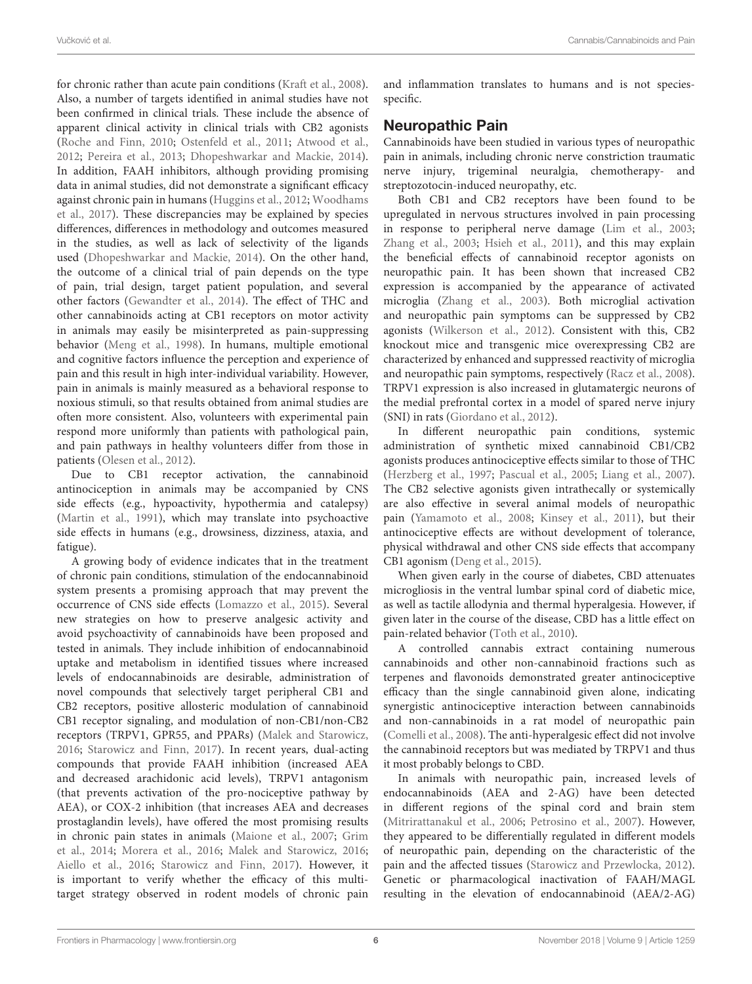for chronic rather than acute pain conditions [\(Kraft et al.,](#page-15-9) [2008\)](#page-15-9). Also, a number of targets identified in animal studies have not been confirmed in clinical trials. These include the absence of apparent clinical activity in clinical trials with CB2 agonists [\(Roche and Finn,](#page-16-19) [2010;](#page-16-19) [Ostenfeld et al.,](#page-16-20) [2011;](#page-16-20) [Atwood et al.,](#page-12-7) [2012;](#page-12-7) [Pereira et al.,](#page-16-21) [2013;](#page-16-21) [Dhopeshwarkar and Mackie,](#page-13-9) [2014\)](#page-13-9). In addition, FAAH inhibitors, although providing promising data in animal studies, did not demonstrate a significant efficacy against chronic pain in humans [\(Huggins et al.,](#page-14-15) [2012;](#page-14-15) [Woodhams](#page-18-6) [et al.,](#page-18-6) [2017\)](#page-18-6). These discrepancies may be explained by species differences, differences in methodology and outcomes measured in the studies, as well as lack of selectivity of the ligands used [\(Dhopeshwarkar and Mackie,](#page-13-9) [2014\)](#page-13-9). On the other hand, the outcome of a clinical trial of pain depends on the type of pain, trial design, target patient population, and several other factors [\(Gewandter et al.,](#page-13-10) [2014\)](#page-13-10). The effect of THC and other cannabinoids acting at CB1 receptors on motor activity in animals may easily be misinterpreted as pain-suppressing behavior [\(Meng et al.,](#page-15-10) [1998\)](#page-15-10). In humans, multiple emotional and cognitive factors influence the perception and experience of pain and this result in high inter-individual variability. However, pain in animals is mainly measured as a behavioral response to noxious stimuli, so that results obtained from animal studies are often more consistent. Also, volunteers with experimental pain respond more uniformly than patients with pathological pain, and pain pathways in healthy volunteers differ from those in patients [\(Olesen et al.,](#page-16-22) [2012\)](#page-16-22).

Due to CB1 receptor activation, the cannabinoid antinociception in animals may be accompanied by CNS side effects (e.g., hypoactivity, hypothermia and catalepsy) [\(Martin et al.,](#page-15-11) [1991\)](#page-15-11), which may translate into psychoactive side effects in humans (e.g., drowsiness, dizziness, ataxia, and fatigue).

A growing body of evidence indicates that in the treatment of chronic pain conditions, stimulation of the endocannabinoid system presents a promising approach that may prevent the occurrence of CNS side effects [\(Lomazzo et al.,](#page-15-12) [2015\)](#page-15-12). Several new strategies on how to preserve analgesic activity and avoid psychoactivity of cannabinoids have been proposed and tested in animals. They include inhibition of endocannabinoid uptake and metabolism in identified tissues where increased levels of endocannabinoids are desirable, administration of novel compounds that selectively target peripheral CB1 and CB2 receptors, positive allosteric modulation of cannabinoid CB1 receptor signaling, and modulation of non-CB1/non-CB2 receptors (TRPV1, GPR55, and PPARs) [\(Malek and Starowicz,](#page-15-13) [2016;](#page-15-13) [Starowicz and Finn,](#page-17-20) [2017\)](#page-17-20). In recent years, dual-acting compounds that provide FAAH inhibition (increased AEA and decreased arachidonic acid levels), TRPV1 antagonism (that prevents activation of the pro-nociceptive pathway by AEA), or COX-2 inhibition (that increases AEA and decreases prostaglandin levels), have offered the most promising results in chronic pain states in animals [\(Maione et al.,](#page-15-14) [2007;](#page-15-14) [Grim](#page-14-16) [et al.,](#page-14-16) [2014;](#page-14-16) [Morera et al.,](#page-15-15) [2016;](#page-15-15) [Malek and Starowicz,](#page-15-13) [2016;](#page-15-13) [Aiello et al.,](#page-12-11) [2016;](#page-12-11) [Starowicz and Finn,](#page-17-20) [2017\)](#page-17-20). However, it is important to verify whether the efficacy of this multitarget strategy observed in rodent models of chronic pain

and inflammation translates to humans and is not speciesspecific.

### Neuropathic Pain

Cannabinoids have been studied in various types of neuropathic pain in animals, including chronic nerve constriction traumatic nerve injury, trigeminal neuralgia, chemotherapy- and streptozotocin-induced neuropathy, etc.

Both CB1 and CB2 receptors have been found to be upregulated in nervous structures involved in pain processing in response to peripheral nerve damage [\(Lim et al.,](#page-15-16) [2003;](#page-15-16) [Zhang et al.,](#page-18-7) [2003;](#page-18-7) [Hsieh et al.,](#page-14-7) [2011\)](#page-14-7), and this may explain the beneficial effects of cannabinoid receptor agonists on neuropathic pain. It has been shown that increased CB2 expression is accompanied by the appearance of activated microglia [\(Zhang et al.,](#page-18-7) [2003\)](#page-18-7). Both microglial activation and neuropathic pain symptoms can be suppressed by CB2 agonists [\(Wilkerson et al.,](#page-18-8) [2012\)](#page-18-8). Consistent with this, CB2 knockout mice and transgenic mice overexpressing CB2 are characterized by enhanced and suppressed reactivity of microglia and neuropathic pain symptoms, respectively [\(Racz et al.,](#page-16-23) [2008\)](#page-16-23). TRPV1 expression is also increased in glutamatergic neurons of the medial prefrontal cortex in a model of spared nerve injury (SNI) in rats [\(Giordano et al.,](#page-13-11) [2012\)](#page-13-11).

In different neuropathic pain conditions, systemic administration of synthetic mixed cannabinoid CB1/CB2 agonists produces antinociceptive effects similar to those of THC [\(Herzberg et al.,](#page-14-17) [1997;](#page-14-17) [Pascual et al.,](#page-16-24) [2005;](#page-16-24) [Liang et al.,](#page-15-17) [2007\)](#page-15-17). The CB2 selective agonists given intrathecally or systemically are also effective in several animal models of neuropathic pain [\(Yamamoto et al.,](#page-18-9) [2008;](#page-18-9) [Kinsey et al.,](#page-15-18) [2011\)](#page-15-18), but their antinociceptive effects are without development of tolerance, physical withdrawal and other CNS side effects that accompany CB1 agonism [\(Deng et al.,](#page-13-12) [2015\)](#page-13-12).

When given early in the course of diabetes, CBD attenuates microgliosis in the ventral lumbar spinal cord of diabetic mice, as well as tactile allodynia and thermal hyperalgesia. However, if given later in the course of the disease, CBD has a little effect on pain-related behavior [\(Toth et al.,](#page-17-21) [2010\)](#page-17-21).

A controlled cannabis extract containing numerous cannabinoids and other non-cannabinoid fractions such as terpenes and flavonoids demonstrated greater antinociceptive efficacy than the single cannabinoid given alone, indicating synergistic antinociceptive interaction between cannabinoids and non-cannabinoids in a rat model of neuropathic pain [\(Comelli et al.,](#page-13-13) [2008\)](#page-13-13). The anti-hyperalgesic effect did not involve the cannabinoid receptors but was mediated by TRPV1 and thus it most probably belongs to CBD.

In animals with neuropathic pain, increased levels of endocannabinoids (AEA and 2-AG) have been detected in different regions of the spinal cord and brain stem [\(Mitrirattanakul et al.,](#page-15-19) [2006;](#page-15-19) [Petrosino et al.,](#page-16-25) [2007\)](#page-16-25). However, they appeared to be differentially regulated in different models of neuropathic pain, depending on the characteristic of the pain and the affected tissues [\(Starowicz and Przewlocka,](#page-17-15) [2012\)](#page-17-15). Genetic or pharmacological inactivation of FAAH/MAGL resulting in the elevation of endocannabinoid (AEA/2-AG)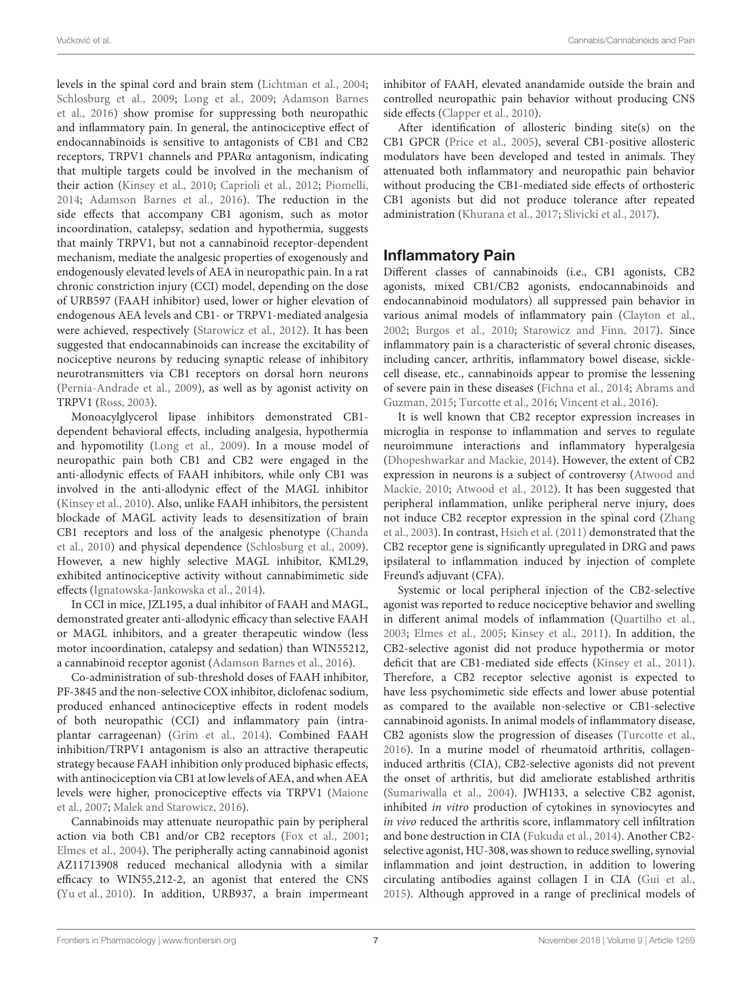levels in the spinal cord and brain stem [\(Lichtman et al.,](#page-15-20) [2004;](#page-15-20) [Schlosburg et al.,](#page-17-22) [2009;](#page-17-22) [Long et al.,](#page-15-21) [2009;](#page-15-21) [Adamson Barnes](#page-12-12) [et al.,](#page-12-12) [2016\)](#page-12-12) show promise for suppressing both neuropathic and inflammatory pain. In general, the antinociceptive effect of endocannabinoids is sensitive to antagonists of CB1 and CB2 receptors, TRPV1 channels and PPARα antagonism, indicating that multiple targets could be involved in the mechanism of their action [\(Kinsey et al.,](#page-15-22) [2010;](#page-15-22) [Caprioli et al.,](#page-13-14) [2012;](#page-13-14) [Piomelli,](#page-16-26) [2014;](#page-16-26) [Adamson Barnes et al.,](#page-12-12) [2016\)](#page-12-12). The reduction in the side effects that accompany CB1 agonism, such as motor incoordination, catalepsy, sedation and hypothermia, suggests that mainly TRPV1, but not a cannabinoid receptor-dependent mechanism, mediate the analgesic properties of exogenously and endogenously elevated levels of AEA in neuropathic pain. In a rat chronic constriction injury (CCI) model, depending on the dose of URB597 (FAAH inhibitor) used, lower or higher elevation of endogenous AEA levels and CB1- or TRPV1-mediated analgesia were achieved, respectively [\(Starowicz et al.,](#page-17-23) [2012\)](#page-17-23). It has been suggested that endocannabinoids can increase the excitability of nociceptive neurons by reducing synaptic release of inhibitory neurotransmitters via CB1 receptors on dorsal horn neurons [\(Pernía-Andrade et al.,](#page-16-27) [2009\)](#page-16-27), as well as by agonist activity on TRPV1 [\(Ross,](#page-16-1) [2003\)](#page-16-1).

Monoacylglycerol lipase inhibitors demonstrated CB1 dependent behavioral effects, including analgesia, hypothermia and hypomotility [\(Long et al.,](#page-15-21) [2009\)](#page-15-21). In a mouse model of neuropathic pain both CB1 and CB2 were engaged in the anti-allodynic effects of FAAH inhibitors, while only CB1 was involved in the anti-allodynic effect of the MAGL inhibitor [\(Kinsey et al.,](#page-15-22) [2010\)](#page-15-22). Also, unlike FAAH inhibitors, the persistent blockade of MAGL activity leads to desensitization of brain CB1 receptors and loss of the analgesic phenotype [\(Chanda](#page-13-15) [et al.,](#page-13-15) [2010\)](#page-13-15) and physical dependence [\(Schlosburg et al.,](#page-17-22) [2009\)](#page-17-22). However, a new highly selective MAGL inhibitor, KML29, exhibited antinociceptive activity without cannabimimetic side effects [\(Ignatowska-Jankowska et al.,](#page-14-18) [2014\)](#page-14-18).

In CCI in mice, JZL195, a dual inhibitor of FAAH and MAGL, demonstrated greater anti-allodynic efficacy than selective FAAH or MAGL inhibitors, and a greater therapeutic window (less motor incoordination, catalepsy and sedation) than WIN55212, a cannabinoid receptor agonist [\(Adamson Barnes et al.,](#page-12-12) [2016\)](#page-12-12).

Co-administration of sub-threshold doses of FAAH inhibitor, PF-3845 and the non-selective COX inhibitor, diclofenac sodium, produced enhanced antinociceptive effects in rodent models of both neuropathic (CCI) and inflammatory pain (intraplantar carrageenan) [\(Grim et al.,](#page-14-16) [2014\)](#page-14-16). Combined FAAH inhibition/TRPV1 antagonism is also an attractive therapeutic strategy because FAAH inhibition only produced biphasic effects, with antinociception via CB1 at low levels of AEA, and when AEA levels were higher, pronociceptive effects via TRPV1 [\(Maione](#page-15-14) [et al.,](#page-15-14) [2007;](#page-15-14) [Malek and Starowicz,](#page-15-13) [2016\)](#page-15-13).

Cannabinoids may attenuate neuropathic pain by peripheral action via both CB1 and/or CB2 receptors [\(Fox et al.,](#page-13-16) [2001;](#page-13-16) [Elmes et al.,](#page-13-17) [2004\)](#page-13-17). The peripherally acting cannabinoid agonist AZ11713908 reduced mechanical allodynia with a similar efficacy to WIN55,212-2, an agonist that entered the CNS [\(Yu et al.,](#page-18-10) [2010\)](#page-18-10). In addition, URB937, a brain impermeant

inhibitor of FAAH, elevated anandamide outside the brain and controlled neuropathic pain behavior without producing CNS side effects [\(Clapper et al.,](#page-13-18) [2010\)](#page-13-18).

After identification of allosteric binding site(s) on the CB1 GPCR [\(Price et al.,](#page-16-28) [2005\)](#page-16-28), several CB1-positive allosteric modulators have been developed and tested in animals. They attenuated both inflammatory and neuropathic pain behavior without producing the CB1-mediated side effects of orthosteric CB1 agonists but did not produce tolerance after repeated administration [\(Khurana et al.,](#page-15-23) [2017;](#page-15-23) [Slivicki et al.,](#page-17-24) [2017\)](#page-17-24).

# Inflammatory Pain

Different classes of cannabinoids (i.e., CB1 agonists, CB2 agonists, mixed CB1/CB2 agonists, endocannabinoids and endocannabinoid modulators) all suppressed pain behavior in various animal models of inflammatory pain [\(Clayton et al.,](#page-13-19) [2002;](#page-13-19) [Burgos et al.,](#page-13-20) [2010;](#page-13-20) [Starowicz and Finn,](#page-17-20) [2017\)](#page-17-20). Since inflammatory pain is a characteristic of several chronic diseases, including cancer, arthritis, inflammatory bowel disease, sicklecell disease, etc., cannabinoids appear to promise the lessening of severe pain in these diseases [\(Fichna et al.,](#page-13-21) [2014;](#page-13-21) [Abrams and](#page-12-6) [Guzman,](#page-12-6) [2015;](#page-12-6) [Turcotte et al.,](#page-17-25) [2016;](#page-17-25) [Vincent et al.,](#page-17-26) [2016\)](#page-17-26).

It is well known that CB2 receptor expression increases in microglia in response to inflammation and serves to regulate neuroimmune interactions and inflammatory hyperalgesia [\(Dhopeshwarkar and Mackie,](#page-13-9) [2014\)](#page-13-9). However, the extent of CB2 expression in neurons is a subject of controversy [\(Atwood and](#page-12-13) [Mackie,](#page-12-13) [2010;](#page-12-13) [Atwood et al.,](#page-12-7) [2012\)](#page-12-7). It has been suggested that peripheral inflammation, unlike peripheral nerve injury, does not induce CB2 receptor expression in the spinal cord [\(Zhang](#page-18-7) [et al.,](#page-18-7) [2003\)](#page-18-7). In contrast, [Hsieh et al.](#page-14-7) [\(2011\)](#page-14-7) demonstrated that the CB2 receptor gene is significantly upregulated in DRG and paws ipsilateral to inflammation induced by injection of complete Freund's adjuvant (CFA).

Systemic or local peripheral injection of the CB2-selective agonist was reported to reduce nociceptive behavior and swelling in different animal models of inflammation [\(Quartilho et al.,](#page-16-29) [2003;](#page-16-29) [Elmes et al.,](#page-13-22) [2005;](#page-13-22) [Kinsey et al.,](#page-15-18) [2011\)](#page-15-18). In addition, the CB2-selective agonist did not produce hypothermia or motor deficit that are CB1-mediated side effects [\(Kinsey et al.,](#page-15-18) [2011\)](#page-15-18). Therefore, a CB2 receptor selective agonist is expected to have less psychomimetic side effects and lower abuse potential as compared to the available non-selective or CB1-selective cannabinoid agonists. In animal models of inflammatory disease, CB2 agonists slow the progression of diseases [\(Turcotte et al.,](#page-17-25) [2016\)](#page-17-25). In a murine model of rheumatoid arthritis, collageninduced arthritis (CIA), CB2-selective agonists did not prevent the onset of arthritis, but did ameliorate established arthritis [\(Sumariwalla et al.,](#page-17-27) [2004\)](#page-17-27). JWH133, a selective CB2 agonist, inhibited in vitro production of cytokines in synoviocytes and in vivo reduced the arthritis score, inflammatory cell infiltration and bone destruction in CIA [\(Fukuda et al.,](#page-13-23) [2014\)](#page-13-23). Another CB2 selective agonist, HU-308, was shown to reduce swelling, synovial inflammation and joint destruction, in addition to lowering circulating antibodies against collagen I in CIA [\(Gui et al.,](#page-14-19) [2015\)](#page-14-19). Although approved in a range of preclinical models of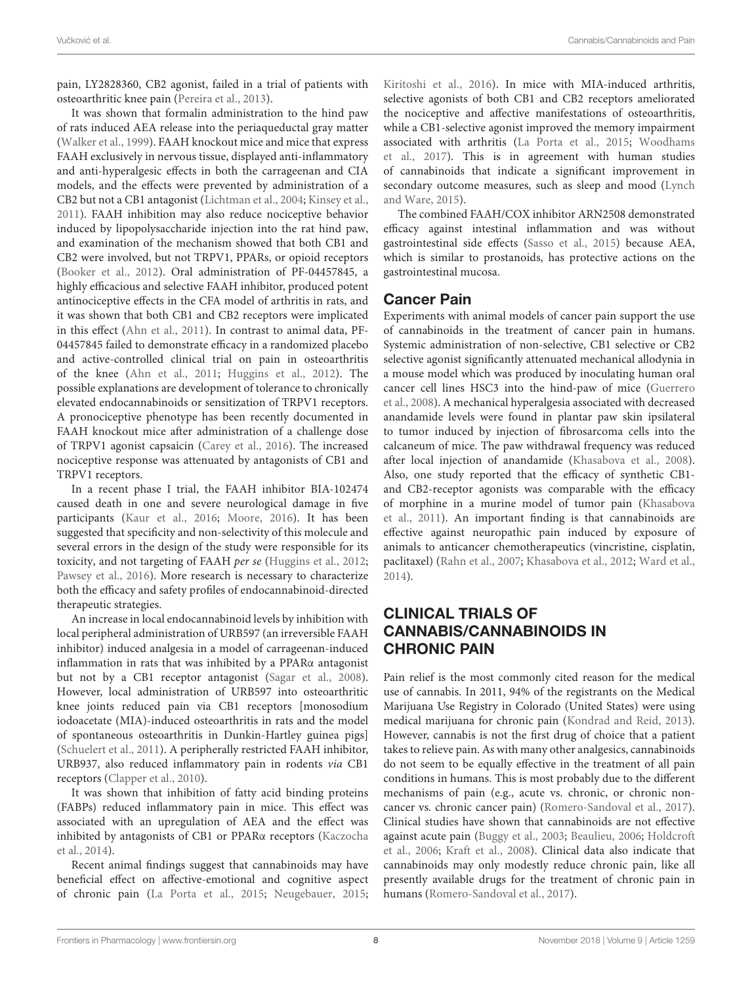pain, LY2828360, CB2 agonist, failed in a trial of patients with osteoarthritic knee pain [\(Pereira et al.,](#page-16-21) [2013\)](#page-16-21).

It was shown that formalin administration to the hind paw of rats induced AEA release into the periaqueductal gray matter [\(Walker et al.,](#page-17-28) [1999\)](#page-17-28). FAAH knockout mice and mice that express FAAH exclusively in nervous tissue, displayed anti-inflammatory and anti-hyperalgesic effects in both the carrageenan and CIA models, and the effects were prevented by administration of a CB2 but not a CB1 antagonist [\(Lichtman et al.,](#page-15-20) [2004;](#page-15-20) [Kinsey et al.,](#page-15-18) [2011\)](#page-15-18). FAAH inhibition may also reduce nociceptive behavior induced by lipopolysaccharide injection into the rat hind paw, and examination of the mechanism showed that both CB1 and CB2 were involved, but not TRPV1, PPARs, or opioid receptors [\(Booker et al.,](#page-13-24) [2012\)](#page-13-24). Oral administration of PF-04457845, a highly efficacious and selective FAAH inhibitor, produced potent antinociceptive effects in the CFA model of arthritis in rats, and it was shown that both CB1 and CB2 receptors were implicated in this effect [\(Ahn et al.,](#page-12-14) [2011\)](#page-12-14). In contrast to animal data, PF-04457845 failed to demonstrate efficacy in a randomized placebo and active-controlled clinical trial on pain in osteoarthritis of the knee [\(Ahn et al.,](#page-12-14) [2011;](#page-12-14) [Huggins et al.,](#page-14-15) [2012\)](#page-14-15). The possible explanations are development of tolerance to chronically elevated endocannabinoids or sensitization of TRPV1 receptors. A pronociceptive phenotype has been recently documented in FAAH knockout mice after administration of a challenge dose of TRPV1 agonist capsaicin [\(Carey et al.,](#page-13-25) [2016\)](#page-13-25). The increased nociceptive response was attenuated by antagonists of CB1 and TRPV1 receptors.

In a recent phase I trial, the FAAH inhibitor BIA-102474 caused death in one and severe neurological damage in five participants [\(Kaur et al.,](#page-14-20) [2016;](#page-14-20) [Moore,](#page-15-24) [2016\)](#page-15-24). It has been suggested that specificity and non-selectivity of this molecule and several errors in the design of the study were responsible for its toxicity, and not targeting of FAAH per se [\(Huggins et al.,](#page-14-15) [2012;](#page-14-15) [Pawsey et al.,](#page-16-30) [2016\)](#page-16-30). More research is necessary to characterize both the efficacy and safety profiles of endocannabinoid-directed therapeutic strategies.

An increase in local endocannabinoid levels by inhibition with local peripheral administration of URB597 (an irreversible FAAH inhibitor) induced analgesia in a model of carrageenan-induced inflammation in rats that was inhibited by a PPARα antagonist but not by a CB1 receptor antagonist [\(Sagar et al.,](#page-17-29) [2008\)](#page-17-29). However, local administration of URB597 into osteoarthritic knee joints reduced pain via CB1 receptors [monosodium iodoacetate (MIA)-induced osteoarthritis in rats and the model of spontaneous osteoarthritis in Dunkin-Hartley guinea pigs] [\(Schuelert et al.,](#page-17-30) [2011\)](#page-17-30). A peripherally restricted FAAH inhibitor, URB937, also reduced inflammatory pain in rodents via CB1 receptors [\(Clapper et al.,](#page-13-18) [2010\)](#page-13-18).

It was shown that inhibition of fatty acid binding proteins (FABPs) reduced inflammatory pain in mice. This effect was associated with an upregulation of AEA and the effect was inhibited by antagonists of CB1 or PPARα receptors [\(Kaczocha](#page-14-21) [et al.,](#page-14-21) [2014\)](#page-14-21).

Recent animal findings suggest that cannabinoids may have beneficial effect on affective-emotional and cognitive aspect of chronic pain [\(La Porta et al.,](#page-15-25) [2015;](#page-15-25) [Neugebauer,](#page-15-26) [2015;](#page-15-26) [Kiritoshi et al.,](#page-15-27) [2016\)](#page-15-27). In mice with MIA-induced arthritis, selective agonists of both CB1 and CB2 receptors ameliorated the nociceptive and affective manifestations of osteoarthritis, while a CB1-selective agonist improved the memory impairment associated with arthritis [\(La Porta et al.,](#page-15-25) [2015;](#page-15-25) [Woodhams](#page-18-6) [et al.,](#page-18-6) [2017\)](#page-18-6). This is in agreement with human studies of cannabinoids that indicate a significant improvement in secondary outcome measures, such as sleep and mood [\(Lynch](#page-15-28) [and Ware,](#page-15-28) [2015\)](#page-15-28).

The combined FAAH/COX inhibitor ARN2508 demonstrated efficacy against intestinal inflammation and was without gastrointestinal side effects [\(Sasso et al.,](#page-17-31) [2015\)](#page-17-31) because AEA, which is similar to prostanoids, has protective actions on the gastrointestinal mucosa.

### Cancer Pain

Experiments with animal models of cancer pain support the use of cannabinoids in the treatment of cancer pain in humans. Systemic administration of non-selective, CB1 selective or CB2 selective agonist significantly attenuated mechanical allodynia in a mouse model which was produced by inoculating human oral cancer cell lines HSC3 into the hind-paw of mice [\(Guerrero](#page-14-22) [et al.,](#page-14-22) [2008\)](#page-14-22). A mechanical hyperalgesia associated with decreased anandamide levels were found in plantar paw skin ipsilateral to tumor induced by injection of fibrosarcoma cells into the calcaneum of mice. The paw withdrawal frequency was reduced after local injection of anandamide [\(Khasabova et al.,](#page-14-23) [2008\)](#page-14-23). Also, one study reported that the efficacy of synthetic CB1 and CB2-receptor agonists was comparable with the efficacy of morphine in a murine model of tumor pain [\(Khasabova](#page-14-24) [et al.,](#page-14-24) [2011\)](#page-14-24). An important finding is that cannabinoids are effective against neuropathic pain induced by exposure of animals to anticancer chemotherapeutics (vincristine, cisplatin, paclitaxel) [\(Rahn et al.,](#page-16-31) [2007;](#page-16-31) [Khasabova et al.,](#page-14-25) [2012;](#page-14-25) [Ward et al.,](#page-17-32) [2014\)](#page-17-32).

# CLINICAL TRIALS OF CANNABIS/CANNABINOIDS IN CHRONIC PAIN

Pain relief is the most commonly cited reason for the medical use of cannabis. In 2011, 94% of the registrants on the Medical Marijuana Use Registry in Colorado (United States) were using medical marijuana for chronic pain [\(Kondrad and Reid,](#page-15-29) [2013\)](#page-15-29). However, cannabis is not the first drug of choice that a patient takes to relieve pain. As with many other analgesics, cannabinoids do not seem to be equally effective in the treatment of all pain conditions in humans. This is most probably due to the different mechanisms of pain (e.g., acute vs. chronic, or chronic noncancer vs. chronic cancer pain) [\(Romero-Sandoval et al.,](#page-16-32) [2017\)](#page-16-32). Clinical studies have shown that cannabinoids are not effective against acute pain [\(Buggy et al.,](#page-13-26) [2003;](#page-13-26) [Beaulieu,](#page-12-15) [2006;](#page-12-15) [Holdcroft](#page-14-26) [et al.,](#page-14-26) [2006;](#page-14-26) [Kraft et al.,](#page-15-9) [2008\)](#page-15-9). Clinical data also indicate that cannabinoids may only modestly reduce chronic pain, like all presently available drugs for the treatment of chronic pain in humans [\(Romero-Sandoval et al.,](#page-16-32) [2017\)](#page-16-32).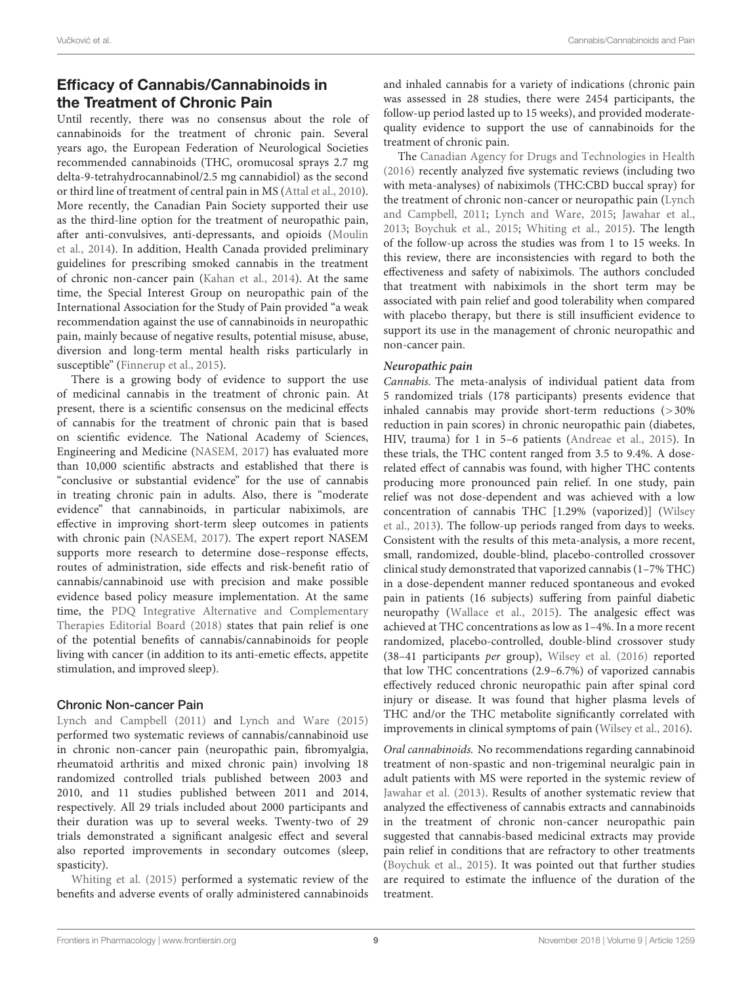# Efficacy of Cannabis/Cannabinoids in the Treatment of Chronic Pain

Until recently, there was no consensus about the role of cannabinoids for the treatment of chronic pain. Several years ago, the European Federation of Neurological Societies recommended cannabinoids (THC, oromucosal sprays 2.7 mg delta-9-tetrahydrocannabinol/2.5 mg cannabidiol) as the second or third line of treatment of central pain in MS [\(Attal et al.,](#page-12-16) [2010\)](#page-12-16). More recently, the Canadian Pain Society supported their use as the third-line option for the treatment of neuropathic pain, after anti-convulsives, anti-depressants, and opioids [\(Moulin](#page-15-30) [et al.,](#page-15-30) [2014\)](#page-15-30). In addition, Health Canada provided preliminary guidelines for prescribing smoked cannabis in the treatment of chronic non-cancer pain [\(Kahan et al.,](#page-14-27) [2014\)](#page-14-27). At the same time, the Special Interest Group on neuropathic pain of the International Association for the Study of Pain provided "a weak recommendation against the use of cannabinoids in neuropathic pain, mainly because of negative results, potential misuse, abuse, diversion and long-term mental health risks particularly in susceptible" [\(Finnerup et al.,](#page-13-27) [2015\)](#page-13-27).

There is a growing body of evidence to support the use of medicinal cannabis in the treatment of chronic pain. At present, there is a scientific consensus on the medicinal effects of cannabis for the treatment of chronic pain that is based on scientific evidence. The National Academy of Sciences, Engineering and Medicine [\(NASEM,](#page-15-0) [2017\)](#page-15-0) has evaluated more than 10,000 scientific abstracts and established that there is "conclusive or substantial evidence" for the use of cannabis in treating chronic pain in adults. Also, there is "moderate evidence" that cannabinoids, in particular nabiximols, are effective in improving short-term sleep outcomes in patients with chronic pain [\(NASEM,](#page-15-0) [2017\)](#page-15-0). The expert report NASEM supports more research to determine dose–response effects, routes of administration, side effects and risk-benefit ratio of cannabis/cannabinoid use with precision and make possible evidence based policy measure implementation. At the same time, the [PDQ Integrative Alternative and Complementary](#page-16-33) [Therapies Editorial Board](#page-16-33) [\(2018\)](#page-16-33) states that pain relief is one of the potential benefits of cannabis/cannabinoids for people living with cancer (in addition to its anti-emetic effects, appetite stimulation, and improved sleep).

#### Chronic Non-cancer Pain

[Lynch and Campbell](#page-15-31) [\(2011\)](#page-15-31) and [Lynch and Ware](#page-15-28) [\(2015\)](#page-15-28) performed two systematic reviews of cannabis/cannabinoid use in chronic non-cancer pain (neuropathic pain, fibromyalgia, rheumatoid arthritis and mixed chronic pain) involving 18 randomized controlled trials published between 2003 and 2010, and 11 studies published between 2011 and 2014, respectively. All 29 trials included about 2000 participants and their duration was up to several weeks. Twenty-two of 29 trials demonstrated a significant analgesic effect and several also reported improvements in secondary outcomes (sleep, spasticity).

[Whiting et al.](#page-17-33) [\(2015\)](#page-17-33) performed a systematic review of the benefits and adverse events of orally administered cannabinoids

and inhaled cannabis for a variety of indications (chronic pain was assessed in 28 studies, there were 2454 participants, the follow-up period lasted up to 15 weeks), and provided moderatequality evidence to support the use of cannabinoids for the treatment of chronic pain.

The [Canadian Agency for Drugs and Technologies in Health](#page-13-28) [\(2016\)](#page-13-28) recently analyzed five systematic reviews (including two with meta-analyses) of nabiximols (THC:CBD buccal spray) for the treatment of chronic non-cancer or neuropathic pain [\(Lynch](#page-15-31) [and Campbell,](#page-15-31) [2011;](#page-15-31) [Lynch and Ware,](#page-15-28) [2015;](#page-15-28) [Jawahar et al.,](#page-14-28) [2013;](#page-14-28) [Boychuk et al.,](#page-13-29) [2015;](#page-13-29) [Whiting et al.,](#page-17-33) [2015\)](#page-17-33). The length of the follow-up across the studies was from 1 to 15 weeks. In this review, there are inconsistencies with regard to both the effectiveness and safety of nabiximols. The authors concluded that treatment with nabiximols in the short term may be associated with pain relief and good tolerability when compared with placebo therapy, but there is still insufficient evidence to support its use in the management of chronic neuropathic and non-cancer pain.

#### **Neuropathic pain**

Cannabis. The meta-analysis of individual patient data from 5 randomized trials (178 participants) presents evidence that inhaled cannabis may provide short-term reductions (>30% reduction in pain scores) in chronic neuropathic pain (diabetes, HIV, trauma) for 1 in 5–6 patients [\(Andreae et al.,](#page-12-17) [2015\)](#page-12-17). In these trials, the THC content ranged from 3.5 to 9.4%. A doserelated effect of cannabis was found, with higher THC contents producing more pronounced pain relief. In one study, pain relief was not dose-dependent and was achieved with a low concentration of cannabis THC [1.29% (vaporized)] [\(Wilsey](#page-18-11) [et al.,](#page-18-11) [2013\)](#page-18-11). The follow-up periods ranged from days to weeks. Consistent with the results of this meta-analysis, a more recent, small, randomized, double-blind, placebo-controlled crossover clinical study demonstrated that vaporized cannabis (1–7% THC) in a dose-dependent manner reduced spontaneous and evoked pain in patients (16 subjects) suffering from painful diabetic neuropathy [\(Wallace et al.,](#page-17-34) [2015\)](#page-17-34). The analgesic effect was achieved at THC concentrations as low as 1–4%. In a more recent randomized, placebo-controlled, double-blind crossover study (38–41 participants per group), [Wilsey et al.](#page-18-1) [\(2016\)](#page-18-1) reported that low THC concentrations (2.9–6.7%) of vaporized cannabis effectively reduced chronic neuropathic pain after spinal cord injury or disease. It was found that higher plasma levels of THC and/or the THC metabolite significantly correlated with improvements in clinical symptoms of pain [\(Wilsey et al.,](#page-18-1) [2016\)](#page-18-1).

Oral cannabinoids. No recommendations regarding cannabinoid treatment of non-spastic and non-trigeminal neuralgic pain in adult patients with MS were reported in the systemic review of [Jawahar et al.](#page-14-28) [\(2013\)](#page-14-28). Results of another systematic review that analyzed the effectiveness of cannabis extracts and cannabinoids in the treatment of chronic non-cancer neuropathic pain suggested that cannabis-based medicinal extracts may provide pain relief in conditions that are refractory to other treatments [\(Boychuk et al.,](#page-13-29) [2015\)](#page-13-29). It was pointed out that further studies are required to estimate the influence of the duration of the treatment.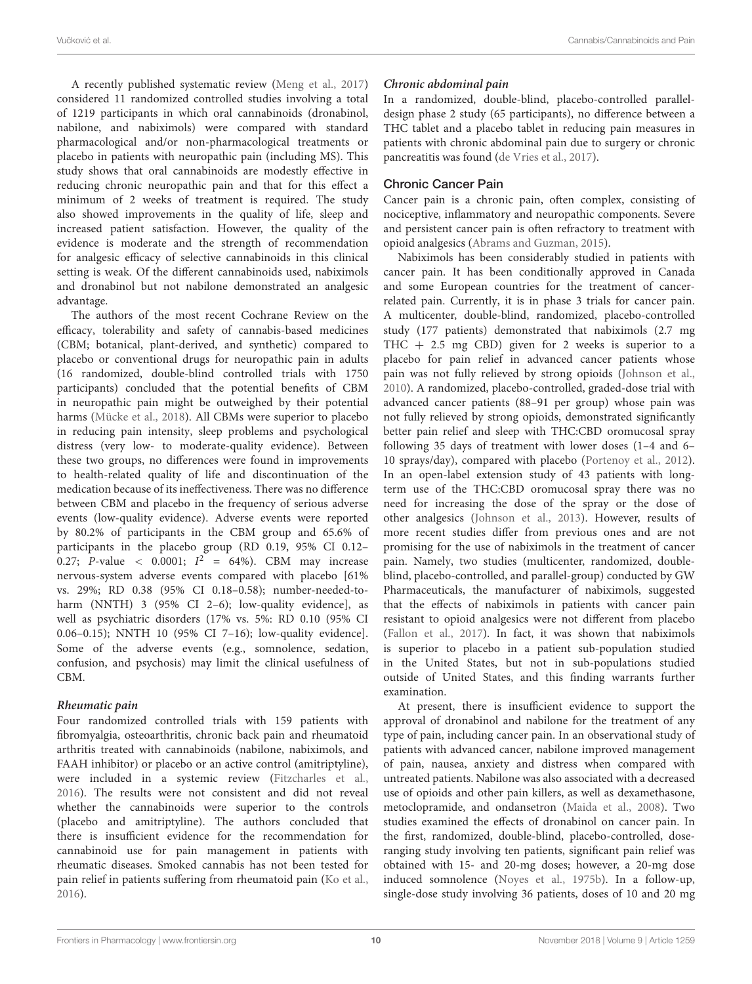A recently published systematic review [\(Meng et al.,](#page-15-32) [2017\)](#page-15-32) considered 11 randomized controlled studies involving a total of 1219 participants in which oral cannabinoids (dronabinol, nabilone, and nabiximols) were compared with standard pharmacological and/or non-pharmacological treatments or placebo in patients with neuropathic pain (including MS). This study shows that oral cannabinoids are modestly effective in reducing chronic neuropathic pain and that for this effect a minimum of 2 weeks of treatment is required. The study also showed improvements in the quality of life, sleep and increased patient satisfaction. However, the quality of the evidence is moderate and the strength of recommendation for analgesic efficacy of selective cannabinoids in this clinical setting is weak. Of the different cannabinoids used, nabiximols and dronabinol but not nabilone demonstrated an analgesic advantage.

The authors of the most recent Cochrane Review on the efficacy, tolerability and safety of cannabis-based medicines (CBM; botanical, plant-derived, and synthetic) compared to placebo or conventional drugs for neuropathic pain in adults (16 randomized, double-blind controlled trials with 1750 participants) concluded that the potential benefits of CBM in neuropathic pain might be outweighed by their potential harms [\(Mücke et al.,](#page-15-33) [2018\)](#page-15-33). All CBMs were superior to placebo in reducing pain intensity, sleep problems and psychological distress (very low- to moderate-quality evidence). Between these two groups, no differences were found in improvements to health-related quality of life and discontinuation of the medication because of its ineffectiveness. There was no difference between CBM and placebo in the frequency of serious adverse events (low-quality evidence). Adverse events were reported by 80.2% of participants in the CBM group and 65.6% of participants in the placebo group (RD 0.19, 95% CI 0.12– 0.27; P-value < 0.0001;  $I^2 = 64\%$ ). CBM may increase nervous-system adverse events compared with placebo [61% vs. 29%; RD 0.38 (95% CI 0.18–0.58); number-needed-toharm (NNTH) 3 (95% CI 2-6); low-quality evidence], as well as psychiatric disorders (17% vs. 5%: RD 0.10 (95% CI 0.06–0.15); NNTH 10 (95% CI 7–16); low-quality evidence]. Some of the adverse events (e.g., somnolence, sedation, confusion, and psychosis) may limit the clinical usefulness of CBM.

#### **Rheumatic pain**

Four randomized controlled trials with 159 patients with fibromyalgia, osteoarthritis, chronic back pain and rheumatoid arthritis treated with cannabinoids (nabilone, nabiximols, and FAAH inhibitor) or placebo or an active control (amitriptyline), were included in a systemic review [\(Fitzcharles et al.,](#page-13-30) [2016\)](#page-13-30). The results were not consistent and did not reveal whether the cannabinoids were superior to the controls (placebo and amitriptyline). The authors concluded that there is insufficient evidence for the recommendation for cannabinoid use for pain management in patients with rheumatic diseases. Smoked cannabis has not been tested for pain relief in patients suffering from rheumatoid pain [\(Ko et al.,](#page-15-5) [2016\)](#page-15-5).

#### **Chronic abdominal pain**

In a randomized, double-blind, placebo-controlled paralleldesign phase 2 study (65 participants), no difference between a THC tablet and a placebo tablet in reducing pain measures in patients with chronic abdominal pain due to surgery or chronic pancreatitis was found [\(de Vries et al.,](#page-13-31) [2017\)](#page-13-31).

#### Chronic Cancer Pain

Cancer pain is a chronic pain, often complex, consisting of nociceptive, inflammatory and neuropathic components. Severe and persistent cancer pain is often refractory to treatment with opioid analgesics [\(Abrams and Guzman,](#page-12-6) [2015\)](#page-12-6).

Nabiximols has been considerably studied in patients with cancer pain. It has been conditionally approved in Canada and some European countries for the treatment of cancerrelated pain. Currently, it is in phase 3 trials for cancer pain. A multicenter, double-blind, randomized, placebo-controlled study (177 patients) demonstrated that nabiximols (2.7 mg THC  $+$  2.5 mg CBD) given for 2 weeks is superior to a placebo for pain relief in advanced cancer patients whose pain was not fully relieved by strong opioids [\(Johnson et al.,](#page-14-29) [2010\)](#page-14-29). A randomized, placebo-controlled, graded-dose trial with advanced cancer patients (88–91 per group) whose pain was not fully relieved by strong opioids, demonstrated significantly better pain relief and sleep with THC:CBD oromucosal spray following 35 days of treatment with lower doses (1–4 and 6– 10 sprays/day), compared with placebo [\(Portenoy et al.,](#page-16-16) [2012\)](#page-16-16). In an open-label extension study of 43 patients with longterm use of the THC:CBD oromucosal spray there was no need for increasing the dose of the spray or the dose of other analgesics [\(Johnson et al.,](#page-14-30) [2013\)](#page-14-30). However, results of more recent studies differ from previous ones and are not promising for the use of nabiximols in the treatment of cancer pain. Namely, two studies (multicenter, randomized, doubleblind, placebo-controlled, and parallel-group) conducted by GW Pharmaceuticals, the manufacturer of nabiximols, suggested that the effects of nabiximols in patients with cancer pain resistant to opioid analgesics were not different from placebo [\(Fallon et al.,](#page-13-32) [2017\)](#page-13-32). In fact, it was shown that nabiximols is superior to placebo in a patient sub-population studied in the United States, but not in sub-populations studied outside of United States, and this finding warrants further examination.

At present, there is insufficient evidence to support the approval of dronabinol and nabilone for the treatment of any type of pain, including cancer pain. In an observational study of patients with advanced cancer, nabilone improved management of pain, nausea, anxiety and distress when compared with untreated patients. Nabilone was also associated with a decreased use of opioids and other pain killers, as well as dexamethasone, metoclopramide, and ondansetron [\(Maida et al.,](#page-15-34) [2008\)](#page-15-34). Two studies examined the effects of dronabinol on cancer pain. In the first, randomized, double-blind, placebo-controlled, doseranging study involving ten patients, significant pain relief was obtained with 15- and 20-mg doses; however, a 20-mg dose induced somnolence [\(Noyes et al.,](#page-16-34) [1975b\)](#page-16-34). In a follow-up, single-dose study involving 36 patients, doses of 10 and 20 mg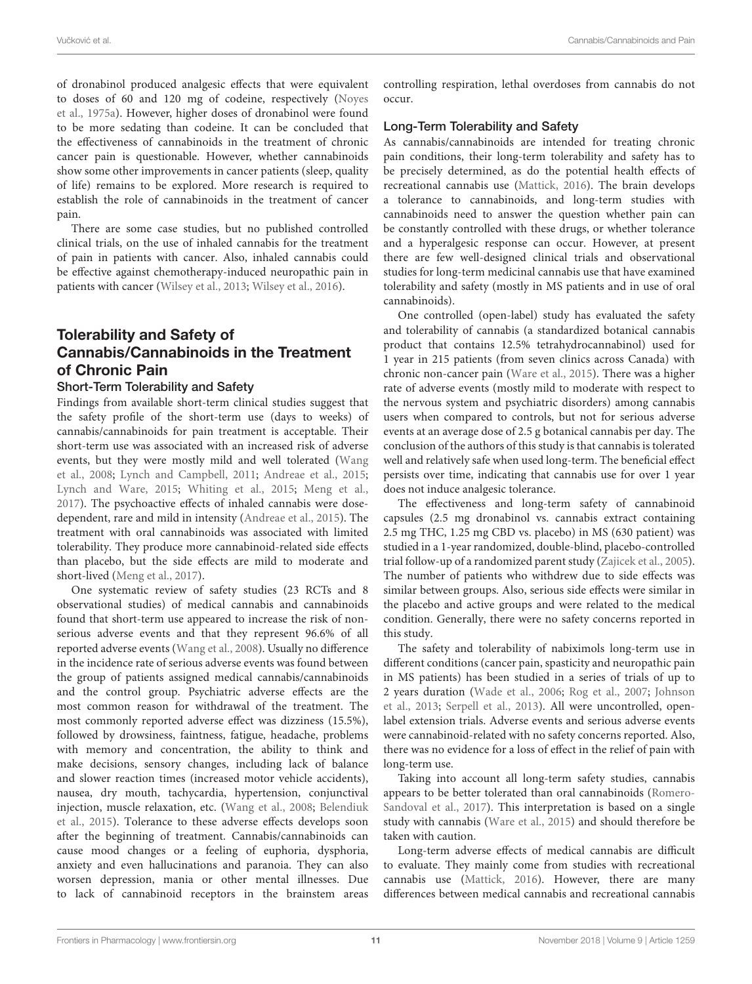of dronabinol produced analgesic effects that were equivalent to doses of 60 and 120 mg of codeine, respectively [\(Noyes](#page-16-35) [et al.,](#page-16-35) [1975a\)](#page-16-35). However, higher doses of dronabinol were found to be more sedating than codeine. It can be concluded that the effectiveness of cannabinoids in the treatment of chronic cancer pain is questionable. However, whether cannabinoids show some other improvements in cancer patients (sleep, quality of life) remains to be explored. More research is required to establish the role of cannabinoids in the treatment of cancer pain.

There are some case studies, but no published controlled clinical trials, on the use of inhaled cannabis for the treatment of pain in patients with cancer. Also, inhaled cannabis could be effective against chemotherapy-induced neuropathic pain in patients with cancer [\(Wilsey et al.,](#page-18-11) [2013;](#page-18-11) [Wilsey et al.,](#page-18-1) [2016\)](#page-18-1).

# Tolerability and Safety of Cannabis/Cannabinoids in the Treatment of Chronic Pain

#### Short-Term Tolerability and Safety

Findings from available short-term clinical studies suggest that the safety profile of the short-term use (days to weeks) of cannabis/cannabinoids for pain treatment is acceptable. Their short-term use was associated with an increased risk of adverse events, but they were mostly mild and well tolerated [\(Wang](#page-17-35) [et al.,](#page-17-35) [2008;](#page-17-35) [Lynch and Campbell,](#page-15-31) [2011;](#page-15-31) [Andreae et al.,](#page-12-17) [2015;](#page-12-17) [Lynch and Ware,](#page-15-28) [2015;](#page-15-28) [Whiting et al.,](#page-17-33) [2015;](#page-17-33) [Meng et al.,](#page-15-32) [2017\)](#page-15-32). The psychoactive effects of inhaled cannabis were dosedependent, rare and mild in intensity [\(Andreae et al.,](#page-12-17) [2015\)](#page-12-17). The treatment with oral cannabinoids was associated with limited tolerability. They produce more cannabinoid-related side effects than placebo, but the side effects are mild to moderate and short-lived [\(Meng et al.,](#page-15-32) [2017\)](#page-15-32).

One systematic review of safety studies (23 RCTs and 8 observational studies) of medical cannabis and cannabinoids found that short-term use appeared to increase the risk of nonserious adverse events and that they represent 96.6% of all reported adverse events [\(Wang et al.,](#page-17-35) [2008\)](#page-17-35). Usually no difference in the incidence rate of serious adverse events was found between the group of patients assigned medical cannabis/cannabinoids and the control group. Psychiatric adverse effects are the most common reason for withdrawal of the treatment. The most commonly reported adverse effect was dizziness (15.5%), followed by drowsiness, faintness, fatigue, headache, problems with memory and concentration, the ability to think and make decisions, sensory changes, including lack of balance and slower reaction times (increased motor vehicle accidents), nausea, dry mouth, tachycardia, hypertension, conjunctival injection, muscle relaxation, etc. [\(Wang et al.,](#page-17-35) [2008;](#page-17-35) [Belendiuk](#page-12-18) [et al.,](#page-12-18) [2015\)](#page-12-18). Tolerance to these adverse effects develops soon after the beginning of treatment. Cannabis/cannabinoids can cause mood changes or a feeling of euphoria, dysphoria, anxiety and even hallucinations and paranoia. They can also worsen depression, mania or other mental illnesses. Due to lack of cannabinoid receptors in the brainstem areas

controlling respiration, lethal overdoses from cannabis do not occur.

#### Long-Term Tolerability and Safety

As cannabis/cannabinoids are intended for treating chronic pain conditions, their long-term tolerability and safety has to be precisely determined, as do the potential health effects of recreational cannabis use [\(Mattick,](#page-15-35) [2016\)](#page-15-35). The brain develops a tolerance to cannabinoids, and long-term studies with cannabinoids need to answer the question whether pain can be constantly controlled with these drugs, or whether tolerance and a hyperalgesic response can occur. However, at present there are few well-designed clinical trials and observational studies for long-term medicinal cannabis use that have examined tolerability and safety (mostly in MS patients and in use of oral cannabinoids).

One controlled (open-label) study has evaluated the safety and tolerability of cannabis (a standardized botanical cannabis product that contains 12.5% tetrahydrocannabinol) used for 1 year in 215 patients (from seven clinics across Canada) with chronic non-cancer pain [\(Ware et al.,](#page-17-36) [2015\)](#page-17-36). There was a higher rate of adverse events (mostly mild to moderate with respect to the nervous system and psychiatric disorders) among cannabis users when compared to controls, but not for serious adverse events at an average dose of 2.5 g botanical cannabis per day. The conclusion of the authors of this study is that cannabis is tolerated well and relatively safe when used long-term. The beneficial effect persists over time, indicating that cannabis use for over 1 year does not induce analgesic tolerance.

The effectiveness and long-term safety of cannabinoid capsules (2.5 mg dronabinol vs. cannabis extract containing 2.5 mg THC, 1.25 mg CBD vs. placebo) in MS (630 patient) was studied in a 1-year randomized, double-blind, placebo-controlled trial follow-up of a randomized parent study [\(Zajicek et al.,](#page-18-12) [2005\)](#page-18-12). The number of patients who withdrew due to side effects was similar between groups. Also, serious side effects were similar in the placebo and active groups and were related to the medical condition. Generally, there were no safety concerns reported in this study.

The safety and tolerability of nabiximols long-term use in different conditions (cancer pain, spasticity and neuropathic pain in MS patients) has been studied in a series of trials of up to 2 years duration [\(Wade et al.,](#page-17-37) [2006;](#page-17-37) [Rog et al.,](#page-16-36) [2007;](#page-16-36) [Johnson](#page-14-30) [et al.,](#page-14-30) [2013;](#page-14-30) [Serpell et al.,](#page-17-38) [2013\)](#page-17-38). All were uncontrolled, openlabel extension trials. Adverse events and serious adverse events were cannabinoid-related with no safety concerns reported. Also, there was no evidence for a loss of effect in the relief of pain with long-term use.

Taking into account all long-term safety studies, cannabis appears to be better tolerated than oral cannabinoids [\(Romero-](#page-16-32)[Sandoval et al.,](#page-16-32) [2017\)](#page-16-32). This interpretation is based on a single study with cannabis [\(Ware et al.,](#page-17-36) [2015\)](#page-17-36) and should therefore be taken with caution.

Long-term adverse effects of medical cannabis are difficult to evaluate. They mainly come from studies with recreational cannabis use [\(Mattick,](#page-15-35) [2016\)](#page-15-35). However, there are many differences between medical cannabis and recreational cannabis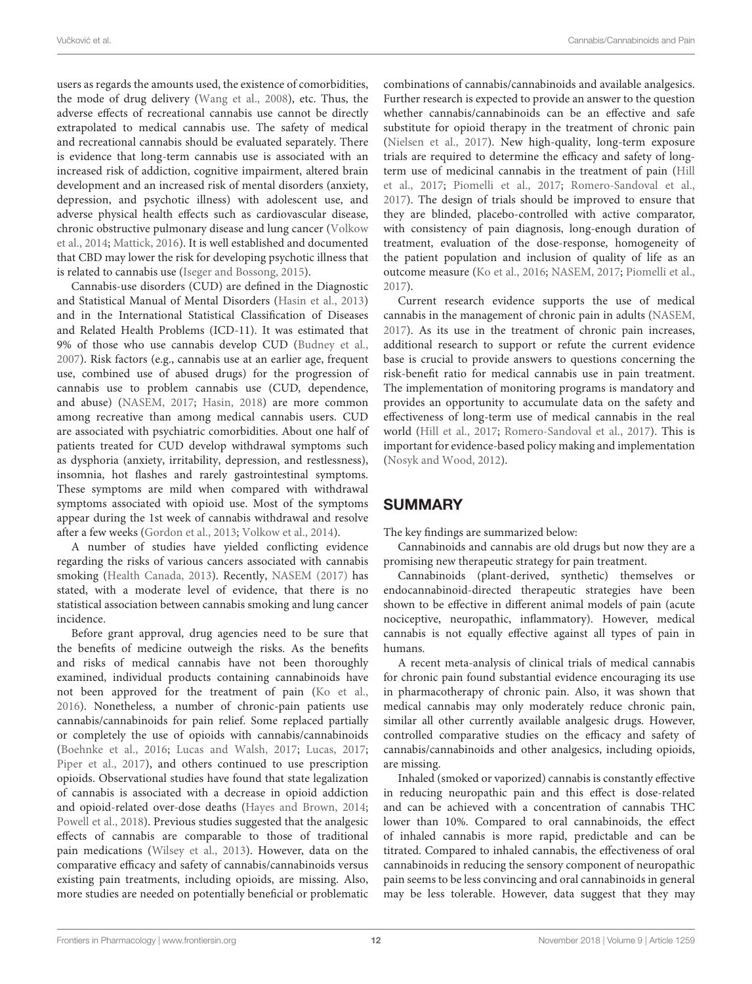users as regards the amounts used, the existence of comorbidities, the mode of drug delivery [\(Wang et al.,](#page-17-35) [2008\)](#page-17-35), etc. Thus, the adverse effects of recreational cannabis use cannot be directly extrapolated to medical cannabis use. The safety of medical and recreational cannabis should be evaluated separately. There is evidence that long-term cannabis use is associated with an increased risk of addiction, cognitive impairment, altered brain development and an increased risk of mental disorders (anxiety, depression, and psychotic illness) with adolescent use, and adverse physical health effects such as cardiovascular disease, chronic obstructive pulmonary disease and lung cancer [\(Volkow](#page-17-7) [et al.,](#page-17-7) [2014;](#page-17-7) [Mattick,](#page-15-35) [2016\)](#page-15-35). It is well established and documented that CBD may lower the risk for developing psychotic illness that is related to cannabis use [\(Iseger and Bossong,](#page-14-31) [2015\)](#page-14-31).

Cannabis-use disorders (CUD) are defined in the Diagnostic and Statistical Manual of Mental Disorders [\(Hasin et al.,](#page-14-32) [2013\)](#page-14-32) and in the International Statistical Classification of Diseases and Related Health Problems (ICD-11). It was estimated that 9% of those who use cannabis develop CUD [\(Budney et al.,](#page-13-33) [2007\)](#page-13-33). Risk factors (e.g., cannabis use at an earlier age, frequent use, combined use of abused drugs) for the progression of cannabis use to problem cannabis use (CUD, dependence, and abuse) [\(NASEM,](#page-15-0) [2017;](#page-15-0) [Hasin,](#page-14-33) [2018\)](#page-14-33) are more common among recreative than among medical cannabis users. CUD are associated with psychiatric comorbidities. About one half of patients treated for CUD develop withdrawal symptoms such as dysphoria (anxiety, irritability, depression, and restlessness), insomnia, hot flashes and rarely gastrointestinal symptoms. These symptoms are mild when compared with withdrawal symptoms associated with opioid use. Most of the symptoms appear during the 1st week of cannabis withdrawal and resolve after a few weeks [\(Gordon et al.,](#page-13-34) [2013;](#page-13-34) [Volkow et al.,](#page-17-7) [2014\)](#page-17-7).

A number of studies have yielded conflicting evidence regarding the risks of various cancers associated with cannabis smoking [\(Health Canada,](#page-14-12) [2013\)](#page-14-12). Recently, [NASEM](#page-15-0) [\(2017\)](#page-15-0) has stated, with a moderate level of evidence, that there is no statistical association between cannabis smoking and lung cancer incidence.

Before grant approval, drug agencies need to be sure that the benefits of medicine outweigh the risks. As the benefits and risks of medical cannabis have not been thoroughly examined, individual products containing cannabinoids have not been approved for the treatment of pain [\(Ko et al.,](#page-15-5) [2016\)](#page-15-5). Nonetheless, a number of chronic-pain patients use cannabis/cannabinoids for pain relief. Some replaced partially or completely the use of opioids with cannabis/cannabinoids [\(Boehnke et al.,](#page-12-19) [2016;](#page-12-19) [Lucas and Walsh,](#page-15-36) [2017;](#page-15-36) [Lucas,](#page-15-37) [2017;](#page-15-37) [Piper et al.,](#page-16-37) [2017\)](#page-16-37), and others continued to use prescription opioids. Observational studies have found that state legalization of cannabis is associated with a decrease in opioid addiction and opioid-related over-dose deaths [\(Hayes and Brown,](#page-14-34) [2014;](#page-14-34) [Powell et al.,](#page-16-38) [2018\)](#page-16-38). Previous studies suggested that the analgesic effects of cannabis are comparable to those of traditional pain medications [\(Wilsey et al.,](#page-18-11) [2013\)](#page-18-11). However, data on the comparative efficacy and safety of cannabis/cannabinoids versus existing pain treatments, including opioids, are missing. Also, more studies are needed on potentially beneficial or problematic

combinations of cannabis/cannabinoids and available analgesics. Further research is expected to provide an answer to the question whether cannabis/cannabinoids can be an effective and safe substitute for opioid therapy in the treatment of chronic pain [\(Nielsen et al.,](#page-15-38) [2017\)](#page-15-38). New high-quality, long-term exposure trials are required to determine the efficacy and safety of longterm use of medicinal cannabis in the treatment of pain [\(Hill](#page-14-0) [et al.,](#page-14-0) [2017;](#page-14-0) [Piomelli et al.,](#page-16-10) [2017;](#page-16-10) [Romero-Sandoval et al.,](#page-16-32) [2017\)](#page-16-32). The design of trials should be improved to ensure that they are blinded, placebo-controlled with active comparator, with consistency of pain diagnosis, long-enough duration of treatment, evaluation of the dose-response, homogeneity of the patient population and inclusion of quality of life as an outcome measure [\(Ko et al.,](#page-15-5) [2016;](#page-15-5) [NASEM,](#page-15-0) [2017;](#page-15-0) [Piomelli et al.,](#page-16-10) [2017\)](#page-16-10).

Current research evidence supports the use of medical cannabis in the management of chronic pain in adults [\(NASEM,](#page-15-0) [2017\)](#page-15-0). As its use in the treatment of chronic pain increases, additional research to support or refute the current evidence base is crucial to provide answers to questions concerning the risk-benefit ratio for medical cannabis use in pain treatment. The implementation of monitoring programs is mandatory and provides an opportunity to accumulate data on the safety and effectiveness of long-term use of medical cannabis in the real world [\(Hill et al.,](#page-14-0) [2017;](#page-14-0) [Romero-Sandoval et al.,](#page-16-32) [2017\)](#page-16-32). This is important for evidence-based policy making and implementation [\(Nosyk and Wood,](#page-16-39) [2012\)](#page-16-39).

### **SUMMARY**

The key findings are summarized below:

Cannabinoids and cannabis are old drugs but now they are a promising new therapeutic strategy for pain treatment.

Cannabinoids (plant-derived, synthetic) themselves or endocannabinoid-directed therapeutic strategies have been shown to be effective in different animal models of pain (acute nociceptive, neuropathic, inflammatory). However, medical cannabis is not equally effective against all types of pain in humans.

A recent meta-analysis of clinical trials of medical cannabis for chronic pain found substantial evidence encouraging its use in pharmacotherapy of chronic pain. Also, it was shown that medical cannabis may only moderately reduce chronic pain, similar all other currently available analgesic drugs. However, controlled comparative studies on the efficacy and safety of cannabis/cannabinoids and other analgesics, including opioids, are missing.

Inhaled (smoked or vaporized) cannabis is constantly effective in reducing neuropathic pain and this effect is dose-related and can be achieved with a concentration of cannabis THC lower than 10%. Compared to oral cannabinoids, the effect of inhaled cannabis is more rapid, predictable and can be titrated. Compared to inhaled cannabis, the effectiveness of oral cannabinoids in reducing the sensory component of neuropathic pain seems to be less convincing and oral cannabinoids in general may be less tolerable. However, data suggest that they may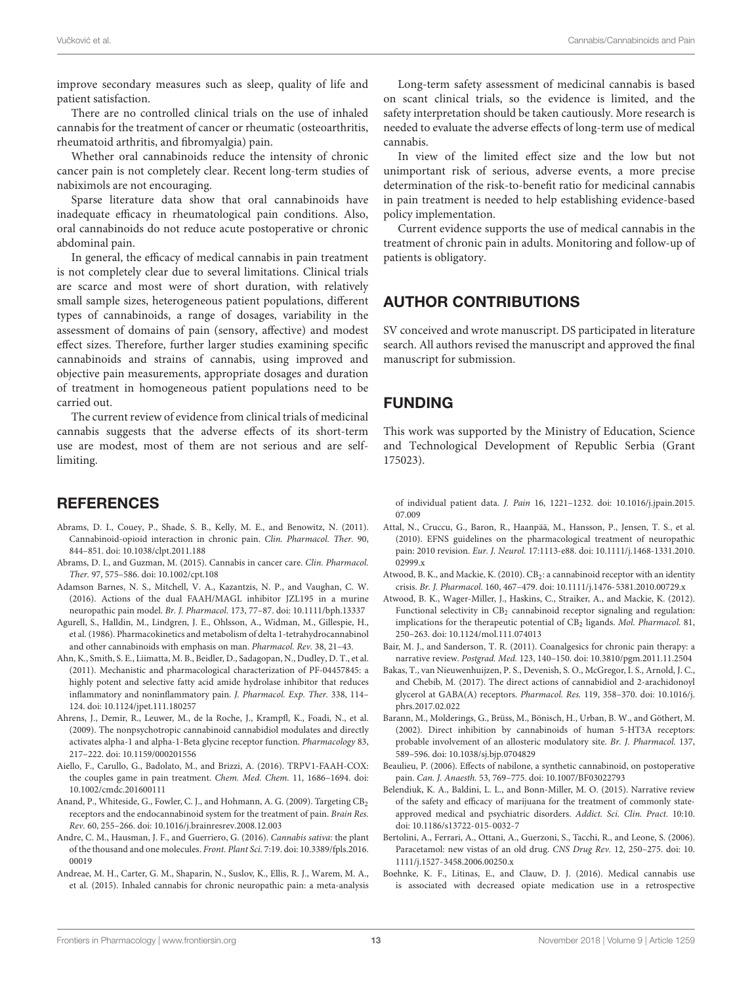improve secondary measures such as sleep, quality of life and patient satisfaction.

There are no controlled clinical trials on the use of inhaled cannabis for the treatment of cancer or rheumatic (osteoarthritis, rheumatoid arthritis, and fibromyalgia) pain.

Whether oral cannabinoids reduce the intensity of chronic cancer pain is not completely clear. Recent long-term studies of nabiximols are not encouraging.

Sparse literature data show that oral cannabinoids have inadequate efficacy in rheumatological pain conditions. Also, oral cannabinoids do not reduce acute postoperative or chronic abdominal pain.

In general, the efficacy of medical cannabis in pain treatment is not completely clear due to several limitations. Clinical trials are scarce and most were of short duration, with relatively small sample sizes, heterogeneous patient populations, different types of cannabinoids, a range of dosages, variability in the assessment of domains of pain (sensory, affective) and modest effect sizes. Therefore, further larger studies examining specific cannabinoids and strains of cannabis, using improved and objective pain measurements, appropriate dosages and duration of treatment in homogeneous patient populations need to be carried out.

The current review of evidence from clinical trials of medicinal cannabis suggests that the adverse effects of its short-term use are modest, most of them are not serious and are selflimiting.

#### **REFERENCES**

- <span id="page-12-10"></span>Abrams, D. I., Couey, P., Shade, S. B., Kelly, M. E., and Benowitz, N. (2011). Cannabinoid-opioid interaction in chronic pain. Clin. Pharmacol. Ther. 90, 844–851. [doi: 10.1038/clpt.2011.188](https://doi.org/10.1038/clpt.2011.188)
- <span id="page-12-6"></span>Abrams, D. I., and Guzman, M. (2015). Cannabis in cancer care. Clin. Pharmacol. Ther. 97, 575–586. [doi: 10.1002/cpt.108](https://doi.org/10.1002/cpt.108)
- <span id="page-12-12"></span>Adamson Barnes, N. S., Mitchell, V. A., Kazantzis, N. P., and Vaughan, C. W. (2016). Actions of the dual FAAH/MAGL inhibitor JZL195 in a murine neuropathic pain model. Br. J. Pharmacol. 173, 77–87. [doi: 10.1111/bph.13337](https://doi.org/10.1111/bph.13337)
- <span id="page-12-9"></span>Agurell, S., Halldin, M., Lindgren, J. E., Ohlsson, A., Widman, M., Gillespie, H., et al. (1986). Pharmacokinetics and metabolism of delta 1-tetrahydrocannabinol and other cannabinoids with emphasis on man. Pharmacol. Rev. 38, 21–43.
- <span id="page-12-14"></span>Ahn, K., Smith, S. E., Liimatta, M. B., Beidler, D., Sadagopan, N., Dudley, D. T., et al. (2011). Mechanistic and pharmacological characterization of PF-04457845: a highly potent and selective fatty acid amide hydrolase inhibitor that reduces inflammatory and noninflammatory pain. J. Pharmacol. Exp. Ther. 338, 114– 124. [doi: 10.1124/jpet.111.180257](https://doi.org/10.1124/jpet.111.180257)
- <span id="page-12-3"></span>Ahrens, J., Demir, R., Leuwer, M., de la Roche, J., Krampfl, K., Foadi, N., et al. (2009). The nonpsychotropic cannabinoid cannabidiol modulates and directly activates alpha-1 and alpha-1-Beta glycine receptor function. Pharmacology 83, 217–222. [doi: 10.1159/000201556](https://doi.org/10.1159/000201556)
- <span id="page-12-11"></span>Aiello, F., Carullo, G., Badolato, M., and Brizzi, A. (2016). TRPV1-FAAH-COX: the couples game in pain treatment. Chem. Med. Chem. 11, 1686–1694. [doi:](https://doi.org/10.1002/cmdc.201600111) [10.1002/cmdc.201600111](https://doi.org/10.1002/cmdc.201600111)
- <span id="page-12-5"></span>Anand, P., Whiteside, G., Fowler, C. J., and Hohmann, A. G. (2009). Targeting CB2 receptors and the endocannabinoid system for the treatment of pain. Brain Res. Rev. 60, 255–266. [doi: 10.1016/j.brainresrev.2008.12.003](https://doi.org/10.1016/j.brainresrev.2008.12.003)
- <span id="page-12-1"></span>Andre, C. M., Hausman, J. F., and Guerriero, G. (2016). Cannabis sativa: the plant of the thousand and one molecules. Front. Plant Sci. 7:19. [doi: 10.3389/fpls.2016.](https://doi.org/10.3389/fpls.2016.00019) [00019](https://doi.org/10.3389/fpls.2016.00019)
- <span id="page-12-17"></span>Andreae, M. H., Carter, G. M., Shaparin, N., Suslov, K., Ellis, R. J., Warem, M. A., et al. (2015). Inhaled cannabis for chronic neuropathic pain: a meta-analysis

Long-term safety assessment of medicinal cannabis is based on scant clinical trials, so the evidence is limited, and the safety interpretation should be taken cautiously. More research is needed to evaluate the adverse effects of long-term use of medical cannabis.

In view of the limited effect size and the low but not unimportant risk of serious, adverse events, a more precise determination of the risk-to-benefit ratio for medicinal cannabis in pain treatment is needed to help establishing evidence-based policy implementation.

Current evidence supports the use of medical cannabis in the treatment of chronic pain in adults. Monitoring and follow-up of patients is obligatory.

### AUTHOR CONTRIBUTIONS

SV conceived and wrote manuscript. DS participated in literature search. All authors revised the manuscript and approved the final manuscript for submission.

### FUNDING

This work was supported by the Ministry of Education, Science and Technological Development of Republic Serbia (Grant 175023).

of individual patient data. J. Pain 16, 1221–1232. [doi: 10.1016/j.jpain.2015.](https://doi.org/10.1016/j.jpain.2015.07.009) [07.009](https://doi.org/10.1016/j.jpain.2015.07.009)

- <span id="page-12-16"></span>Attal, N., Cruccu, G., Baron, R., Haanpää, M., Hansson, P., Jensen, T. S., et al. (2010). EFNS guidelines on the pharmacological treatment of neuropathic pain: 2010 revision. Eur. J. Neurol. 17:1113-e88. [doi: 10.1111/j.1468-1331.2010.](https://doi.org/10.1111/j.1468-1331.2010.02999.x) [02999.x](https://doi.org/10.1111/j.1468-1331.2010.02999.x)
- <span id="page-12-13"></span>Atwood, B. K., and Mackie, K. (2010). CB<sub>2</sub>: a cannabinoid receptor with an identity crisis. Br. J. Pharmacol. 160, 467–479. [doi: 10.1111/j.1476-5381.2010.00729.x](https://doi.org/10.1111/j.1476-5381.2010.00729.x)
- <span id="page-12-7"></span>Atwood, B. K., Wager-Miller, J., Haskins, C., Straiker, A., and Mackie, K. (2012). Functional selectivity in  $CB_2$  cannabinoid receptor signaling and regulation: implications for the therapeutic potential of CB<sub>2</sub> ligands. Mol. Pharmacol. 81, 250–263. [doi: 10.1124/mol.111.074013](https://doi.org/10.1124/mol.111.074013)
- <span id="page-12-0"></span>Bair, M. J., and Sanderson, T. R. (2011). Coanalgesics for chronic pain therapy: a narrative review. Postgrad. Med. 123, 140–150. [doi: 10.3810/pgm.2011.11.2504](https://doi.org/10.3810/pgm.2011.11.2504)
- <span id="page-12-4"></span>Bakas, T., van Nieuwenhuijzen, P. S., Devenish, S. O., McGregor, I. S., Arnold, J. C., and Chebib, M. (2017). The direct actions of cannabidiol and 2-arachidonoyl glycerol at GABA(A) receptors. Pharmacol. Res. 119, 358–370. [doi: 10.1016/j.](https://doi.org/10.1016/j.phrs.2017.02.022) [phrs.2017.02.022](https://doi.org/10.1016/j.phrs.2017.02.022)
- <span id="page-12-2"></span>Barann, M., Molderings, G., Brüss, M., Bönisch, H., Urban, B. W., and Göthert, M. (2002). Direct inhibition by cannabinoids of human 5-HT3A receptors: probable involvement of an allosteric modulatory site. Br. J. Pharmacol. 137, 589–596. [doi: 10.1038/sj.bjp.0704829](https://doi.org/10.1038/sj.bjp.0704829)
- <span id="page-12-15"></span>Beaulieu, P. (2006). Effects of nabilone, a synthetic cannabinoid, on postoperative pain. Can. J. Anaesth. 53, 769–775. [doi: 10.1007/BF03022793](https://doi.org/10.1007/BF03022793)
- <span id="page-12-18"></span>Belendiuk, K. A., Baldini, L. L., and Bonn-Miller, M. O. (2015). Narrative review of the safety and efficacy of marijuana for the treatment of commonly stateapproved medical and psychiatric disorders. Addict. Sci. Clin. Pract. 10:10. [doi: 10.1186/s13722-015-0032-7](https://doi.org/10.1186/s13722-015-0032-7)
- <span id="page-12-8"></span>Bertolini, A., Ferrari, A., Ottani, A., Guerzoni, S., Tacchi, R., and Leone, S. (2006). Paracetamol: new vistas of an old drug. CNS Drug Rev. 12, 250–275. [doi: 10.](https://doi.org/10.1111/j.1527-3458.2006.00250.x) [1111/j.1527-3458.2006.00250.x](https://doi.org/10.1111/j.1527-3458.2006.00250.x)
- <span id="page-12-19"></span>Boehnke, K. F., Litinas, E., and Clauw, D. J. (2016). Medical cannabis use is associated with decreased opiate medication use in a retrospective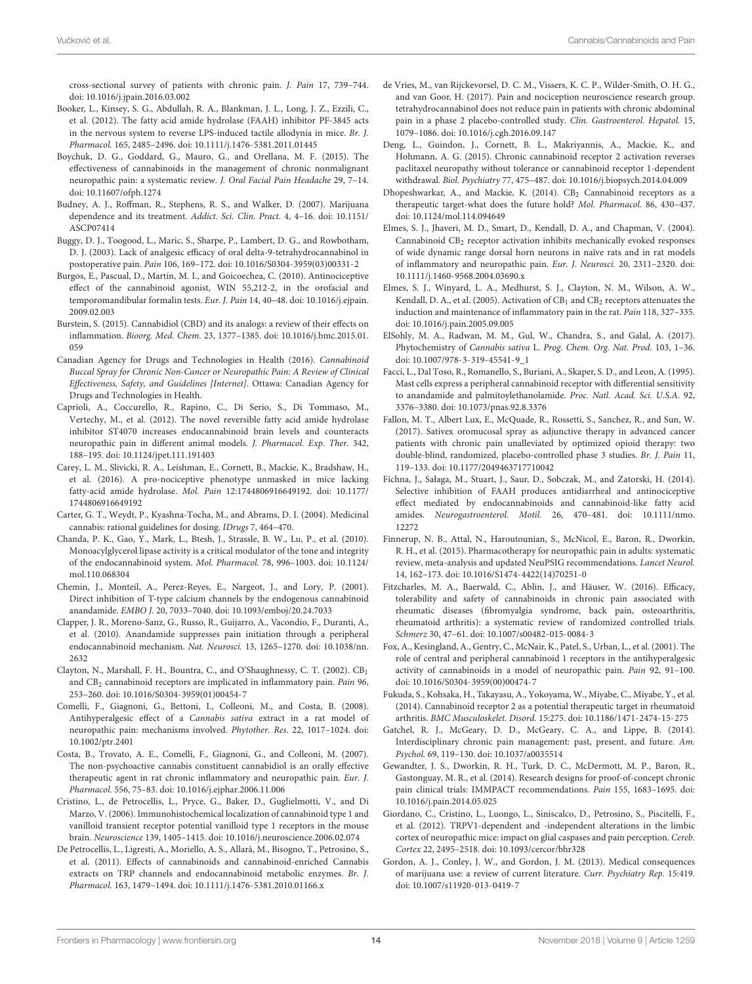cross-sectional survey of patients with chronic pain. J. Pain 17, 739–744. [doi: 10.1016/j.jpain.2016.03.002](https://doi.org/10.1016/j.jpain.2016.03.002)

- <span id="page-13-24"></span>Booker, L., Kinsey, S. G., Abdullah, R. A., Blankman, J. L., Long, J. Z., Ezzili, C., et al. (2012). The fatty acid amide hydrolase (FAAH) inhibitor PF-3845 acts in the nervous system to reverse LPS-induced tactile allodynia in mice. Br. J. Pharmacol. 165, 2485–2496. [doi: 10.1111/j.1476-5381.2011.01445](https://doi.org/10.1111/j.1476-5381.2011.01445)
- <span id="page-13-29"></span>Boychuk, D. G., Goddard, G., Mauro, G., and Orellana, M. F. (2015). The effectiveness of cannabinoids in the management of chronic nonmalignant neuropathic pain: a systematic review. J. Oral Facial Pain Headache 29, 7–14. [doi: 10.11607/ofph.1274](https://doi.org/10.11607/ofph.1274)
- <span id="page-13-33"></span>Budney, A. J., Roffman, R., Stephens, R. S., and Walker, D. (2007). Marijuana dependence and its treatment. Addict. Sci. Clin. Pract. 4, 4–16. [doi: 10.1151/](https://doi.org/10.1151/ASCP07414) [ASCP07414](https://doi.org/10.1151/ASCP07414)
- <span id="page-13-26"></span>Buggy, D. J., Toogood, L., Maric, S., Sharpe, P., Lambert, D. G., and Rowbotham, D. J. (2003). Lack of analgesic efficacy of oral delta-9-tetrahydrocannabinol in postoperative pain. Pain 106, 169–172. [doi: 10.1016/S0304-3959\(03\)00331-2](https://doi.org/10.1016/S0304-3959(03)00331-2)
- <span id="page-13-20"></span>Burgos, E., Pascual, D., Martín, M. I., and Goicoechea, C. (2010). Antinociceptive effect of the cannabinoid agonist, WIN 55,212-2, in the orofacial and temporomandibular formalin tests. Eur. J. Pain 14, 40–48. [doi: 10.1016/j.ejpain.](https://doi.org/10.1016/j.ejpain.2009.02.003) [2009.02.003](https://doi.org/10.1016/j.ejpain.2009.02.003)
- <span id="page-13-5"></span>Burstein, S. (2015). Cannabidiol (CBD) and its analogs: a review of their effects on inflammation. Bioorg. Med. Chem. 23, 1377–1385. [doi: 10.1016/j.bmc.2015.01.](https://doi.org/10.1016/j.bmc.2015.01.059) [059](https://doi.org/10.1016/j.bmc.2015.01.059)
- <span id="page-13-28"></span>Canadian Agency for Drugs and Technologies in Health (2016). Cannabinoid Buccal Spray for Chronic Non-Cancer or Neuropathic Pain: A Review of Clinical Effectiveness, Safety, and Guidelines [Internet]. Ottawa: Canadian Agency for Drugs and Technologies in Health.
- <span id="page-13-14"></span>Caprioli, A., Coccurello, R., Rapino, C., Di Serio, S., Di Tommaso, M., Vertechy, M., et al. (2012). The novel reversible fatty acid amide hydrolase inhibitor ST4070 increases endocannabinoid brain levels and counteracts neuropathic pain in different animal models. J. Pharmacol. Exp. Ther. 342, 188–195. [doi: 10.1124/jpet.111.191403](https://doi.org/10.1124/jpet.111.191403)
- <span id="page-13-25"></span>Carey, L. M., Slivicki, R. A., Leishman, E., Cornett, B., Mackie, K., Bradshaw, H., et al. (2016). A pro-nociceptive phenotype unmasked in mice lacking fatty-acid amide hydrolase. Mol. Pain 12:1744806916649192. [doi: 10.1177/](https://doi.org/10.1177/1744806916649192) [1744806916649192](https://doi.org/10.1177/1744806916649192)
- <span id="page-13-8"></span>Carter, G. T., Weydt, P., Kyashna-Tocha, M., and Abrams, D. I. (2004). Medicinal cannabis: rational guidelines for dosing. IDrugs 7, 464–470.
- <span id="page-13-15"></span>Chanda, P. K., Gao, Y., Mark, L., Btesh, J., Strassle, B. W., Lu, P., et al. (2010). Monoacylglycerol lipase activity is a critical modulator of the tone and integrity of the endocannabinoid system. Mol. Pharmacol. 78, 996–1003. [doi: 10.1124/](https://doi.org/10.1124/mol.110.068304) [mol.110.068304](https://doi.org/10.1124/mol.110.068304)
- <span id="page-13-7"></span>Chemin, J., Monteil, A., Perez-Reyes, E., Nargeot, J., and Lory, P. (2001). Direct inhibition of T-type calcium channels by the endogenous cannabinoid anandamide. EMBO J. 20, 7033–7040. [doi: 10.1093/emboj/20.24.7033](https://doi.org/10.1093/emboj/20.24.7033)
- <span id="page-13-18"></span>Clapper, J. R., Moreno-Sanz, G., Russo, R., Guijarro, A., Vacondio, F., Duranti, A., et al. (2010). Anandamide suppresses pain initiation through a peripheral endocannabinoid mechanism. Nat. Neurosci. 13, 1265–1270. [doi: 10.1038/nn.](https://doi.org/10.1038/nn.2632) [2632](https://doi.org/10.1038/nn.2632)
- <span id="page-13-19"></span>Clayton, N., Marshall, F. H., Bountra, C., and O'Shaughnessy, C. T. (2002). CB<sup>1</sup> and CB<sup>2</sup> cannabinoid receptors are implicated in inflammatory pain. Pain 96, 253–260. [doi: 10.1016/S0304-3959\(01\)00454-7](https://doi.org/10.1016/S0304-3959(01)00454-7)
- <span id="page-13-13"></span>Comelli, F., Giagnoni, G., Bettoni, I., Colleoni, M., and Costa, B. (2008). Antihyperalgesic effect of a Cannabis sativa extract in a rat model of neuropathic pain: mechanisms involved. Phytother. Res. 22, 1017–1024. [doi:](https://doi.org/10.1002/ptr.2401) [10.1002/ptr.2401](https://doi.org/10.1002/ptr.2401)
- <span id="page-13-3"></span>Costa, B., Trovato, A. E., Comelli, F., Giagnoni, G., and Colleoni, M. (2007). The non-psychoactive cannabis constituent cannabidiol is an orally effective therapeutic agent in rat chronic inflammatory and neuropathic pain. Eur. J. Pharmacol. 556, 75–83. [doi: 10.1016/j.ejphar.2006.11.006](https://doi.org/10.1016/j.ejphar.2006.11.006)
- <span id="page-13-2"></span>Cristino, L., de Petrocellis, L., Pryce, G., Baker, D., Guglielmotti, V., and Di Marzo, V. (2006). Immunohistochemical localization of cannabinoid type 1 and vanilloid transient receptor potential vanilloid type 1 receptors in the mouse brain. Neuroscience 139, 1405–1415. [doi: 10.1016/j.neuroscience.2006.02.074](https://doi.org/10.1016/j.neuroscience.2006.02.074)
- <span id="page-13-4"></span>De Petrocellis, L., Ligresti, A., Moriello, A. S., Allarà, M., Bisogno, T., Petrosino, S., et al. (2011). Effects of cannabinoids and cannabinoid-enriched Cannabis extracts on TRP channels and endocannabinoid metabolic enzymes. Br. J. Pharmacol. 163, 1479–1494. [doi: 10.1111/j.1476-5381.2010.01166.x](https://doi.org/10.1111/j.1476-5381.2010.01166.x)
- <span id="page-13-31"></span>de Vries, M., van Rijckevorsel, D. C. M., Vissers, K. C. P., Wilder-Smith, O. H. G., and van Goor, H. (2017). Pain and nociception neuroscience research group. tetrahydrocannabinol does not reduce pain in patients with chronic abdominal pain in a phase 2 placebo-controlled study. Clin. Gastroenterol. Hepatol. 15, 1079–1086. [doi: 10.1016/j.cgh.2016.09.147](https://doi.org/10.1016/j.cgh.2016.09.147)
- <span id="page-13-12"></span>Deng, L., Guindon, J., Cornett, B. L., Makriyannis, A., Mackie, K., and Hohmann, A. G. (2015). Chronic cannabinoid receptor 2 activation reverses paclitaxel neuropathy without tolerance or cannabinoid receptor 1-dependent withdrawal. Biol. Psychiatry 77, 475–487. [doi: 10.1016/j.biopsych.2014.04.009](https://doi.org/10.1016/j.biopsych.2014.04.009)
- <span id="page-13-9"></span>Dhopeshwarkar, A., and Mackie, K. (2014).  $CB<sub>2</sub>$  Cannabinoid receptors as a therapeutic target-what does the future hold? Mol. Pharmacol. 86, 430–437. [doi: 10.1124/mol.114.094649](https://doi.org/10.1124/mol.114.094649)
- <span id="page-13-17"></span>Elmes, S. J., Jhaveri, M. D., Smart, D., Kendall, D. A., and Chapman, V. (2004). Cannabinoid CB<sub>2</sub> receptor activation inhibits mechanically evoked responses of wide dynamic range dorsal horn neurons in naïve rats and in rat models of inflammatory and neuropathic pain. Eur. J. Neurosci. 20, 2311–2320. [doi:](https://doi.org/10.1111/j.1460-9568.2004.03690.x) [10.1111/j.1460-9568.2004.03690.x](https://doi.org/10.1111/j.1460-9568.2004.03690.x)
- <span id="page-13-22"></span>Elmes, S. J., Winyard, L. A., Medhurst, S. J., Clayton, N. M., Wilson, A. W., Kendall, D. A., et al. (2005). Activation of  $CB<sub>1</sub>$  and  $CB<sub>2</sub>$  receptors attenuates the induction and maintenance of inflammatory pain in the rat. Pain 118, 327–335. [doi: 10.1016/j.pain.2005.09.005](https://doi.org/10.1016/j.pain.2005.09.005)
- <span id="page-13-1"></span>ElSohly, M. A., Radwan, M. M., Gul, W., Chandra, S., and Galal, A. (2017). Phytochemistry of Cannabis sativa L. Prog. Chem. Org. Nat. Prod. 103, 1–36. [doi: 10.1007/978-3-319-45541-9\\_1](https://doi.org/10.1007/978-3-319-45541-9_1)
- <span id="page-13-6"></span>Facci, L., Dal Toso, R., Romanello, S., Buriani, A., Skaper, S. D., and Leon, A. (1995). Mast cells express a peripheral cannabinoid receptor with differential sensitivity to anandamide and palmitoylethanolamide. Proc. Natl. Acad. Sci. U.S.A. 92, 3376–3380. [doi: 10.1073/pnas.92.8.3376](https://doi.org/10.1073/pnas.92.8.3376)
- <span id="page-13-32"></span>Fallon, M. T., Albert Lux, E., McQuade, R., Rossetti, S., Sanchez, R., and Sun, W. (2017). Sativex oromucosal spray as adjunctive therapy in advanced cancer patients with chronic pain unalleviated by optimized opioid therapy: two double-blind, randomized, placebo-controlled phase 3 studies. Br. J. Pain 11, 119–133. [doi: 10.1177/2049463717710042](https://doi.org/10.1177/2049463717710042)
- <span id="page-13-21"></span>Fichna, J., Sałaga, M., Stuart, J., Saur, D., Sobczak, M., and Zatorski, H. (2014). Selective inhibition of FAAH produces antidiarrheal and antinociceptive effect mediated by endocannabinoids and cannabinoid-like fatty acid amides. Neurogastroenterol. Motil. 26, 470–481. [doi: 10.1111/nmo.](https://doi.org/10.1111/nmo.12272) [12272](https://doi.org/10.1111/nmo.12272)
- <span id="page-13-27"></span>Finnerup, N. B., Attal, N., Haroutounian, S., McNicol, E., Baron, R., Dworkin, R. H., et al. (2015). Pharmacotherapy for neuropathic pain in adults: systematic review, meta-analysis and updated NeuPSIG recommendations. Lancet Neurol. 14, 162–173. [doi: 10.1016/S1474-4422\(14\)70251-0](https://doi.org/10.1016/S1474-4422(14)70251-0)
- <span id="page-13-30"></span>Fitzcharles, M. A., Baerwald, C., Ablin, J., and Häuser, W. (2016). Efficacy, tolerability and safety of cannabinoids in chronic pain associated with rheumatic diseases (fibromyalgia syndrome, back pain, osteoarthritis, rheumatoid arthritis): a systematic review of randomized controlled trials. Schmerz 30, 47–61. [doi: 10.1007/s00482-015-0084-3](https://doi.org/10.1007/s00482-015-0084-3)
- <span id="page-13-16"></span>Fox, A., Kesingland, A., Gentry, C., McNair, K., Patel, S., Urban, L., et al. (2001). The role of central and peripheral cannabinoid 1 receptors in the antihyperalgesic activity of cannabinoids in a model of neuropathic pain. Pain 92, 91–100. [doi: 10.1016/S0304-3959\(00\)00474-7](https://doi.org/10.1016/S0304-3959(00)00474-7)
- <span id="page-13-23"></span>Fukuda, S., Kohsaka, H., Takayasu, A., Yokoyama, W., Miyabe, C., Miyabe, Y., et al. (2014). Cannabinoid receptor 2 as a potential therapeutic target in rheumatoid arthritis. BMC Musculoskelet. Disord. 15:275. [doi: 10.1186/1471-2474-15-275](https://doi.org/10.1186/1471-2474-15-275)
- <span id="page-13-0"></span>Gatchel, R. J., McGeary, D. D., McGeary, C. A., and Lippe, B. (2014). Interdisciplinary chronic pain management: past, present, and future. Am. Psychol. 69, 119–130. [doi: 10.1037/a0035514](https://doi.org/10.1037/a0035514)
- <span id="page-13-10"></span>Gewandter, J. S., Dworkin, R. H., Turk, D. C., McDermott, M. P., Baron, R., Gastonguay, M. R., et al. (2014). Research designs for proof-of-concept chronic pain clinical trials: IMMPACT recommendations. Pain 155, 1683–1695. [doi:](https://doi.org/10.1016/j.pain.2014.05.025) [10.1016/j.pain.2014.05.025](https://doi.org/10.1016/j.pain.2014.05.025)
- <span id="page-13-11"></span>Giordano, C., Cristino, L., Luongo, L., Siniscalco, D., Petrosino, S., Piscitelli, F., et al. (2012). TRPV1-dependent and -independent alterations in the limbic cortex of neuropathic mice: impact on glial caspases and pain perception. Cereb. Cortex 22, 2495–2518. [doi: 10.1093/cercor/bhr328](https://doi.org/10.1093/cercor/bhr328)
- <span id="page-13-34"></span>Gordon, A. J., Conley, J. W., and Gordon, J. M. (2013). Medical consequences of marijuana use: a review of current literature. Curr. Psychiatry Rep. 15:419. [doi: 10.1007/s11920-013-0419-7](https://doi.org/10.1007/s11920-013-0419-7)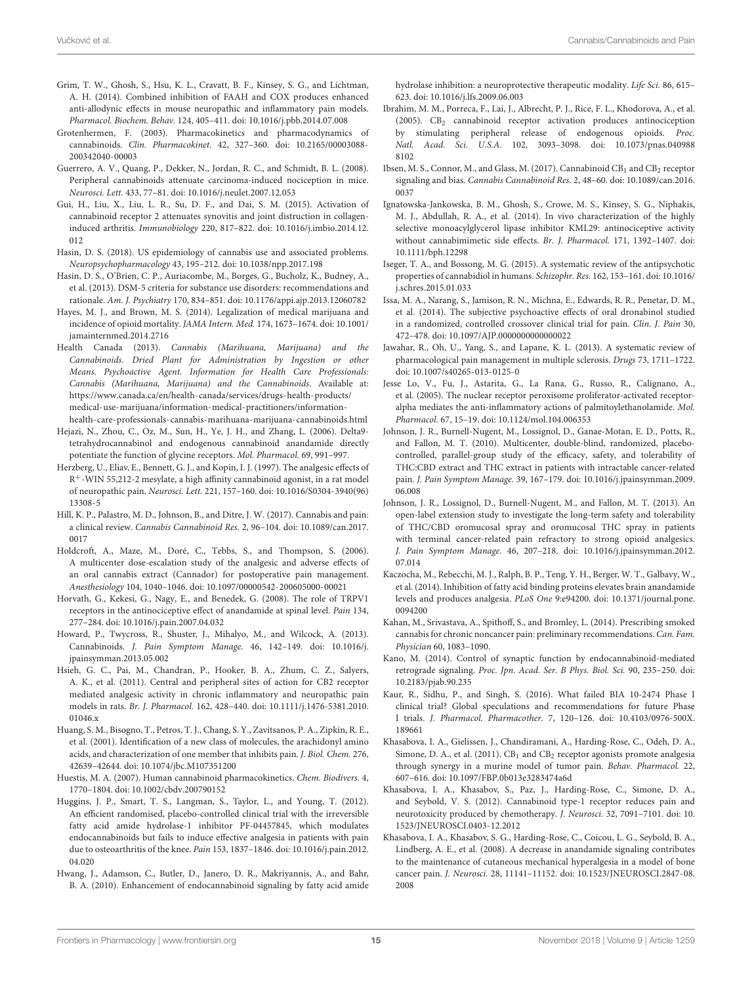- <span id="page-14-16"></span>Grim, T. W., Ghosh, S., Hsu, K. L., Cravatt, B. F., Kinsey, S. G., and Lichtman, A. H. (2014). Combined inhibition of FAAH and COX produces enhanced anti-allodynic effects in mouse neuropathic and inflammatory pain models. Pharmacol. Biochem. Behav. 124, 405–411. [doi: 10.1016/j.pbb.2014.07.008](https://doi.org/10.1016/j.pbb.2014.07.008)
- <span id="page-14-14"></span>Grotenhermen, F. (2003). Pharmacokinetics and pharmacodynamics of cannabinoids. Clin. Pharmacokinet. 42, 327–360. [doi: 10.2165/00003088-](https://doi.org/10.2165/00003088-200342040-00003) [200342040-00003](https://doi.org/10.2165/00003088-200342040-00003)
- <span id="page-14-22"></span>Guerrero, A. V., Quang, P., Dekker, N., Jordan, R. C., and Schmidt, B. L. (2008). Peripheral cannabinoids attenuate carcinoma-induced nociception in mice. Neurosci. Lett. 433, 77–81. [doi: 10.1016/j.neulet.2007.12.053](https://doi.org/10.1016/j.neulet.2007.12.053)
- <span id="page-14-19"></span>Gui, H., Liu, X., Liu, L. R., Su, D. F., and Dai, S. M. (2015). Activation of cannabinoid receptor 2 attenuates synovitis and joint distruction in collageninduced arthritis. Immunobiology 220, 817–822. [doi: 10.1016/j.imbio.2014.12.](https://doi.org/10.1016/j.imbio.2014.12.012) [012](https://doi.org/10.1016/j.imbio.2014.12.012)
- <span id="page-14-33"></span>Hasin, D. S. (2018). US epidemiology of cannabis use and associated problems. Neuropsychopharmacology 43, 195–212. [doi: 10.1038/npp.2017.198](https://doi.org/10.1038/npp.2017.198)
- <span id="page-14-32"></span>Hasin, D. S., O'Brien, C. P., Auriacombe, M., Borges, G., Bucholz, K., Budney, A., et al. (2013). DSM-5 criteria for substance use disorders: recommendations and rationale. Am. J. Psychiatry 170, 834–851. [doi: 10.1176/appi.ajp.2013.12060782](https://doi.org/10.1176/appi.ajp.2013.12060782)
- <span id="page-14-34"></span>Hayes, M. J., and Brown, M. S. (2014). Legalization of medical marijuana and incidence of opioid mortality. JAMA Intern. Med. 174, 1673–1674. [doi: 10.1001/](https://doi.org/10.1001/jamainternmed.2014.2716) [jamainternmed.2014.2716](https://doi.org/10.1001/jamainternmed.2014.2716)
- <span id="page-14-12"></span>Health Canada (2013). Cannabis (Marihuana, Marijuana) and the Cannabinoids. Dried Plant for Administration by Ingestion or other Means. Psychoactive Agent. Information for Health Care Professionals: Cannabis (Marihuana, Marijuana) and the Cannabinoids. Available at: [https://www.canada.ca/en/health-canada/services/drugs-health-products/](https://www.canada.ca/en/health-canada/services/drugs-health-products/medical-use-marijuana/information-medical-practitioners/information-health-care-professionals-cannabis-marihuana-marijuana-cannabinoids.html) [medical-use-marijuana/information-medical-practitioners/information](https://www.canada.ca/en/health-canada/services/drugs-health-products/medical-use-marijuana/information-medical-practitioners/information-health-care-professionals-cannabis-marihuana-marijuana-cannabinoids.html)[health-care-professionals-cannabis-marihuana-marijuana-cannabinoids.html](https://www.canada.ca/en/health-canada/services/drugs-health-products/medical-use-marijuana/information-medical-practitioners/information-health-care-professionals-cannabis-marihuana-marijuana-cannabinoids.html)
- <span id="page-14-3"></span>Hejazi, N., Zhou, C., Oz, M., Sun, H., Ye, J. H., and Zhang, L. (2006). Delta9 tetrahydrocannabinol and endogenous cannabinoid anandamide directly potentiate the function of glycine receptors. Mol. Pharmacol. 69, 991–997.
- <span id="page-14-17"></span>Herzberg, U., Eliav, E., Bennett, G. J., and Kopin, I. J. (1997). The analgesic effects of R <sup>+</sup>-WIN 55,212-2 mesylate, a high affinity cannabinoid agonist, in a rat model of neuropathic pain. Neurosci. Lett. 221, 157–160. [doi: 10.1016/S0304-3940\(96\)](https://doi.org/10.1016/S0304-3940(96)13308-5) [13308-5](https://doi.org/10.1016/S0304-3940(96)13308-5)
- <span id="page-14-0"></span>Hill, K. P., Palastro, M. D., Johnson, B., and Ditre, J. W. (2017). Cannabis and pain: a clinical review. Cannabis Cannabinoid Res. 2, 96–104. [doi: 10.1089/can.2017.](https://doi.org/10.1089/can.2017.0017) [0017](https://doi.org/10.1089/can.2017.0017)
- <span id="page-14-26"></span>Holdcroft, A., Maze, M., Doré, C., Tebbs, S., and Thompson, S. (2006). A multicenter dose-escalation study of the analgesic and adverse effects of an oral cannabis extract (Cannador) for postoperative pain management. Anesthesiology 104, 1040–1046. [doi: 10.1097/00000542-200605000-00021](https://doi.org/10.1097/00000542-200605000-00021)
- <span id="page-14-1"></span>Horvath, G., Kekesi, G., Nagy, E., and Benedek, G. (2008). The role of TRPV1 receptors in the antinociceptive effect of anandamide at spinal level. Pain 134, 277–284. [doi: 10.1016/j.pain.2007.04.032](https://doi.org/10.1016/j.pain.2007.04.032)
- <span id="page-14-9"></span>Howard, P., Twycross, R., Shuster, J., Mihalyo, M., and Wilcock, A. (2013). Cannabinoids. J. Pain Symptom Manage. 46, 142–149. [doi: 10.1016/j.](https://doi.org/10.1016/j.jpainsymman.2013.05.002) [jpainsymman.2013.05.002](https://doi.org/10.1016/j.jpainsymman.2013.05.002)
- <span id="page-14-7"></span>Hsieh, G. C., Pai, M., Chandran, P., Hooker, B. A., Zhum, C. Z., Salyers, A. K., et al. (2011). Central and peripheral sites of action for CB2 receptor mediated analgesic activity in chronic inflammatory and neuropathic pain models in rats. Br. J. Pharmacol. 162, 428–440. [doi: 10.1111/j.1476-5381.2010.](https://doi.org/10.1111/j.1476-5381.2010.01046.x) [01046.x](https://doi.org/10.1111/j.1476-5381.2010.01046.x)
- <span id="page-14-2"></span>Huang, S. M., Bisogno, T., Petros, T. J., Chang, S. Y., Zavitsanos, P. A., Zipkin, R. E., et al. (2001). Identification of a new class of molecules, the arachidonyl amino acids, and characterization of one member that inhibits pain. J. Biol. Chem. 276, 42639–42644. [doi: 10.1074/jbc.M107351200](https://doi.org/10.1074/jbc.M107351200)
- <span id="page-14-11"></span>Huestis, M. A. (2007). Human cannabinoid pharmacokinetics. Chem. Biodivers. 4, 1770–1804. [doi: 10.1002/cbdv.200790152](https://doi.org/10.1002/cbdv.200790152)
- <span id="page-14-15"></span>Huggins, J. P., Smart, T. S., Langman, S., Taylor, L., and Young, T. (2012). An efficient randomised, placebo-controlled clinical trial with the irreversible fatty acid amide hydrolase-1 inhibitor PF-04457845, which modulates endocannabinoids but fails to induce effective analgesia in patients with pain due to osteoarthritis of the knee. Pain 153, 1837–1846. [doi: 10.1016/j.pain.2012.](https://doi.org/10.1016/j.pain.2012.04.020) [04.020](https://doi.org/10.1016/j.pain.2012.04.020)
- <span id="page-14-10"></span>Hwang, J., Adamson, C., Butler, D., Janero, D. R., Makriyannis, A., and Bahr, B. A. (2010). Enhancement of endocannabinoid signaling by fatty acid amide

hydrolase inhibition: a neuroprotective therapeutic modality. Life Sci. 86, 615– 623. [doi: 10.1016/j.lfs.2009.06.003](https://doi.org/10.1016/j.lfs.2009.06.003)

- <span id="page-14-6"></span>Ibrahim, M. M., Porreca, F., Lai, J., Albrecht, P. J., Rice, F. L., Khodorova, A., et al. (2005). CB<sub>2</sub> cannabinoid receptor activation produces antinociception by stimulating peripheral release of endogenous opioids. Proc. Natl. Acad. Sci. U.S.A. 102, 3093–3098. [doi: 10.1073/pnas.040988](https://doi.org/10.1073/pnas.0409888102) [8102](https://doi.org/10.1073/pnas.0409888102)
- <span id="page-14-5"></span>Ibsen, M. S., Connor, M., and Glass, M. (2017). Cannabinoid  $CB<sub>1</sub>$  and  $CB<sub>2</sub>$  receptor signaling and bias. Cannabis Cannabinoid Res. 2, 48–60. [doi: 10.1089/can.2016.](https://doi.org/10.1089/can.2016.0037) [0037](https://doi.org/10.1089/can.2016.0037)
- <span id="page-14-18"></span>Ignatowska-Jankowska, B. M., Ghosh, S., Crowe, M. S., Kinsey, S. G., Niphakis, M. J., Abdullah, R. A., et al. (2014). In vivo characterization of the highly selective monoacylglycerol lipase inhibitor KML29: antinociceptive activity without cannabimimetic side effects. Br. J. Pharmacol. 171, 1392–1407. [doi:](https://doi.org/10.1111/bph.12298) [10.1111/bph.12298](https://doi.org/10.1111/bph.12298)
- <span id="page-14-31"></span>Iseger, T. A., and Bossong, M. G. (2015). A systematic review of the antipsychotic properties of cannabidiol in humans. Schizophr. Res. 162, 153–161. [doi: 10.1016/](https://doi.org/10.1016/j.schres.2015.01.033) [j.schres.2015.01.033](https://doi.org/10.1016/j.schres.2015.01.033)
- <span id="page-14-13"></span>Issa, M. A., Narang, S., Jamison, R. N., Michna, E., Edwards, R. R., Penetar, D. M., et al. (2014). The subjective psychoactive effects of oral dronabinol studied in a randomized, controlled crossover clinical trial for pain. Clin. J. Pain 30, 472–478. [doi: 10.1097/AJP.0000000000000022](https://doi.org/10.1097/AJP.0000000000000022)
- <span id="page-14-28"></span>Jawahar, R., Oh, U., Yang, S., and Lapane, K. L. (2013). A systematic review of pharmacological pain management in multiple sclerosis. Drugs 73, 1711–1722. [doi: 10.1007/s40265-013-0125-0](https://doi.org/10.1007/s40265-013-0125-0)
- <span id="page-14-4"></span>Jesse Lo, V., Fu, J., Astarita, G., La Rana, G., Russo, R., Calignano, A., et al. (2005). The nuclear receptor peroxisome proliferator-activated receptoralpha mediates the anti-inflammatory actions of palmitoylethanolamide. Mol. Pharmacol. 67, 15–19. [doi: 10.1124/mol.104.006353](https://doi.org/10.1124/mol.104.006353)
- <span id="page-14-29"></span>Johnson, J. R., Burnell-Nugent, M., Lossignol, D., Ganae-Motan, E. D., Potts, R., and Fallon, M. T. (2010). Multicenter, double-blind, randomized, placebocontrolled, parallel-group study of the efficacy, safety, and tolerability of THC:CBD extract and THC extract in patients with intractable cancer-related pain. J. Pain Symptom Manage. 39, 167–179. [doi: 10.1016/j.jpainsymman.2009.](https://doi.org/10.1016/j.jpainsymman.2009.06.008) [06.008](https://doi.org/10.1016/j.jpainsymman.2009.06.008)
- <span id="page-14-30"></span>Johnson, J. R., Lossignol, D., Burnell-Nugent, M., and Fallon, M. T. (2013). An open-label extension study to investigate the long-term safety and tolerability of THC/CBD oromucosal spray and oromucosal THC spray in patients with terminal cancer-related pain refractory to strong opioid analgesics. J. Pain Symptom Manage. 46, 207–218. [doi: 10.1016/j.jpainsymman.2012.](https://doi.org/10.1016/j.jpainsymman.2012.07.014) [07.014](https://doi.org/10.1016/j.jpainsymman.2012.07.014)
- <span id="page-14-21"></span>Kaczocha, M., Rebecchi, M. J., Ralph, B. P., Teng, Y. H., Berger, W. T., Galbavy, W., et al. (2014). Inhibition of fatty acid binding proteins elevates brain anandamide levels and produces analgesia. PLoS One 9:e94200. [doi: 10.1371/journal.pone.](https://doi.org/10.1371/journal.pone.0094200) [0094200](https://doi.org/10.1371/journal.pone.0094200)
- <span id="page-14-27"></span>Kahan, M., Srivastava, A., Spithoff, S., and Bromley, L. (2014). Prescribing smoked cannabis for chronic noncancer pain: preliminary recommendations. Can. Fam. Physician 60, 1083–1090.
- <span id="page-14-8"></span>Kano, M. (2014). Control of synaptic function by endocannabinoid-mediated retrograde signaling. Proc. Jpn. Acad. Ser. B Phys. Biol. Sci. 90, 235–250. [doi:](https://doi.org/10.2183/pjab.90.235) [10.2183/pjab.90.235](https://doi.org/10.2183/pjab.90.235)
- <span id="page-14-20"></span>Kaur, R., Sidhu, P., and Singh, S. (2016). What failed BIA 10-2474 Phase I clinical trial? Global speculations and recommendations for future Phase I trials. J. Pharmacol. Pharmacother. 7, 120–126. [doi: 10.4103/0976-500X.](https://doi.org/10.4103/0976-500X.189661) [189661](https://doi.org/10.4103/0976-500X.189661)
- <span id="page-14-24"></span>Khasabova, I. A., Gielissen, J., Chandiramani, A., Harding-Rose, C., Odeh, D. A., Simone, D. A., et al. (2011).  $CB_1$  and  $CB_2$  receptor agonists promote analgesia through synergy in a murine model of tumor pain. Behav. Pharmacol. 22, 607–616. [doi: 10.1097/FBP.0b013e3283474a6d](https://doi.org/10.1097/FBP.0b013e3283474a6d)
- <span id="page-14-25"></span>Khasabova, I. A., Khasabov, S., Paz, J., Harding-Rose, C., Simone, D. A., and Seybold, V. S. (2012). Cannabinoid type-1 receptor reduces pain and neurotoxicity produced by chemotherapy. J. Neurosci. 32, 7091–7101. [doi: 10.](https://doi.org/10.1523/JNEUROSCI.0403-12.2012) [1523/JNEUROSCI.0403-12.2012](https://doi.org/10.1523/JNEUROSCI.0403-12.2012)
- <span id="page-14-23"></span>Khasabova, I. A., Khasabov, S. G., Harding-Rose, C., Coicou, L. G., Seybold, B. A., Lindberg, A. E., et al. (2008). A decrease in anandamide signaling contributes to the maintenance of cutaneous mechanical hyperalgesia in a model of bone cancer pain. J. Neurosci. 28, 11141–11152. [doi: 10.1523/JNEUROSCI.2847-08.](https://doi.org/10.1523/JNEUROSCI.2847-08.2008) [2008](https://doi.org/10.1523/JNEUROSCI.2847-08.2008)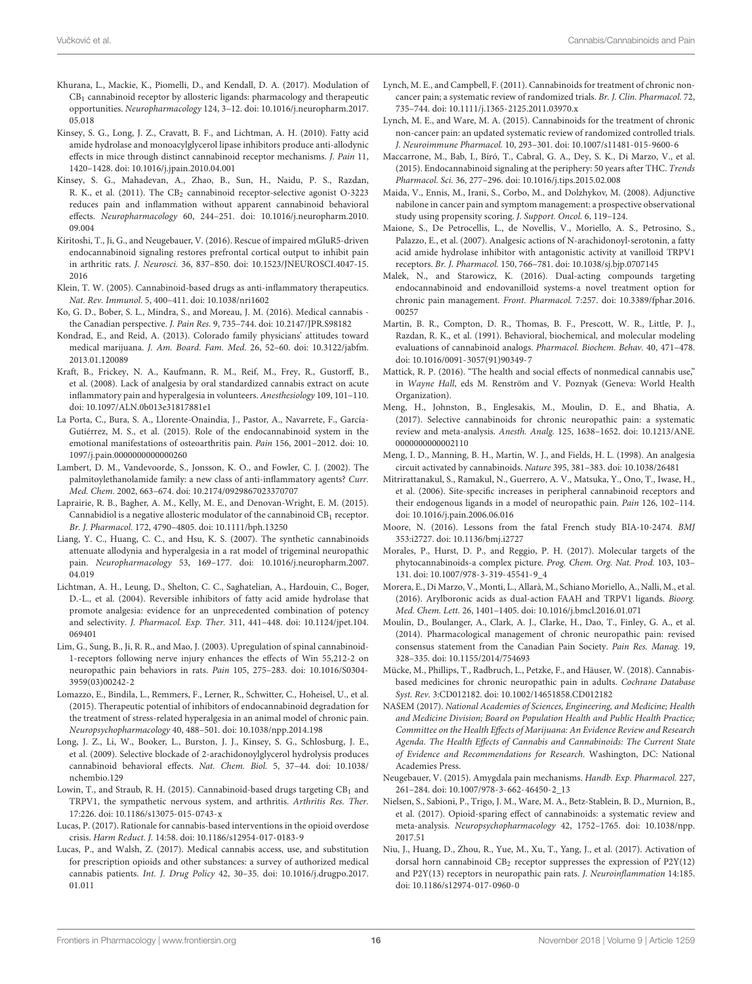- <span id="page-15-23"></span>Khurana, L., Mackie, K., Piomelli, D., and Kendall, D. A. (2017). Modulation of CB<sup>1</sup> cannabinoid receptor by allosteric ligands: pharmacology and therapeutic opportunities. Neuropharmacology 124, 3–12. [doi: 10.1016/j.neuropharm.2017.](https://doi.org/10.1016/j.neuropharm.2017.05.018) [05.018](https://doi.org/10.1016/j.neuropharm.2017.05.018)
- <span id="page-15-22"></span>Kinsey, S. G., Long, J. Z., Cravatt, B. F., and Lichtman, A. H. (2010). Fatty acid amide hydrolase and monoacylglycerol lipase inhibitors produce anti-allodynic effects in mice through distinct cannabinoid receptor mechanisms. J. Pain 11, 1420–1428. [doi: 10.1016/j.jpain.2010.04.001](https://doi.org/10.1016/j.jpain.2010.04.001)
- <span id="page-15-18"></span>Kinsey, S. G., Mahadevan, A., Zhao, B., Sun, H., Naidu, P. S., Razdan, R. K., et al. (2011). The CB<sub>2</sub> cannabinoid receptor-selective agonist O-3223 reduces pain and inflammation without apparent cannabinoid behavioral effects. Neuropharmacology 60, 244–251. [doi: 10.1016/j.neuropharm.2010.](https://doi.org/10.1016/j.neuropharm.2010.09.004) [09.004](https://doi.org/10.1016/j.neuropharm.2010.09.004)
- <span id="page-15-27"></span>Kiritoshi, T., Ji, G., and Neugebauer, V. (2016). Rescue of impaired mGluR5-driven endocannabinoid signaling restores prefrontal cortical output to inhibit pain in arthritic rats. J. Neurosci. 36, 837–850. [doi: 10.1523/JNEUROSCI.4047-15.](https://doi.org/10.1523/JNEUROSCI.4047-15.2016) [2016](https://doi.org/10.1523/JNEUROSCI.4047-15.2016)
- <span id="page-15-3"></span>Klein, T. W. (2005). Cannabinoid-based drugs as anti-inflammatory therapeutics. Nat. Rev. Immunol. 5, 400–411. [doi: 10.1038/nri1602](https://doi.org/10.1038/nri1602)
- <span id="page-15-5"></span>Ko, G. D., Bober, S. L., Mindra, S., and Moreau, J. M. (2016). Medical cannabis the Canadian perspective. J. Pain Res. 9, 735–744. [doi: 10.2147/JPR.S98182](https://doi.org/10.2147/JPR.S98182)
- <span id="page-15-29"></span>Kondrad, E., and Reid, A. (2013). Colorado family physicians' attitudes toward medical marijuana. J. Am. Board. Fam. Med. 26, 52–60. [doi: 10.3122/jabfm.](https://doi.org/10.3122/jabfm.2013.01.120089) [2013.01.120089](https://doi.org/10.3122/jabfm.2013.01.120089)
- <span id="page-15-9"></span>Kraft, B., Frickey, N. A., Kaufmann, R. M., Reif, M., Frey, R., Gustorff, B., et al. (2008). Lack of analgesia by oral standardized cannabis extract on acute inflammatory pain and hyperalgesia in volunteers. Anesthesiology 109, 101–110. [doi: 10.1097/ALN.0b013e31817881e1](https://doi.org/10.1097/ALN.0b013e31817881e1)
- <span id="page-15-25"></span>La Porta, C., Bura, S. A., Llorente-Onaindia, J., Pastor, A., Navarrete, F., García-Gutiérrez, M. S., et al. (2015). Role of the endocannabinoid system in the emotional manifestations of osteoarthritis pain. Pain 156, 2001–2012. [doi: 10.](https://doi.org/10.1097/j.pain.0000000000000260) [1097/j.pain.0000000000000260](https://doi.org/10.1097/j.pain.0000000000000260)
- <span id="page-15-7"></span>Lambert, D. M., Vandevoorde, S., Jonsson, K. O., and Fowler, C. J. (2002). The palmitoylethanolamide family: a new class of anti-inflammatory agents? Curr. Med. Chem. 2002, 663–674. [doi: 10.2174/0929867023370707](https://doi.org/10.2174/0929867023370707)
- <span id="page-15-4"></span>Laprairie, R. B., Bagher, A. M., Kelly, M. E., and Denovan-Wright, E. M. (2015). Cannabidiol is a negative allosteric modulator of the cannabinoid  $CB<sub>1</sub>$  receptor. Br. J. Pharmacol. 172, 4790–4805. [doi: 10.1111/bph.13250](https://doi.org/10.1111/bph.13250)
- <span id="page-15-17"></span>Liang, Y. C., Huang, C. C., and Hsu, K. S. (2007). The synthetic cannabinoids attenuate allodynia and hyperalgesia in a rat model of trigeminal neuropathic pain. Neuropharmacology 53, 169–177. [doi: 10.1016/j.neuropharm.2007.](https://doi.org/10.1016/j.neuropharm.2007.04.019) [04.019](https://doi.org/10.1016/j.neuropharm.2007.04.019)
- <span id="page-15-20"></span>Lichtman, A. H., Leung, D., Shelton, C. C., Saghatelian, A., Hardouin, C., Boger, D.-L., et al. (2004). Reversible inhibitors of fatty acid amide hydrolase that promote analgesia: evidence for an unprecedented combination of potency and selectivity. J. Pharmacol. Exp. Ther. 311, 441–448. [doi: 10.1124/jpet.104.](https://doi.org/10.1124/jpet.104.069401) [069401](https://doi.org/10.1124/jpet.104.069401)
- <span id="page-15-16"></span>Lim, G., Sung, B., Ji, R. R., and Mao, J. (2003). Upregulation of spinal cannabinoid-1-receptors following nerve injury enhances the effects of Win 55,212-2 on neuropathic pain behaviors in rats. Pain 105, 275–283. [doi: 10.1016/S0304-](https://doi.org/10.1016/S0304-3959(03)00242-2) [3959\(03\)00242-2](https://doi.org/10.1016/S0304-3959(03)00242-2)
- <span id="page-15-12"></span>Lomazzo, E., Bindila, L., Remmers, F., Lerner, R., Schwitter, C., Hoheisel, U., et al. (2015). Therapeutic potential of inhibitors of endocannabinoid degradation for the treatment of stress-related hyperalgesia in an animal model of chronic pain. Neuropsychopharmacology 40, 488–501. [doi: 10.1038/npp.2014.198](https://doi.org/10.1038/npp.2014.198)
- <span id="page-15-21"></span>Long, J. Z., Li, W., Booker, L., Burston, J. J., Kinsey, S. G., Schlosburg, J. E., et al. (2009). Selective blockade of 2-arachidonoylglycerol hydrolysis produces cannabinoid behavioral effects. Nat. Chem. Biol. 5, 37–44. [doi: 10.1038/](https://doi.org/10.1038/nchembio.129) [nchembio.129](https://doi.org/10.1038/nchembio.129)
- <span id="page-15-2"></span>Lowin, T., and Straub, R. H. (2015). Cannabinoid-based drugs targeting  $CB<sub>1</sub>$  and TRPV1, the sympathetic nervous system, and arthritis. Arthritis Res. Ther. 17:226. [doi: 10.1186/s13075-015-0743-x](https://doi.org/10.1186/s13075-015-0743-x)
- <span id="page-15-37"></span>Lucas, P. (2017). Rationale for cannabis-based interventions in the opioid overdose crisis. Harm Reduct. J. 14:58. [doi: 10.1186/s12954-017-0183-9](https://doi.org/10.1186/s12954-017-0183-9)
- <span id="page-15-36"></span>Lucas, P., and Walsh, Z. (2017). Medical cannabis access, use, and substitution for prescription opioids and other substances: a survey of authorized medical cannabis patients. Int. J. Drug Policy 42, 30–35. [doi: 10.1016/j.drugpo.2017.](https://doi.org/10.1016/j.drugpo.2017.01.011) [01.011](https://doi.org/10.1016/j.drugpo.2017.01.011)
- <span id="page-15-31"></span>Lynch, M. E., and Campbell, F. (2011). Cannabinoids for treatment of chronic noncancer pain; a systematic review of randomized trials. Br. J. Clin. Pharmacol. 72, 735–744. [doi: 10.1111/j.1365-2125.2011.03970.x](https://doi.org/10.1111/j.1365-2125.2011.03970.x)
- <span id="page-15-28"></span>Lynch, M. E., and Ware, M. A. (2015). Cannabinoids for the treatment of chronic non-cancer pain: an updated systematic review of randomized controlled trials. J. Neuroimmune Pharmacol. 10, 293–301. [doi: 10.1007/s11481-015-9600-6](https://doi.org/10.1007/s11481-015-9600-6)
- <span id="page-15-8"></span>Maccarrone, M., Bab, I., Bíró, T., Cabral, G. A., Dey, S. K., Di Marzo, V., et al. (2015). Endocannabinoid signaling at the periphery: 50 years after THC. Trends Pharmacol. Sci. 36, 277–296. [doi: 10.1016/j.tips.2015.02.008](https://doi.org/10.1016/j.tips.2015.02.008)
- <span id="page-15-34"></span>Maida, V., Ennis, M., Irani, S., Corbo, M., and Dolzhykov, M. (2008). Adjunctive nabilone in cancer pain and symptom management: a prospective observational study using propensity scoring. J. Support. Oncol. 6, 119–124.
- <span id="page-15-14"></span>Maione, S., De Petrocellis, L., de Novellis, V., Moriello, A. S., Petrosino, S., Palazzo, E., et al. (2007). Analgesic actions of N-arachidonoyl-serotonin, a fatty acid amide hydrolase inhibitor with antagonistic activity at vanilloid TRPV1 receptors. Br. J. Pharmacol. 150, 766–781. [doi: 10.1038/sj.bjp.0707145](https://doi.org/10.1038/sj.bjp.0707145)
- <span id="page-15-13"></span>Malek, N., and Starowicz, K. (2016). Dual-acting compounds targeting endocannabinoid and endovanilloid systems-a novel treatment option for chronic pain management. Front. Pharmacol. 7:257. [doi: 10.3389/fphar.2016.](https://doi.org/10.3389/fphar.2016.00257) [00257](https://doi.org/10.3389/fphar.2016.00257)
- <span id="page-15-11"></span>Martin, B. R., Compton, D. R., Thomas, B. F., Prescott, W. R., Little, P. J., Razdan, R. K., et al. (1991). Behavioral, biochemical, and molecular modeling evaluations of cannabinoid analogs. Pharmacol. Biochem. Behav. 40, 471–478. [doi: 10.1016/0091-3057\(91\)90349-7](https://doi.org/10.1016/0091-3057(91)90349-7)
- <span id="page-15-35"></span>Mattick, R. P. (2016). "The health and social effects of nonmedical cannabis use," in Wayne Hall, eds M. Renström and V. Poznyak (Geneva: World Health Organization).
- <span id="page-15-32"></span>Meng, H., Johnston, B., Englesakis, M., Moulin, D. E., and Bhatia, A. (2017). Selective cannabinoids for chronic neuropathic pain: a systematic review and meta-analysis. Anesth. Analg. 125, 1638–1652. [doi: 10.1213/ANE.](https://doi.org/10.1213/ANE.0000000000002110) [0000000000002110](https://doi.org/10.1213/ANE.0000000000002110)
- <span id="page-15-10"></span>Meng, I. D., Manning, B. H., Martin, W. J., and Fields, H. L. (1998). An analgesia circuit activated by cannabinoids. Nature 395, 381–383. [doi: 10.1038/26481](https://doi.org/10.1038/26481)
- <span id="page-15-19"></span>Mitrirattanakul, S., Ramakul, N., Guerrero, A. V., Matsuka, Y., Ono, T., Iwase, H., et al. (2006). Site-specific increases in peripheral cannabinoid receptors and their endogenous ligands in a model of neuropathic pain. Pain 126, 102–114. [doi: 10.1016/j.pain.2006.06.016](https://doi.org/10.1016/j.pain.2006.06.016)
- <span id="page-15-24"></span>Moore, N. (2016). Lessons from the fatal French study BIA-10-2474. BMJ 353:i2727. [doi: 10.1136/bmj.i2727](https://doi.org/10.1136/bmj.i2727)
- <span id="page-15-1"></span>Morales, P., Hurst, D. P., and Reggio, P. H. (2017). Molecular targets of the phytocannabinoids-a complex picture. Prog. Chem. Org. Nat. Prod. 103, 103– 131. [doi: 10.1007/978-3-319-45541-9\\_4](https://doi.org/10.1007/978-3-319-45541-9_4)
- <span id="page-15-15"></span>Morera, E., Di Marzo, V., Monti, L., Allarà, M., Schiano Moriello, A., Nalli, M., et al. (2016). Arylboronic acids as dual-action FAAH and TRPV1 ligands. Bioorg. Med. Chem. Lett. 26, 1401–1405. [doi: 10.1016/j.bmcl.2016.01.071](https://doi.org/10.1016/j.bmcl.2016.01.071)
- <span id="page-15-30"></span>Moulin, D., Boulanger, A., Clark, A. J., Clarke, H., Dao, T., Finley, G. A., et al. (2014). Pharmacological management of chronic neuropathic pain: revised consensus statement from the Canadian Pain Society. Pain Res. Manag. 19, 328–335. [doi: 10.1155/2014/754693](https://doi.org/10.1155/2014/754693)
- <span id="page-15-33"></span>Mücke, M., Phillips, T., Radbruch, L., Petzke, F., and Häuser, W. (2018). Cannabisbased medicines for chronic neuropathic pain in adults. Cochrane Database Syst. Rev. 3:CD012182. [doi: 10.1002/14651858.CD012182](https://doi.org/10.1002/14651858.CD012182)
- <span id="page-15-0"></span>NASEM (2017). National Academies of Sciences, Engineering, and Medicine; Health and Medicine Division; Board on Population Health and Public Health Practice; Committee on the Health Effects of Marijuana: An Evidence Review and Research Agenda. The Health Effects of Cannabis and Cannabinoids: The Current State of Evidence and Recommendations for Research. Washington, DC: National Academies Press.
- <span id="page-15-26"></span>Neugebauer, V. (2015). Amygdala pain mechanisms. Handb. Exp. Pharmacol. 227, 261–284. [doi: 10.1007/978-3-662-46450-2\\_13](https://doi.org/10.1007/978-3-662-46450-2_13)
- <span id="page-15-38"></span>Nielsen, S., Sabioni, P., Trigo, J. M., Ware, M. A., Betz-Stablein, B. D., Murnion, B., et al. (2017). Opioid-sparing effect of cannabinoids: a systematic review and meta-analysis. Neuropsychopharmacology 42, 1752–1765. [doi: 10.1038/npp.](https://doi.org/10.1038/npp.2017.51) [2017.51](https://doi.org/10.1038/npp.2017.51)
- <span id="page-15-6"></span>Niu, J., Huang, D., Zhou, R., Yue, M., Xu, T., Yang, J., et al. (2017). Activation of dorsal horn cannabinoid  $CB_2$  receptor suppresses the expression of  $P2Y(12)$ and P2Y(13) receptors in neuropathic pain rats. J. Neuroinflammation 14:185. [doi: 10.1186/s12974-017-0960-0](https://doi.org/10.1186/s12974-017-0960-0)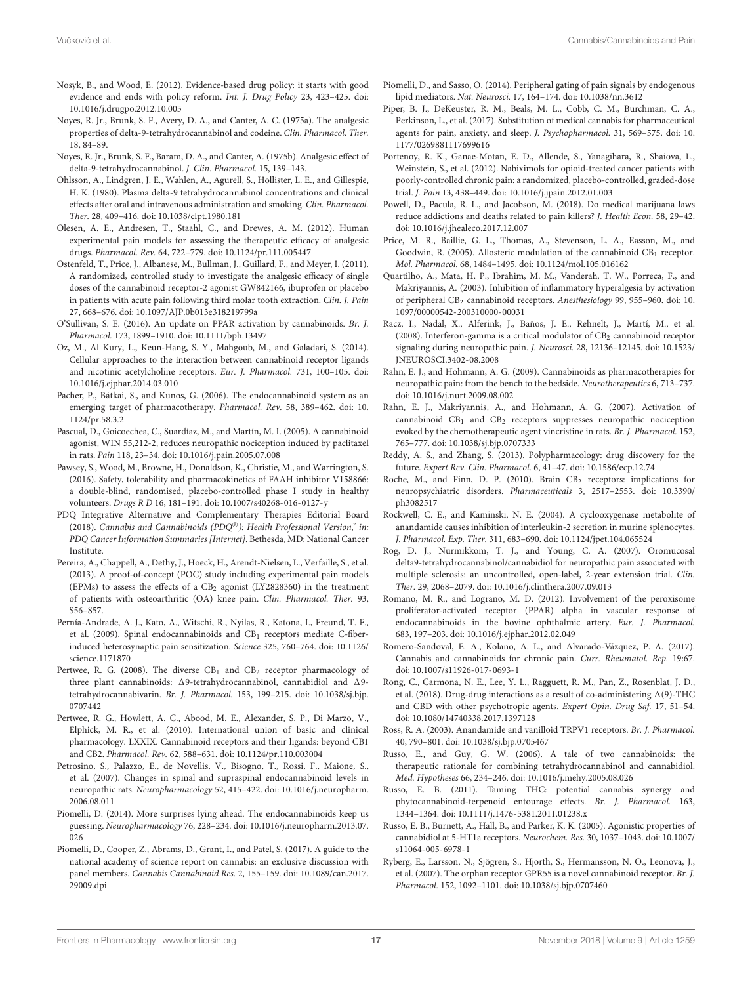- <span id="page-16-39"></span>Nosyk, B., and Wood, E. (2012). Evidence-based drug policy: it starts with good evidence and ends with policy reform. Int. J. Drug Policy 23, 423–425. [doi:](https://doi.org/10.1016/j.drugpo.2012.10.005) [10.1016/j.drugpo.2012.10.005](https://doi.org/10.1016/j.drugpo.2012.10.005)
- <span id="page-16-35"></span>Noyes, R. Jr., Brunk, S. F., Avery, D. A., and Canter, A. C. (1975a). The analgesic properties of delta-9-tetrahydrocannabinol and codeine. Clin. Pharmacol. Ther. 18, 84–89.
- <span id="page-16-34"></span>Noyes, R. Jr., Brunk, S. F., Baram, D. A., and Canter, A. (1975b). Analgesic effect of delta-9-tetrahydrocannabinol. J. Clin. Pharmacol. 15, 139–143.
- <span id="page-16-17"></span>Ohlsson, A., Lindgren, J. E., Wahlen, A., Agurell, S., Hollister, L. E., and Gillespie, H. K. (1980). Plasma delta-9 tetrahydrocannabinol concentrations and clinical effects after oral and intravenous administration and smoking. Clin. Pharmacol. Ther. 28, 409–416. [doi: 10.1038/clpt.1980.181](https://doi.org/10.1038/clpt.1980.181)
- <span id="page-16-22"></span>Olesen, A. E., Andresen, T., Staahl, C., and Drewes, A. M. (2012). Human experimental pain models for assessing the therapeutic efficacy of analgesic drugs. Pharmacol. Rev. 64, 722–779. [doi: 10.1124/pr.111.005447](https://doi.org/10.1124/pr.111.005447)
- <span id="page-16-20"></span>Ostenfeld, T., Price, J., Albanese, M., Bullman, J., Guillard, F., and Meyer, I. (2011). A randomized, controlled study to investigate the analgesic efficacy of single doses of the cannabinoid receptor-2 agonist GW842166, ibuprofen or placebo in patients with acute pain following third molar tooth extraction. Clin. J. Pain 27, 668–676. [doi: 10.1097/AJP.0b013e318219799a](https://doi.org/10.1097/AJP.0b013e318219799a)
- <span id="page-16-3"></span>O'Sullivan, S. E. (2016). An update on PPAR activation by cannabinoids. Br. J. Pharmacol. 173, 1899–1910. [doi: 10.1111/bph.13497](https://doi.org/10.1111/bph.13497)
- <span id="page-16-5"></span>Oz, M., Al Kury, L., Keun-Hang, S. Y., Mahgoub, M., and Galadari, S. (2014). Cellular approaches to the interaction between cannabinoid receptor ligands and nicotinic acetylcholine receptors. Eur. J. Pharmacol. 731, 100–105. [doi:](https://doi.org/10.1016/j.ejphar.2014.03.010) [10.1016/j.ejphar.2014.03.010](https://doi.org/10.1016/j.ejphar.2014.03.010)
- <span id="page-16-11"></span>Pacher, P., Bátkai, S., and Kunos, G. (2006). The endocannabinoid system as an emerging target of pharmacotherapy. Pharmacol. Rev. 58, 389–462. [doi: 10.](https://doi.org/10.1124/pr.58.3.2) [1124/pr.58.3.2](https://doi.org/10.1124/pr.58.3.2)
- <span id="page-16-24"></span>Pascual, D., Goicoechea, C., Suardíaz, M., and Martín, M. I. (2005). A cannabinoid agonist, WIN 55,212-2, reduces neuropathic nociception induced by paclitaxel in rats. Pain 118, 23–34. [doi: 10.1016/j.pain.2005.07.008](https://doi.org/10.1016/j.pain.2005.07.008)
- <span id="page-16-30"></span>Pawsey, S., Wood, M., Browne, H., Donaldson, K., Christie, M., and Warrington, S. (2016). Safety, tolerability and pharmacokinetics of FAAH inhibitor V158866: a double-blind, randomised, placebo-controlled phase I study in healthy volunteers. Drugs R D 16, 181–191. [doi: 10.1007/s40268-016-0127-y](https://doi.org/10.1007/s40268-016-0127-y)
- <span id="page-16-33"></span>PDQ Integrative Alternative and Complementary Therapies Editorial Board (2018). Cannabis and Cannabinoids (PDQ®): Health Professional Version," in: PDQ Cancer Information Summaries [Internet]. Bethesda, MD: National Cancer Institute.
- <span id="page-16-21"></span>Pereira, A., Chappell, A., Dethy, J., Hoeck, H., Arendt-Nielsen, L., Verfaille, S., et al. (2013). A proof-of-concept (POC) study including experimental pain models (EPMs) to assess the effects of a CB<sub>2</sub> agonist (LY2828360) in the treatment of patients with osteoarthritic (OA) knee pain. Clin. Pharmacol. Ther. 93, S56–S57.
- <span id="page-16-27"></span>Pernía-Andrade, A. J., Kato, A., Witschi, R., Nyilas, R., Katona, I., Freund, T. F., et al. (2009). Spinal endocannabinoids and  $CB<sub>1</sub>$  receptors mediate C-fiberinduced heterosynaptic pain sensitization. Science 325, 760–764. [doi: 10.1126/](https://doi.org/10.1126/science.1171870) [science.1171870](https://doi.org/10.1126/science.1171870)
- <span id="page-16-8"></span>Pertwee, R. G. (2008). The diverse  $CB<sub>1</sub>$  and  $CB<sub>2</sub>$  receptor pharmacology of three plant cannabinoids:  $\Delta$ 9-tetrahydrocannabinol, cannabidiol and  $\Delta$ 9tetrahydrocannabivarin. Br. J. Pharmacol. 153, 199–215. [doi: 10.1038/sj.bjp.](https://doi.org/10.1038/sj.bjp.0707442) [0707442](https://doi.org/10.1038/sj.bjp.0707442)
- <span id="page-16-2"></span>Pertwee, R. G., Howlett, A. C., Abood, M. E., Alexander, S. P., Di Marzo, V., Elphick, M. R., et al. (2010). International union of basic and clinical pharmacology. LXXIX. Cannabinoid receptors and their ligands: beyond CB1 and CB2. Pharmacol. Rev. 62, 588–631. [doi: 10.1124/pr.110.003004](https://doi.org/10.1124/pr.110.003004)
- <span id="page-16-25"></span>Petrosino, S., Palazzo, E., de Novellis, V., Bisogno, T., Rossi, F., Maione, S., et al. (2007). Changes in spinal and supraspinal endocannabinoid levels in neuropathic rats. Neuropharmacology 52, 415–422. [doi: 10.1016/j.neuropharm.](https://doi.org/10.1016/j.neuropharm.2006.08.011) [2006.08.011](https://doi.org/10.1016/j.neuropharm.2006.08.011)
- <span id="page-16-26"></span>Piomelli, D. (2014). More surprises lying ahead. The endocannabinoids keep us guessing. Neuropharmacology 76, 228–234. [doi: 10.1016/j.neuropharm.2013.07.](https://doi.org/10.1016/j.neuropharm.2013.07.026) [026](https://doi.org/10.1016/j.neuropharm.2013.07.026)
- <span id="page-16-10"></span>Piomelli, D., Cooper, Z., Abrams, D., Grant, I., and Patel, S. (2017). A guide to the national academy of science report on cannabis: an exclusive discussion with panel members. Cannabis Cannabinoid Res. 2, 155–159. [doi: 10.1089/can.2017.](https://doi.org/10.1089/can.2017.29009.dpi) [29009.dpi](https://doi.org/10.1089/can.2017.29009.dpi)
- <span id="page-16-15"></span>Piomelli, D., and Sasso, O. (2014). Peripheral gating of pain signals by endogenous lipid mediators. Nat. Neurosci. 17, 164–174. [doi: 10.1038/nn.3612](https://doi.org/10.1038/nn.3612)
- <span id="page-16-37"></span>Piper, B. J., DeKeuster, R. M., Beals, M. L., Cobb, C. M., Burchman, C. A., Perkinson, L., et al. (2017). Substitution of medical cannabis for pharmaceutical agents for pain, anxiety, and sleep. J. Psychopharmacol. 31, 569–575. [doi: 10.](https://doi.org/10.1177/0269881117699616) [1177/0269881117699616](https://doi.org/10.1177/0269881117699616)
- <span id="page-16-16"></span>Portenoy, R. K., Ganae-Motan, E. D., Allende, S., Yanagihara, R., Shaiova, L., Weinstein, S., et al. (2012). Nabiximols for opioid-treated cancer patients with poorly-controlled chronic pain: a randomized, placebo-controlled, graded-dose trial. J. Pain 13, 438–449. [doi: 10.1016/j.jpain.2012.01.003](https://doi.org/10.1016/j.jpain.2012.01.003)
- <span id="page-16-38"></span>Powell, D., Pacula, R. L., and Jacobson, M. (2018). Do medical marijuana laws reduce addictions and deaths related to pain killers? J. Health Econ. 58, 29–42. [doi: 10.1016/j.jhealeco.2017.12.007](https://doi.org/10.1016/j.jhealeco.2017.12.007)
- <span id="page-16-28"></span>Price, M. R., Baillie, G. L., Thomas, A., Stevenson, L. A., Easson, M., and Goodwin, R. (2005). Allosteric modulation of the cannabinoid  $CB<sub>1</sub>$  receptor. Mol. Pharmacol. 68, 1484–1495. [doi: 10.1124/mol.105.016162](https://doi.org/10.1124/mol.105.016162)
- <span id="page-16-29"></span>Quartilho, A., Mata, H. P., Ibrahim, M. M., Vanderah, T. W., Porreca, F., and Makriyannis, A. (2003). Inhibition of inflammatory hyperalgesia by activation of peripheral CB<sup>2</sup> cannabinoid receptors. Anesthesiology 99, 955–960. [doi: 10.](https://doi.org/10.1097/00000542-200310000-00031) [1097/00000542-200310000-00031](https://doi.org/10.1097/00000542-200310000-00031)
- <span id="page-16-23"></span>Racz, I., Nadal, X., Alferink, J., Baños, J. E., Rehnelt, J., Martí, M., et al. (2008). Interferon-gamma is a critical modulator of  $CB<sub>2</sub>$  cannabinoid receptor signaling during neuropathic pain. J. Neurosci. 28, 12136–12145. [doi: 10.1523/](https://doi.org/10.1523/JNEUROSCI.3402-08.2008) [JNEUROSCI.3402-08.2008](https://doi.org/10.1523/JNEUROSCI.3402-08.2008)
- <span id="page-16-0"></span>Rahn, E. J., and Hohmann, A. G. (2009). Cannabinoids as pharmacotherapies for neuropathic pain: from the bench to the bedside. Neurotherapeutics 6, 713–737. [doi: 10.1016/j.nurt.2009.08.002](https://doi.org/10.1016/j.nurt.2009.08.002)
- <span id="page-16-31"></span>Rahn, E. J., Makriyannis, A., and Hohmann, A. G. (2007). Activation of cannabinoid  $CB<sub>1</sub>$  and  $CB<sub>2</sub>$  receptors suppresses neuropathic nociception evoked by the chemotherapeutic agent vincristine in rats. Br. J. Pharmacol. 152, 765–777. [doi: 10.1038/sj.bjp.0707333](https://doi.org/10.1038/sj.bjp.0707333)
- <span id="page-16-6"></span>Reddy, A. S., and Zhang, S. (2013). Polypharmacology: drug discovery for the future. Expert Rev. Clin. Pharmacol. 6, 41–47. [doi: 10.1586/ecp.12.74](https://doi.org/10.1586/ecp.12.74)
- <span id="page-16-19"></span>Roche, M., and Finn, D. P. (2010). Brain  $CB_2$  receptors: implications for neuropsychiatric disorders. Pharmaceuticals 3, 2517–2553. [doi: 10.3390/](https://doi.org/10.3390/ph3082517) [ph3082517](https://doi.org/10.3390/ph3082517)
- <span id="page-16-13"></span>Rockwell, C. E., and Kaminski, N. E. (2004). A cyclooxygenase metabolite of anandamide causes inhibition of interleukin-2 secretion in murine splenocytes. J. Pharmacol. Exp. Ther. 311, 683–690. [doi: 10.1124/jpet.104.065524](https://doi.org/10.1124/jpet.104.065524)
- <span id="page-16-36"></span>Rog, D. J., Nurmikkom, T. J., and Young, C. A. (2007). Oromucosal delta9-tetrahydrocannabinol/cannabidiol for neuropathic pain associated with multiple sclerosis: an uncontrolled, open-label, 2-year extension trial. Clin. Ther. 29, 2068–2079. [doi: 10.1016/j.clinthera.2007.09.013](https://doi.org/10.1016/j.clinthera.2007.09.013)
- <span id="page-16-14"></span>Romano, M. R., and Lograno, M. D. (2012). Involvement of the peroxisome proliferator-activated receptor (PPAR) alpha in vascular response of endocannabinoids in the bovine ophthalmic artery. Eur. J. Pharmacol. 683, 197–203. [doi: 10.1016/j.ejphar.2012.02.049](https://doi.org/10.1016/j.ejphar.2012.02.049)
- <span id="page-16-32"></span>Romero-Sandoval, E. A., Kolano, A. L., and Alvarado-Vázquez, P. A. (2017). Cannabis and cannabinoids for chronic pain. Curr. Rheumatol. Rep. 19:67. [doi: 10.1007/s11926-017-0693-1](https://doi.org/10.1007/s11926-017-0693-1)
- <span id="page-16-18"></span>Rong, C., Carmona, N. E., Lee, Y. L., Ragguett, R. M., Pan, Z., Rosenblat, J. D., et al. (2018). Drug-drug interactions as a result of co-administering  $\Delta(9)$ -THC and CBD with other psychotropic agents. Expert Opin. Drug Saf. 17, 51–54. [doi: 10.1080/14740338.2017.1397128](https://doi.org/10.1080/14740338.2017.1397128)
- <span id="page-16-1"></span>Ross, R. A. (2003). Anandamide and vanilloid TRPV1 receptors. Br. J. Pharmacol. 40, 790–801. [doi: 10.1038/sj.bjp.0705467](https://doi.org/10.1038/sj.bjp.0705467)
- <span id="page-16-9"></span>Russo, E., and Guy, G. W. (2006). A tale of two cannabinoids: the therapeutic rationale for combining tetrahydrocannabinol and cannabidiol. Med. Hypotheses 66, 234–246. [doi: 10.1016/j.mehy.2005.08.026](https://doi.org/10.1016/j.mehy.2005.08.026)
- <span id="page-16-7"></span>Russo, E. B. (2011). Taming THC: potential cannabis synergy and phytocannabinoid-terpenoid entourage effects. Br. J. Pharmacol. 163, 1344–1364. [doi: 10.1111/j.1476-5381.2011.01238.x](https://doi.org/10.1111/j.1476-5381.2011.01238.x)
- <span id="page-16-4"></span>Russo, E. B., Burnett, A., Hall, B., and Parker, K. K. (2005). Agonistic properties of cannabidiol at 5-HT1a receptors. Neurochem. Res. 30, 1037–1043. [doi: 10.1007/](https://doi.org/10.1007/s11064-005-6978-1) [s11064-005-6978-1](https://doi.org/10.1007/s11064-005-6978-1)
- <span id="page-16-12"></span>Ryberg, E., Larsson, N., Sjögren, S., Hjorth, S., Hermansson, N. O., Leonova, J., et al. (2007). The orphan receptor GPR55 is a novel cannabinoid receptor. Br. J. Pharmacol. 152, 1092–1101. [doi: 10.1038/sj.bjp.0707460](https://doi.org/10.1038/sj.bjp.0707460)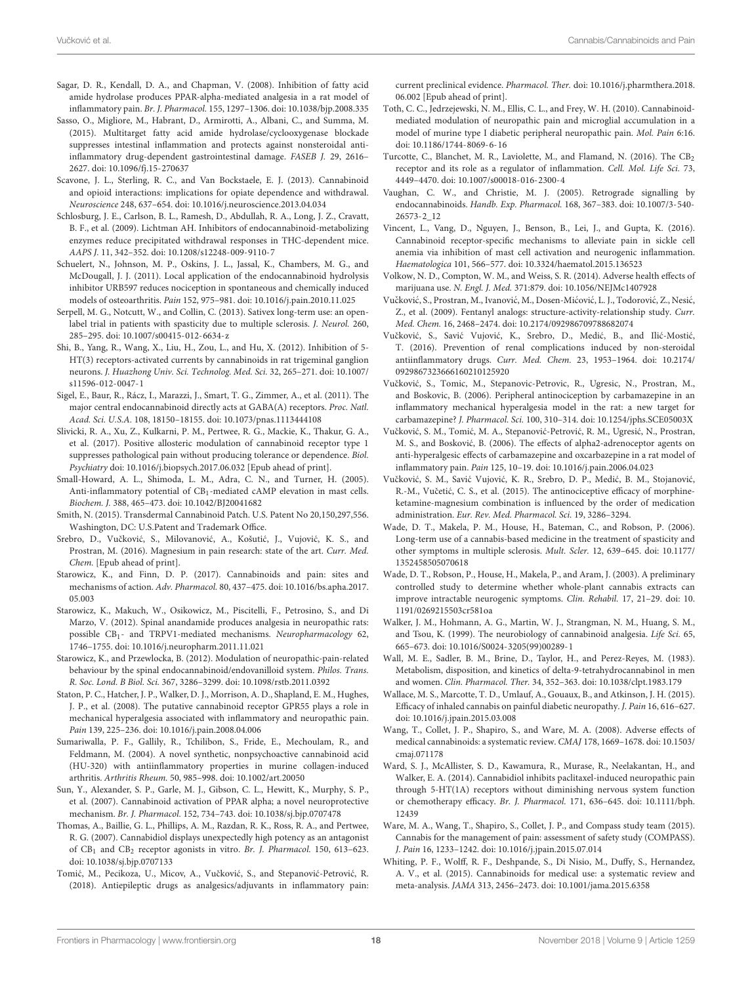- <span id="page-17-29"></span>Sagar, D. R., Kendall, D. A., and Chapman, V. (2008). Inhibition of fatty acid amide hydrolase produces PPAR-alpha-mediated analgesia in a rat model of inflammatory pain. Br. J. Pharmacol. 155, 1297–1306. [doi: 10.1038/bjp.2008.335](https://doi.org/10.1038/bjp.2008.335)
- <span id="page-17-31"></span>Sasso, O., Migliore, M., Habrant, D., Armirotti, A., Albani, C., and Summa, M. (2015). Multitarget fatty acid amide hydrolase/cyclooxygenase blockade suppresses intestinal inflammation and protects against nonsteroidal antiinflammatory drug-dependent gastrointestinal damage. FASEB J. 29, 2616– 2627. [doi: 10.1096/fj.15-270637](https://doi.org/10.1096/fj.15-270637)
- <span id="page-17-9"></span>Scavone, J. L., Sterling, R. C., and Van Bockstaele, E. J. (2013). Cannabinoid and opioid interactions: implications for opiate dependence and withdrawal. Neuroscience 248, 637–654. [doi: 10.1016/j.neuroscience.2013.04.034](https://doi.org/10.1016/j.neuroscience.2013.04.034)
- <span id="page-17-22"></span>Schlosburg, J. E., Carlson, B. L., Ramesh, D., Abdullah, R. A., Long, J. Z., Cravatt, B. F., et al. (2009). Lichtman AH. Inhibitors of endocannabinoid-metabolizing enzymes reduce precipitated withdrawal responses in THC-dependent mice. AAPS J. 11, 342–352. [doi: 10.1208/s12248-009-9110-7](https://doi.org/10.1208/s12248-009-9110-7)
- <span id="page-17-30"></span>Schuelert, N., Johnson, M. P., Oskins, J. L., Jassal, K., Chambers, M. G., and McDougall, J. J. (2011). Local application of the endocannabinoid hydrolysis inhibitor URB597 reduces nociception in spontaneous and chemically induced models of osteoarthritis. Pain 152, 975–981. [doi: 10.1016/j.pain.2010.11.025](https://doi.org/10.1016/j.pain.2010.11.025)
- <span id="page-17-38"></span>Serpell, M. G., Notcutt, W., and Collin, C. (2013). Sativex long-term use: an openlabel trial in patients with spasticity due to multiple sclerosis. J. Neurol. 260, 285–295. [doi: 10.1007/s00415-012-6634-z](https://doi.org/10.1007/s00415-012-6634-z)
- <span id="page-17-11"></span>Shi, B., Yang, R., Wang, X., Liu, H., Zou, L., and Hu, X. (2012). Inhibition of 5- HT(3) receptors-activated currents by cannabinoids in rat trigeminal ganglion neurons. J. Huazhong Univ. Sci. Technolog. Med. Sci. 32, 265–271. [doi: 10.1007/](https://doi.org/10.1007/s11596-012-0047-1) [s11596-012-0047-1](https://doi.org/10.1007/s11596-012-0047-1)
- <span id="page-17-10"></span>Sigel, E., Baur, R., Rácz, I., Marazzi, J., Smart, T. G., Zimmer, A., et al. (2011). The major central endocannabinoid directly acts at GABA(A) receptors. Proc. Natl. Acad. Sci. U.S.A. 108, 18150–18155. [doi: 10.1073/pnas.1113444108](https://doi.org/10.1073/pnas.1113444108)
- <span id="page-17-24"></span>Slivicki, R. A., Xu, Z., Kulkarni, P. M., Pertwee, R. G., Mackie, K., Thakur, G. A., et al. (2017). Positive allosteric modulation of cannabinoid receptor type 1 suppresses pathological pain without producing tolerance or dependence. Biol. Psychiatry [doi: 10.1016/j.biopsych.2017.06.032](https://doi.org/10.1016/j.biopsych.2017.06.032) [Epub ahead of print].
- <span id="page-17-14"></span>Small-Howard, A. L., Shimoda, L. M., Adra, C. N., and Turner, H. (2005). Anti-inflammatory potential of CB<sub>1</sub>-mediated cAMP elevation in mast cells. Biochem. J. 388, 465–473. [doi: 10.1042/BJ20041682](https://doi.org/10.1042/BJ20041682)
- <span id="page-17-19"></span>Smith, N. (2015). Transdermal Cannabinoid Patch. U.S. Patent No 20,150,297,556. Washington, DC: U.S.Patent and Trademark Office.
- <span id="page-17-5"></span>Srebro, D., Vučković, S., Milovanović, A., Košutić, J., Vujović, K. S., and Prostran, M. (2016). Magnesium in pain research: state of the art. Curr. Med. Chem. [Epub ahead of print].
- <span id="page-17-20"></span>Starowicz, K., and Finn, D. P. (2017). Cannabinoids and pain: sites and mechanisms of action. Adv. Pharmacol. 80, 437–475. [doi: 10.1016/bs.apha.2017.](https://doi.org/10.1016/bs.apha.2017.05.003) [05.003](https://doi.org/10.1016/bs.apha.2017.05.003)
- <span id="page-17-23"></span>Starowicz, K., Makuch, W., Osikowicz, M., Piscitelli, F., Petrosino, S., and Di Marzo, V. (2012). Spinal anandamide produces analgesia in neuropathic rats: possible CB<sub>1</sub>- and TRPV1-mediated mechanisms. Neuropharmacology 62, 1746–1755. [doi: 10.1016/j.neuropharm.2011.11.021](https://doi.org/10.1016/j.neuropharm.2011.11.021)
- <span id="page-17-15"></span>Starowicz, K., and Przewlocka, B. (2012). Modulation of neuropathic-pain-related behaviour by the spinal endocannabinoid/endovanilloid system. Philos. Trans. R. Soc. Lond. B Biol. Sci. 367, 3286–3299. [doi: 10.1098/rstb.2011.0392](https://doi.org/10.1098/rstb.2011.0392)
- <span id="page-17-8"></span>Staton, P. C., Hatcher, J. P., Walker, D. J., Morrison, A. D., Shapland, E. M., Hughes, J. P., et al. (2008). The putative cannabinoid receptor GPR55 plays a role in mechanical hyperalgesia associated with inflammatory and neuropathic pain. Pain 139, 225–236. [doi: 10.1016/j.pain.2008.04.006](https://doi.org/10.1016/j.pain.2008.04.006)
- <span id="page-17-27"></span>Sumariwalla, P. F., Gallily, R., Tchilibon, S., Fride, E., Mechoulam, R., and Feldmann, M. (2004). A novel synthetic, nonpsychoactive cannabinoid acid (HU-320) with antiinflammatory properties in murine collagen-induced arthritis. Arthritis Rheum. 50, 985–998. [doi: 10.1002/art.20050](https://doi.org/10.1002/art.20050)
- <span id="page-17-17"></span>Sun, Y., Alexander, S. P., Garle, M. J., Gibson, C. L., Hewitt, K., Murphy, S. P., et al. (2007). Cannabinoid activation of PPAR alpha; a novel neuroprotective mechanism. Br. J. Pharmacol. 152, 734–743. [doi: 10.1038/sj.bjp.0707478](https://doi.org/10.1038/sj.bjp.0707478)
- <span id="page-17-12"></span>Thomas, A., Baillie, G. L., Phillips, A. M., Razdan, R. K., Ross, R. A., and Pertwee, R. G. (2007). Cannabidiol displays unexpectedly high potency as an antagonist of CB<sub>1</sub> and CB<sub>2</sub> receptor agonists in vitro. Br. J. Pharmacol. 150, 613-623. [doi: 10.1038/sj.bjp.0707133](https://doi.org/10.1038/sj.bjp.0707133)
- <span id="page-17-6"></span>Tomić, M., Pecikoza, U., Micov, A., Vučković, S., and Stepanović-Petrović, R. (2018). Antiepileptic drugs as analgesics/adjuvants in inflammatory pain:

current preclinical evidence. Pharmacol. Ther. [doi: 10.1016/j.pharmthera.2018.](https://doi.org/10.1016/j.pharmthera.2018.06.002) [06.002](https://doi.org/10.1016/j.pharmthera.2018.06.002) [Epub ahead of print].

- <span id="page-17-21"></span>Toth, C. C., Jedrzejewski, N. M., Ellis, C. L., and Frey, W. H. (2010). Cannabinoidmediated modulation of neuropathic pain and microglial accumulation in a model of murine type I diabetic peripheral neuropathic pain. Mol. Pain 6:16. [doi: 10.1186/1744-8069-6-16](https://doi.org/10.1186/1744-8069-6-16)
- <span id="page-17-25"></span>Turcotte, C., Blanchet, M. R., Laviolette, M., and Flamand, N. (2016). The CB<sub>2</sub> receptor and its role as a regulator of inflammation. Cell. Mol. Life Sci. 73, 4449–4470. [doi: 10.1007/s00018-016-2300-4](https://doi.org/10.1007/s00018-016-2300-4)
- <span id="page-17-16"></span>Vaughan, C. W., and Christie, M. J. (2005). Retrograde signalling by endocannabinoids. Handb. Exp. Pharmacol. 168, 367–383. [doi: 10.1007/3-540-](https://doi.org/10.1007/3-540-26573-2_12) [26573-2\\_12](https://doi.org/10.1007/3-540-26573-2_12)
- <span id="page-17-26"></span>Vincent, L., Vang, D., Nguyen, J., Benson, B., Lei, J., and Gupta, K. (2016). Cannabinoid receptor-specific mechanisms to alleviate pain in sickle cell anemia via inhibition of mast cell activation and neurogenic inflammation. Haematologica 101, 566–577. [doi: 10.3324/haematol.2015.136523](https://doi.org/10.3324/haematol.2015.136523)
- <span id="page-17-7"></span>Volkow, N. D., Compton, W. M., and Weiss, S. R. (2014). Adverse health effects of marijuana use. N. Engl. J. Med. 371:879. [doi: 10.1056/NEJMc1407928](https://doi.org/10.1056/NEJMc1407928)
- <span id="page-17-2"></span>Vučković, S., Prostran, M., Ivanović, M., Dosen-Mićović, L. J., Todorović, Z., Nesić, Z., et al. (2009). Fentanyl analogs: structure-activity-relationship study. Curr. Med. Chem. 16, 2468–2474. [doi: 10.2174/092986709788682074](https://doi.org/10.2174/092986709788682074)
- <span id="page-17-3"></span>Vučković, S., Savić Vujović, K., Srebro, D., Medić, B., and Ilić-Mostić, T. (2016). Prevention of renal complications induced by non-steroidal antiinflammatory drugs. Curr. Med. Chem. 23, 1953–1964. [doi: 10.2174/](https://doi.org/10.2174/0929867323666160210125920) [0929867323666160210125920](https://doi.org/10.2174/0929867323666160210125920)
- <span id="page-17-0"></span>Vučković, S., Tomic, M., Stepanovic-Petrovic, R., Ugresic, N., Prostran, M., and Boskovic, B. (2006). Peripheral antinociception by carbamazepine in an inflammatory mechanical hyperalgesia model in the rat: a new target for carbamazepine? J. Pharmacol. Sci. 100, 310–314. [doi: 10.1254/jphs.SCE05003X](https://doi.org/10.1254/jphs.SCE05003X)
- <span id="page-17-1"></span>Vučković, S. M., Tomić, M. A., Stepanović-Petrović, R. M., Ugresić, N., Prostran, M. S., and Boskovic, B. (2006). The effects of alpha2-adrenoceptor agents on ´ anti-hyperalgesic effects of carbamazepine and oxcarbazepine in a rat model of inflammatory pain. Pain 125, 10–19. [doi: 10.1016/j.pain.2006.04.023](https://doi.org/10.1016/j.pain.2006.04.023)
- <span id="page-17-4"></span>Vučković, S. M., Savić Vujović, K. R., Srebro, D. P., Medić, B. M., Stojanović, R.-M., Vučetić, C. S., et al. (2015). The antinociceptive efficacy of morphineketamine-magnesium combination is influenced by the order of medication administration. Eur. Rev. Med. Pharmacol. Sci. 19, 3286–3294.
- <span id="page-17-37"></span>Wade, D. T., Makela, P. M., House, H., Bateman, C., and Robson, P. (2006). Long-term use of a cannabis-based medicine in the treatment of spasticity and other symptoms in multiple sclerosis. Mult. Scler. 12, 639–645. [doi: 10.1177/](https://doi.org/10.1177/1352458505070618) [1352458505070618](https://doi.org/10.1177/1352458505070618)
- <span id="page-17-13"></span>Wade, D. T., Robson, P., House, H., Makela, P., and Aram, J. (2003). A preliminary controlled study to determine whether whole-plant cannabis extracts can improve intractable neurogenic symptoms. Clin. Rehabil. 17, 21–29. [doi: 10.](https://doi.org/10.1191/0269215503cr581oa) [1191/0269215503cr581oa](https://doi.org/10.1191/0269215503cr581oa)
- <span id="page-17-28"></span>Walker, J. M., Hohmann, A. G., Martin, W. J., Strangman, N. M., Huang, S. M., and Tsou, K. (1999). The neurobiology of cannabinoid analgesia. Life Sci. 65, 665–673. [doi: 10.1016/S0024-3205\(99\)00289-1](https://doi.org/10.1016/S0024-3205(99)00289-1)
- <span id="page-17-18"></span>Wall, M. E., Sadler, B. M., Brine, D., Taylor, H., and Perez-Reyes, M. (1983). Metabolism, disposition, and kinetics of delta-9-tetrahydrocannabinol in men and women. Clin. Pharmacol. Ther. 34, 352–363. [doi: 10.1038/clpt.1983.179](https://doi.org/10.1038/clpt.1983.179)
- <span id="page-17-34"></span>Wallace, M. S., Marcotte, T. D., Umlauf, A., Gouaux, B., and Atkinson, J. H. (2015). Efficacy of inhaled cannabis on painful diabetic neuropathy. J. Pain 16, 616–627. [doi: 10.1016/j.jpain.2015.03.008](https://doi.org/10.1016/j.jpain.2015.03.008)
- <span id="page-17-35"></span>Wang, T., Collet, J. P., Shapiro, S., and Ware, M. A. (2008). Adverse effects of medical cannabinoids: a systematic review. CMAJ 178, 1669–1678. [doi: 10.1503/](https://doi.org/10.1503/cmaj.071178) [cmaj.071178](https://doi.org/10.1503/cmaj.071178)
- <span id="page-17-32"></span>Ward, S. J., McAllister, S. D., Kawamura, R., Murase, R., Neelakantan, H., and Walker, E. A. (2014). Cannabidiol inhibits paclitaxel-induced neuropathic pain through 5-HT(1A) receptors without diminishing nervous system function or chemotherapy efficacy. Br. J. Pharmacol. 171, 636–645. [doi: 10.1111/bph.](https://doi.org/10.1111/bph.12439) [12439](https://doi.org/10.1111/bph.12439)
- <span id="page-17-36"></span>Ware, M. A., Wang, T., Shapiro, S., Collet, J. P., and Compass study team (2015). Cannabis for the management of pain: assessment of safety study (COMPASS). J. Pain 16, 1233–1242. [doi: 10.1016/j.jpain.2015.07.014](https://doi.org/10.1016/j.jpain.2015.07.014)
- <span id="page-17-33"></span>Whiting, P. F., Wolff, R. F., Deshpande, S., Di Nisio, M., Duffy, S., Hernandez, A. V., et al. (2015). Cannabinoids for medical use: a systematic review and meta-analysis. JAMA 313, 2456–2473. [doi: 10.1001/jama.2015.6358](https://doi.org/10.1001/jama.2015.6358)